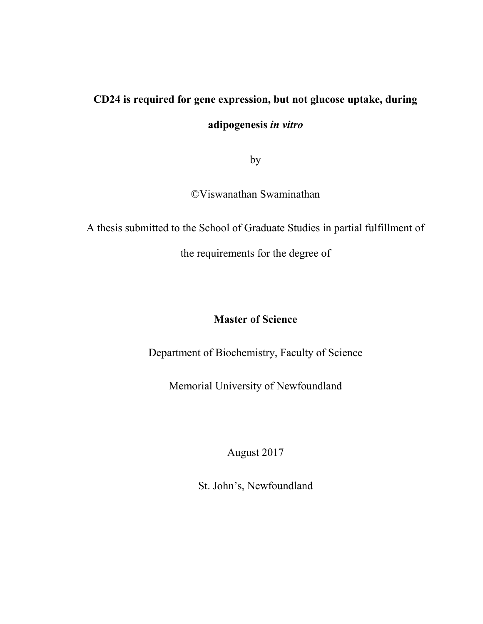# **CD24 is required for gene expression, but not glucose uptake, during adipogenesis** *in vitro*

by

©Viswanathan Swaminathan

A thesis submitted to the School of Graduate Studies in partial fulfillment of

the requirements for the degree of

# **Master of Science**

Department of Biochemistry, Faculty of Science

Memorial University of Newfoundland

August 2017

St. John's, Newfoundland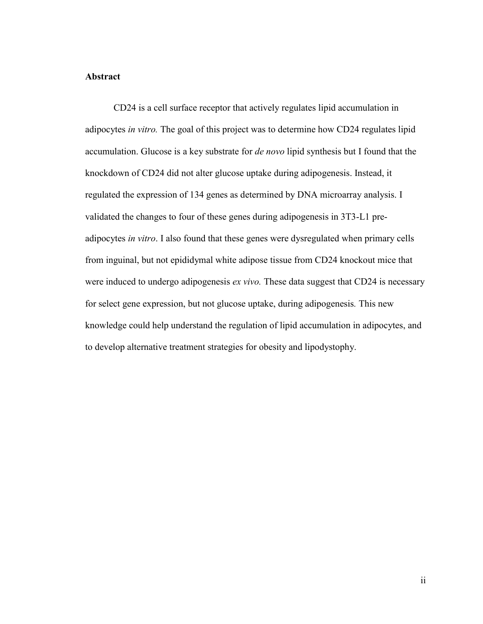#### <span id="page-1-0"></span>**Abstract**

CD24 is a cell surface receptor that actively regulates lipid accumulation in adipocytes *in vitro.* The goal of this project was to determine how CD24 regulates lipid accumulation. Glucose is a key substrate for *de novo* lipid synthesis but I found that the knockdown of CD24 did not alter glucose uptake during adipogenesis. Instead, it regulated the expression of 134 genes as determined by DNA microarray analysis. I validated the changes to four of these genes during adipogenesis in 3T3-L1 preadipocytes *in vitro*. I also found that these genes were dysregulated when primary cells from inguinal, but not epididymal white adipose tissue from CD24 knockout mice that were induced to undergo adipogenesis *ex vivo.* These data suggest that CD24 is necessary for select gene expression, but not glucose uptake, during adipogenesis*.* This new knowledge could help understand the regulation of lipid accumulation in adipocytes, and to develop alternative treatment strategies for obesity and lipodystophy.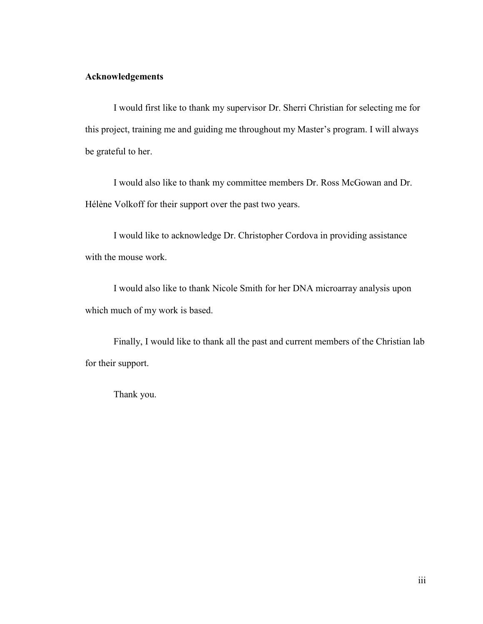### <span id="page-2-0"></span>**Acknowledgements**

I would first like to thank my supervisor Dr. Sherri Christian for selecting me for this project, training me and guiding me throughout my Master's program. I will always be grateful to her.

I would also like to thank my committee members Dr. Ross McGowan and Dr. Hélène Volkoff for their support over the past two years.

I would like to acknowledge Dr. Christopher Cordova in providing assistance with the mouse work.

I would also like to thank Nicole Smith for her DNA microarray analysis upon which much of my work is based.

Finally, I would like to thank all the past and current members of the Christian lab for their support.

Thank you.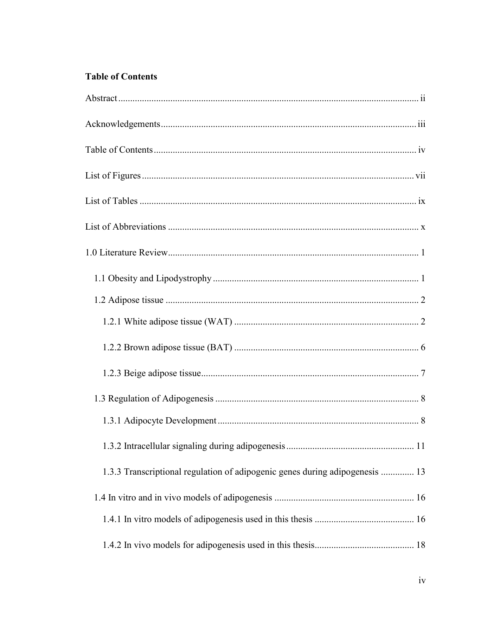# <span id="page-3-0"></span>**Table of Contents**

| 1.3.3 Transcriptional regulation of adipogenic genes during adipogenesis  13 |  |
|------------------------------------------------------------------------------|--|
|                                                                              |  |
|                                                                              |  |
|                                                                              |  |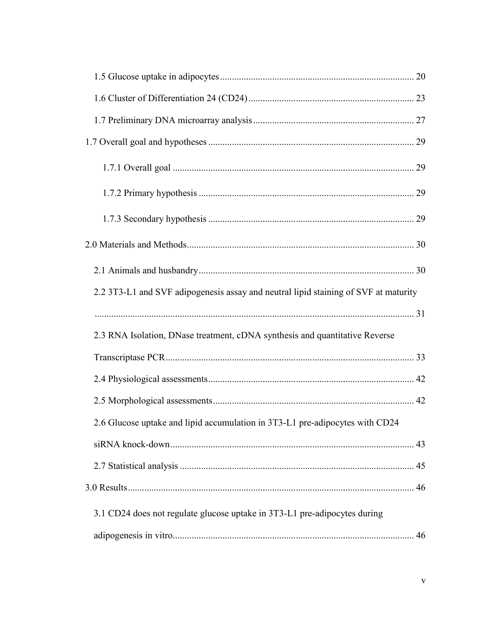| 2.2 3T3-L1 and SVF adipogenesis assay and neutral lipid staining of SVF at maturity |  |
|-------------------------------------------------------------------------------------|--|
|                                                                                     |  |
| 2.3 RNA Isolation, DNase treatment, cDNA synthesis and quantitative Reverse         |  |
|                                                                                     |  |
|                                                                                     |  |
|                                                                                     |  |
| 2.6 Glucose uptake and lipid accumulation in 3T3-L1 pre-adipocytes with CD24        |  |
|                                                                                     |  |
|                                                                                     |  |
|                                                                                     |  |
| 3.1 CD24 does not regulate glucose uptake in 3T3-L1 pre-adipocytes during           |  |
|                                                                                     |  |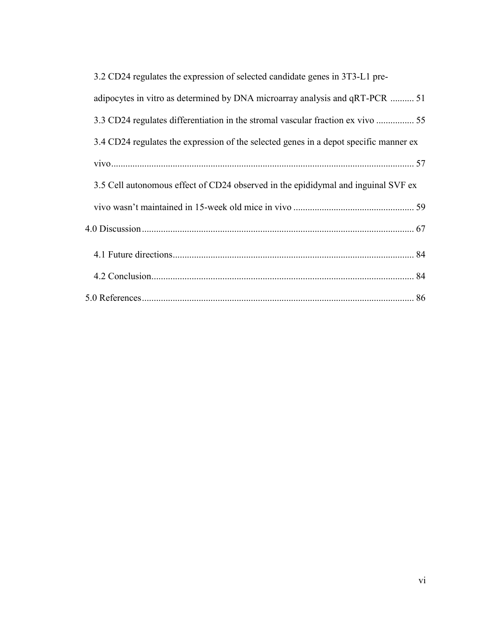| 3.2 CD24 regulates the expression of selected candidate genes in 3T3-L1 pre-          |
|---------------------------------------------------------------------------------------|
| adipocytes in vitro as determined by DNA microarray analysis and qRT-PCR  51          |
|                                                                                       |
| 3.4 CD24 regulates the expression of the selected genes in a depot specific manner ex |
|                                                                                       |
| 3.5 Cell autonomous effect of CD24 observed in the epididymal and inguinal SVF ex     |
|                                                                                       |
|                                                                                       |
|                                                                                       |
|                                                                                       |
|                                                                                       |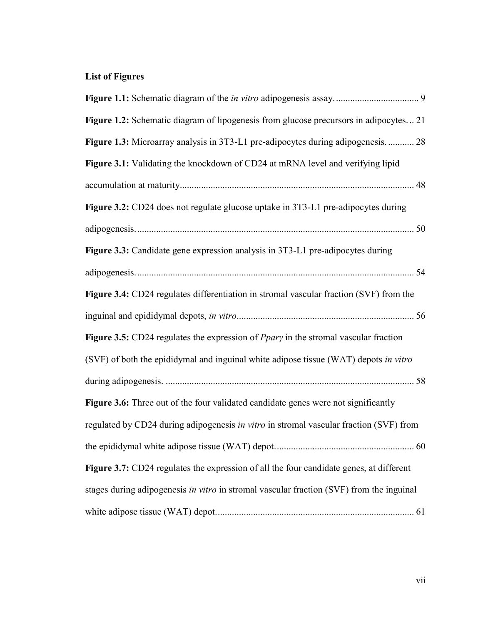# <span id="page-6-0"></span>**List of Figures**

| Figure 1.2: Schematic diagram of lipogenesis from glucose precursors in adipocytes 21    |  |
|------------------------------------------------------------------------------------------|--|
| Figure 1.3: Microarray analysis in 3T3-L1 pre-adipocytes during adipogenesis 28          |  |
| Figure 3.1: Validating the knockdown of CD24 at mRNA level and verifying lipid           |  |
|                                                                                          |  |
| Figure 3.2: CD24 does not regulate glucose uptake in 3T3-L1 pre-adipocytes during        |  |
|                                                                                          |  |
| Figure 3.3: Candidate gene expression analysis in 3T3-L1 pre-adipocytes during           |  |
|                                                                                          |  |
| Figure 3.4: CD24 regulates differentiation in stromal vascular fraction (SVF) from the   |  |
|                                                                                          |  |
| Figure 3.5: CD24 regulates the expression of $Ppary$ in the stromal vascular fraction    |  |
| (SVF) of both the epididymal and inguinal white adipose tissue (WAT) depots in vitro     |  |
|                                                                                          |  |
| Figure 3.6: Three out of the four validated candidate genes were not significantly       |  |
| regulated by CD24 during adipogenesis in vitro in stromal vascular fraction (SVF) from   |  |
|                                                                                          |  |
| Figure 3.7: CD24 regulates the expression of all the four candidate genes, at different  |  |
| stages during adipogenesis in vitro in stromal vascular fraction (SVF) from the inguinal |  |
|                                                                                          |  |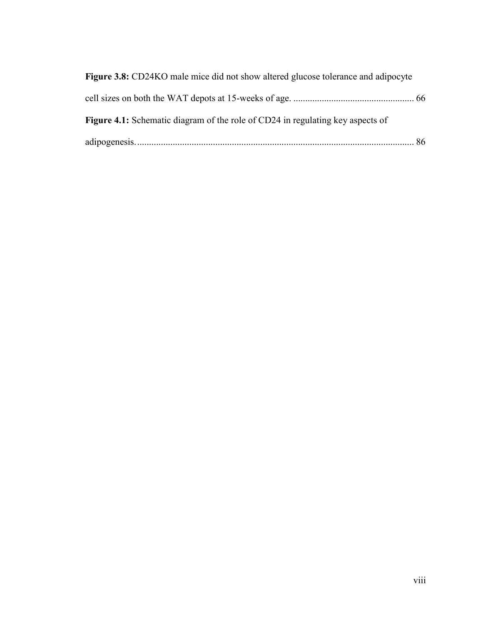| <b>Figure 3.8:</b> CD24KO male mice did not show altered glucose tolerance and adipocyte |  |
|------------------------------------------------------------------------------------------|--|
|                                                                                          |  |
| Figure 4.1: Schematic diagram of the role of CD24 in regulating key aspects of           |  |
|                                                                                          |  |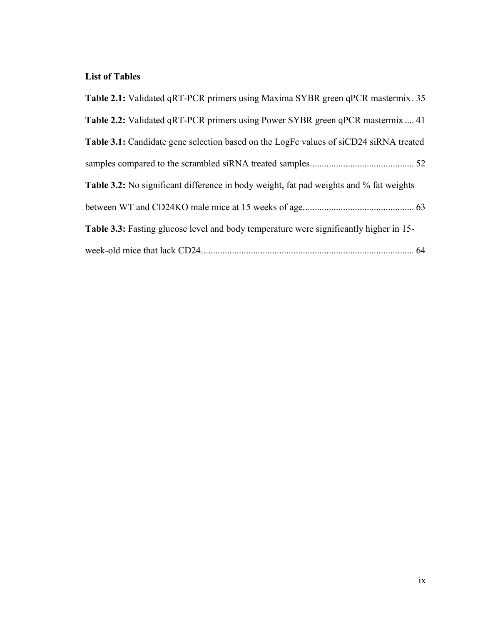## <span id="page-8-0"></span>**List of Tables**

| Table 2.1: Validated qRT-PCR primers using Maxima SYBR green qPCR mastermix. 35               |
|-----------------------------------------------------------------------------------------------|
| Table 2.2: Validated qRT-PCR primers using Power SYBR green qPCR mastermix  41                |
| <b>Table 3.1:</b> Candidate gene selection based on the LogFc values of siCD24 siRNA treated  |
|                                                                                               |
| Table 3.2: No significant difference in body weight, fat pad weights and % fat weights        |
|                                                                                               |
| <b>Table 3.3:</b> Fasting glucose level and body temperature were significantly higher in 15- |
|                                                                                               |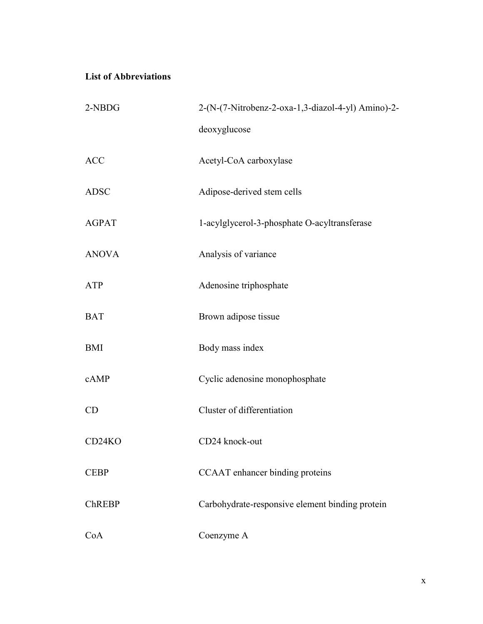## <span id="page-9-0"></span>**List of Abbreviations**

| 2-NBDG        | 2-(N-(7-Nitrobenz-2-oxa-1,3-diazol-4-yl) Amino)-2- |
|---------------|----------------------------------------------------|
|               | deoxyglucose                                       |
| ACC           | Acetyl-CoA carboxylase                             |
| <b>ADSC</b>   | Adipose-derived stem cells                         |
| <b>AGPAT</b>  | 1-acylglycerol-3-phosphate O-acyltransferase       |
| <b>ANOVA</b>  | Analysis of variance                               |
| ATP           | Adenosine triphosphate                             |
| <b>BAT</b>    | Brown adipose tissue                               |
| <b>BMI</b>    | Body mass index                                    |
| cAMP          | Cyclic adenosine monophosphate                     |
| CD            | Cluster of differentiation                         |
| CD24KO        | CD24 knock-out                                     |
| <b>CEBP</b>   | CCAAT enhancer binding proteins                    |
| <b>ChREBP</b> | Carbohydrate-responsive element binding protein    |
| CoA           | Coenzyme A                                         |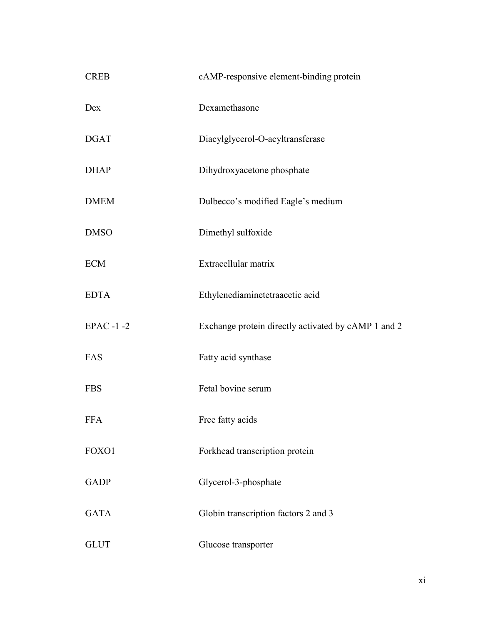| <b>CREB</b>     | cAMP-responsive element-binding protein             |
|-----------------|-----------------------------------------------------|
| Dex             | Dexamethasone                                       |
| <b>DGAT</b>     | Diacylglycerol-O-acyltransferase                    |
| <b>DHAP</b>     | Dihydroxyacetone phosphate                          |
| <b>DMEM</b>     | Dulbecco's modified Eagle's medium                  |
| <b>DMSO</b>     | Dimethyl sulfoxide                                  |
| <b>ECM</b>      | Extracellular matrix                                |
| <b>EDTA</b>     | Ethylenediaminetetraacetic acid                     |
| <b>EPAC-1-2</b> | Exchange protein directly activated by cAMP 1 and 2 |
| FAS             | Fatty acid synthase                                 |
| <b>FBS</b>      | Fetal bovine serum                                  |
| <b>FFA</b>      | Free fatty acids                                    |
| FOXO1           | Forkhead transcription protein                      |
| <b>GADP</b>     | Glycerol-3-phosphate                                |
| <b>GATA</b>     | Globin transcription factors 2 and 3                |
| <b>GLUT</b>     | Glucose transporter                                 |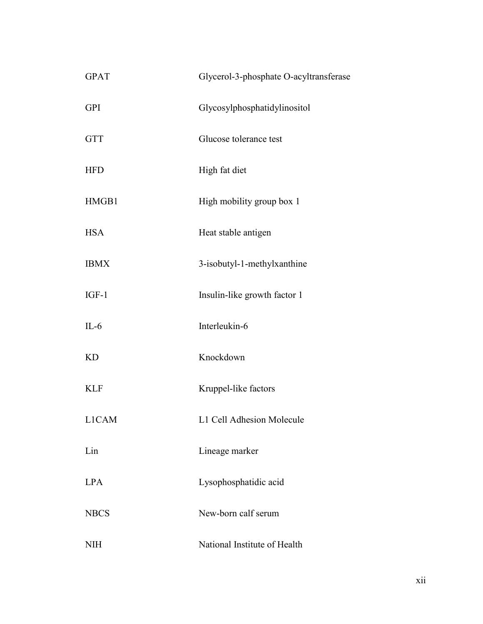| <b>GPAT</b>  | Glycerol-3-phosphate O-acyltransferase |
|--------------|----------------------------------------|
| <b>GPI</b>   | Glycosylphosphatidylinositol           |
| <b>GTT</b>   | Glucose tolerance test                 |
| <b>HFD</b>   | High fat diet                          |
| HMGB1        | High mobility group box 1              |
| <b>HSA</b>   | Heat stable antigen                    |
| <b>IBMX</b>  | 3-isobutyl-1-methylxanthine            |
| $IGF-1$      | Insulin-like growth factor 1           |
| $IL-6$       | Interleukin-6                          |
| <b>KD</b>    | Knockdown                              |
| <b>KLF</b>   | Kruppel-like factors                   |
| <b>L1CAM</b> | L1 Cell Adhesion Molecule              |
| Lin          | Lineage marker                         |
| <b>LPA</b>   | Lysophosphatidic acid                  |
| <b>NBCS</b>  | New-born calf serum                    |
| <b>NIH</b>   | National Institute of Health           |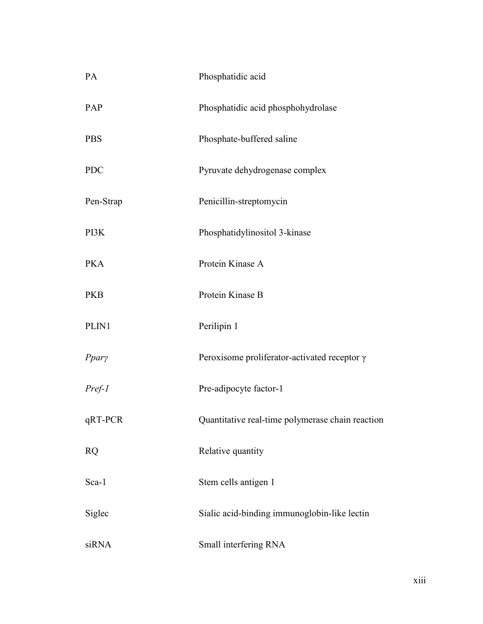| PA         | Phosphatidic acid                                   |
|------------|-----------------------------------------------------|
| PAP        | Phosphatidic acid phosphohydrolase                  |
| <b>PBS</b> | Phosphate-buffered saline                           |
| <b>PDC</b> | Pyruvate dehydrogenase complex                      |
| Pen-Strap  | Penicillin-streptomycin                             |
| PI3K       | Phosphatidylinositol 3-kinase                       |
| <b>PKA</b> | Protein Kinase A                                    |
| <b>PKB</b> | Protein Kinase B                                    |
| PLIN1      | Perilipin 1                                         |
| Ppary      | Peroxisome proliferator-activated receptor $\gamma$ |
| $Pref-1$   | Pre-adipocyte factor-1                              |
| qRT-PCR    | Quantitative real-time polymerase chain reaction    |
| <b>RQ</b>  | Relative quantity                                   |
| Sca-1      | Stem cells antigen 1                                |
| Siglec     | Sialic acid-binding immunoglobin-like lectin        |
| siRNA      | Small interfering RNA                               |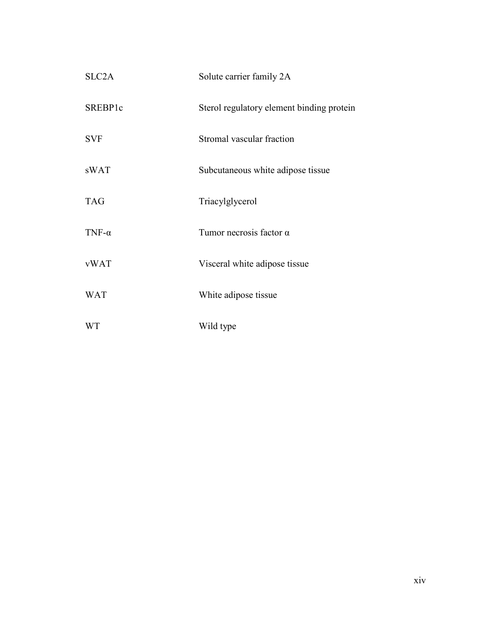| SLC <sub>2</sub> A | Solute carrier family 2A                  |
|--------------------|-------------------------------------------|
| SREBP1c            | Sterol regulatory element binding protein |
| <b>SVF</b>         | Stromal vascular fraction                 |
| sWAT               | Subcutaneous white adipose tissue         |
| <b>TAG</b>         | Triacylglycerol                           |
| TNF- $\alpha$      | Tumor necrosis factor $\alpha$            |
| <b>vWAT</b>        | Visceral white adipose tissue             |
| <b>WAT</b>         | White adipose tissue                      |
| <b>WT</b>          | Wild type                                 |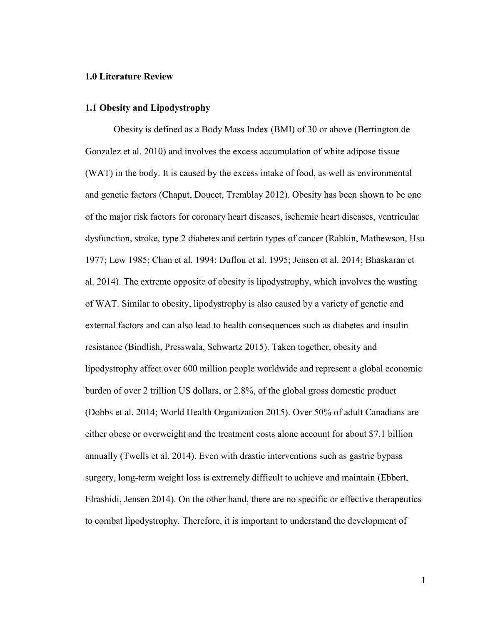#### <span id="page-14-0"></span>**1.0 Literature Review**

#### <span id="page-14-1"></span>**1.1 Obesity and Lipodystrophy**

Obesity is defined as a Body Mass Index (BMI) of 30 or above (Berrington de Gonzalez et al. 2010) and involves the excess accumulation of white adipose tissue (WAT) in the body. It is caused by the excess intake of food, as well as environmental and genetic factors (Chaput, Doucet, Tremblay 2012). Obesity has been shown to be one of the major risk factors for coronary heart diseases, ischemic heart diseases, ventricular dysfunction, stroke, type 2 diabetes and certain types of cancer (Rabkin, Mathewson, Hsu 1977; Lew 1985; Chan et al. 1994; Duflou et al. 1995; Jensen et al. 2014; Bhaskaran et al. 2014). The extreme opposite of obesity is lipodystrophy, which involves the wasting of WAT. Similar to obesity, lipodystrophy is also caused by a variety of genetic and external factors and can also lead to health consequences such as diabetes and insulin resistance (Bindlish, Presswala, Schwartz 2015). Taken together, obesity and lipodystrophy affect over 600 million people worldwide and represent a global economic burden of over 2 trillion US dollars, or 2.8%, of the global gross domestic product (Dobbs et al. 2014; World Health Organization 2015). Over 50% of adult Canadians are either obese or overweight and the treatment costs alone account for about \$7.1 billion annually (Twells et al. 2014). Even with drastic interventions such as gastric bypass surgery, long-term weight loss is extremely difficult to achieve and maintain (Ebbert, Elrashidi, Jensen 2014). On the other hand, there are no specific or effective therapeutics to combat lipodystrophy. Therefore, it is important to understand the development of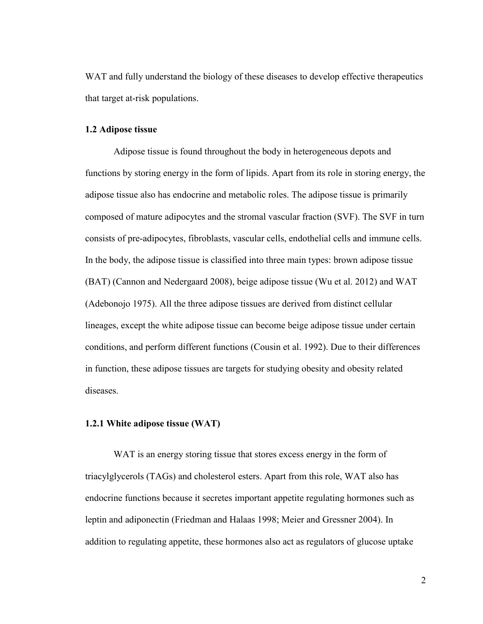WAT and fully understand the biology of these diseases to develop effective therapeutics that target at-risk populations.

#### <span id="page-15-0"></span>**1.2 Adipose tissue**

Adipose tissue is found throughout the body in heterogeneous depots and functions by storing energy in the form of lipids. Apart from its role in storing energy, the adipose tissue also has endocrine and metabolic roles. The adipose tissue is primarily composed of mature adipocytes and the stromal vascular fraction (SVF). The SVF in turn consists of pre-adipocytes, fibroblasts, vascular cells, endothelial cells and immune cells. In the body, the adipose tissue is classified into three main types: brown adipose tissue (BAT) (Cannon and Nedergaard 2008), beige adipose tissue (Wu et al. 2012) and WAT (Adebonojo 1975). All the three adipose tissues are derived from distinct cellular lineages, except the white adipose tissue can become beige adipose tissue under certain conditions, and perform different functions (Cousin et al. 1992). Due to their differences in function, these adipose tissues are targets for studying obesity and obesity related diseases.

#### <span id="page-15-1"></span>**1.2.1 White adipose tissue (WAT)**

WAT is an energy storing tissue that stores excess energy in the form of triacylglycerols (TAGs) and cholesterol esters. Apart from this role, WAT also has endocrine functions because it secretes important appetite regulating hormones such as leptin and adiponectin (Friedman and Halaas 1998; Meier and Gressner 2004). In addition to regulating appetite, these hormones also act as regulators of glucose uptake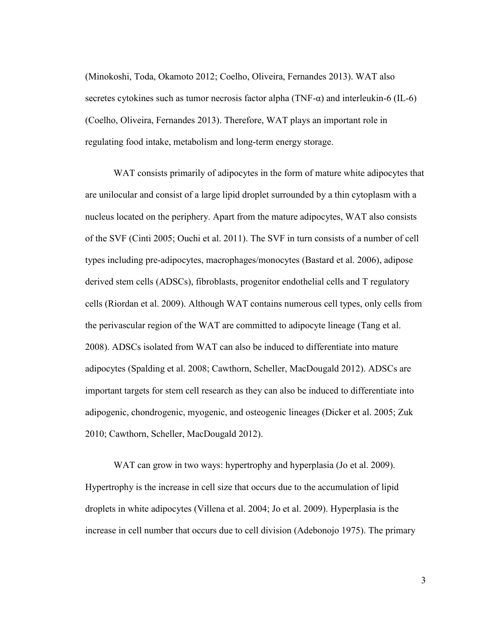(Minokoshi, Toda, Okamoto 2012; Coelho, Oliveira, Fernandes 2013). WAT also secretes cytokines such as tumor necrosis factor alpha (TNF- $\alpha$ ) and interleukin-6 (IL-6) (Coelho, Oliveira, Fernandes 2013). Therefore, WAT plays an important role in regulating food intake, metabolism and long-term energy storage.

WAT consists primarily of adipocytes in the form of mature white adipocytes that are unilocular and consist of a large lipid droplet surrounded by a thin cytoplasm with a nucleus located on the periphery. Apart from the mature adipocytes, WAT also consists of the SVF (Cinti 2005; Ouchi et al. 2011). The SVF in turn consists of a number of cell types including pre-adipocytes, macrophages/monocytes (Bastard et al. 2006), adipose derived stem cells (ADSCs), fibroblasts, progenitor endothelial cells and T regulatory cells (Riordan et al. 2009). Although WAT contains numerous cell types, only cells from the perivascular region of the WAT are committed to adipocyte lineage (Tang et al. 2008). ADSCs isolated from WAT can also be induced to differentiate into mature adipocytes (Spalding et al. 2008; Cawthorn, Scheller, MacDougald 2012). ADSCs are important targets for stem cell research as they can also be induced to differentiate into adipogenic, chondrogenic, myogenic, and osteogenic lineages (Dicker et al. 2005; Zuk 2010; Cawthorn, Scheller, MacDougald 2012).

WAT can grow in two ways: hypertrophy and hyperplasia (Jo et al. 2009). Hypertrophy is the increase in cell size that occurs due to the accumulation of lipid droplets in white adipocytes (Villena et al. 2004; Jo et al. 2009). Hyperplasia is the increase in cell number that occurs due to cell division (Adebonojo 1975). The primary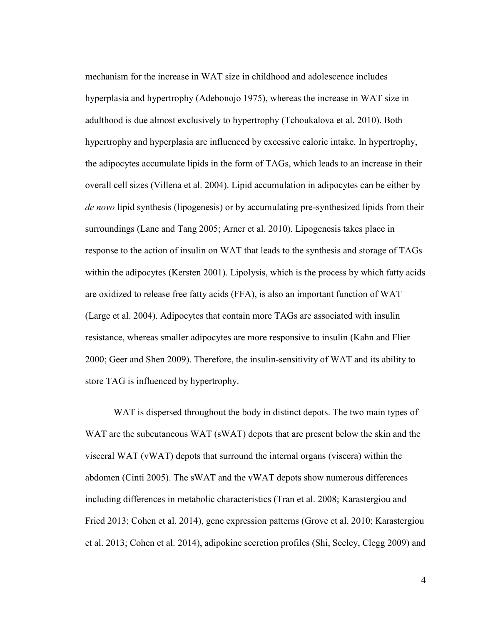mechanism for the increase in WAT size in childhood and adolescence includes hyperplasia and hypertrophy (Adebonojo 1975), whereas the increase in WAT size in adulthood is due almost exclusively to hypertrophy (Tchoukalova et al. 2010). Both hypertrophy and hyperplasia are influenced by excessive caloric intake. In hypertrophy, the adipocytes accumulate lipids in the form of TAGs, which leads to an increase in their overall cell sizes (Villena et al. 2004). Lipid accumulation in adipocytes can be either by *de novo* lipid synthesis (lipogenesis) or by accumulating pre-synthesized lipids from their surroundings (Lane and Tang 2005; Arner et al. 2010). Lipogenesis takes place in response to the action of insulin on WAT that leads to the synthesis and storage of TAGs within the adipocytes (Kersten 2001). Lipolysis, which is the process by which fatty acids are oxidized to release free fatty acids (FFA), is also an important function of WAT (Large et al. 2004). Adipocytes that contain more TAGs are associated with insulin resistance, whereas smaller adipocytes are more responsive to insulin (Kahn and Flier 2000; Geer and Shen 2009). Therefore, the insulin-sensitivity of WAT and its ability to store TAG is influenced by hypertrophy.

WAT is dispersed throughout the body in distinct depots. The two main types of WAT are the subcutaneous WAT (sWAT) depots that are present below the skin and the visceral WAT (vWAT) depots that surround the internal organs (viscera) within the abdomen (Cinti 2005). The sWAT and the vWAT depots show numerous differences including differences in metabolic characteristics (Tran et al. 2008; Karastergiou and Fried 2013; Cohen et al. 2014), gene expression patterns (Grove et al. 2010; Karastergiou et al. 2013; Cohen et al. 2014), adipokine secretion profiles (Shi, Seeley, Clegg 2009) and

4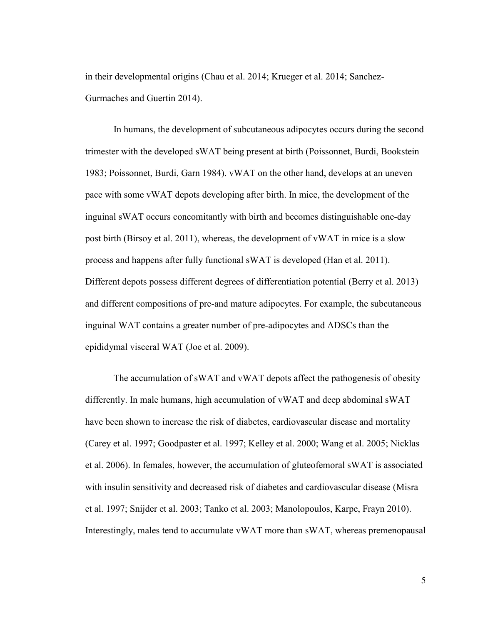in their developmental origins (Chau et al. 2014; Krueger et al. 2014; Sanchez-Gurmaches and Guertin 2014).

In humans, the development of subcutaneous adipocytes occurs during the second trimester with the developed sWAT being present at birth (Poissonnet, Burdi, Bookstein 1983; Poissonnet, Burdi, Garn 1984). vWAT on the other hand, develops at an uneven pace with some vWAT depots developing after birth. In mice, the development of the inguinal sWAT occurs concomitantly with birth and becomes distinguishable one-day post birth (Birsoy et al. 2011), whereas, the development of vWAT in mice is a slow process and happens after fully functional sWAT is developed (Han et al. 2011). Different depots possess different degrees of differentiation potential (Berry et al. 2013) and different compositions of pre-and mature adipocytes. For example, the subcutaneous inguinal WAT contains a greater number of pre-adipocytes and ADSCs than the epididymal visceral WAT (Joe et al. 2009).

The accumulation of sWAT and vWAT depots affect the pathogenesis of obesity differently. In male humans, high accumulation of vWAT and deep abdominal sWAT have been shown to increase the risk of diabetes, cardiovascular disease and mortality (Carey et al. 1997; Goodpaster et al. 1997; Kelley et al. 2000; Wang et al. 2005; Nicklas et al. 2006). In females, however, the accumulation of gluteofemoral sWAT is associated with insulin sensitivity and decreased risk of diabetes and cardiovascular disease (Misra et al. 1997; Snijder et al. 2003; Tanko et al. 2003; Manolopoulos, Karpe, Frayn 2010). Interestingly, males tend to accumulate vWAT more than sWAT, whereas premenopausal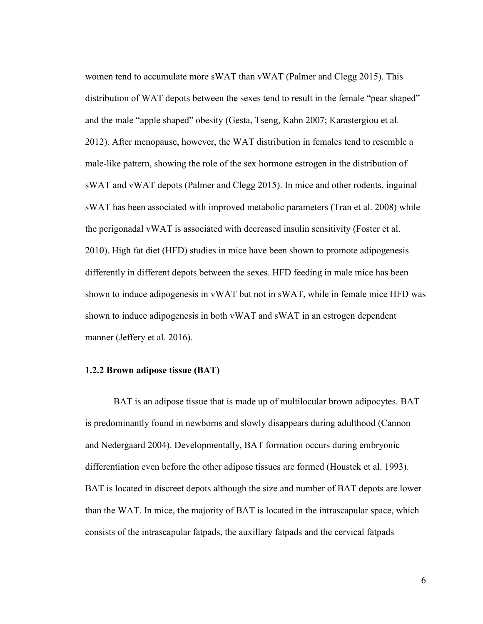women tend to accumulate more sWAT than vWAT (Palmer and Clegg 2015). This distribution of WAT depots between the sexes tend to result in the female "pear shaped" and the male "apple shaped" obesity (Gesta, Tseng, Kahn 2007; Karastergiou et al. 2012). After menopause, however, the WAT distribution in females tend to resemble a male-like pattern, showing the role of the sex hormone estrogen in the distribution of sWAT and vWAT depots (Palmer and Clegg 2015). In mice and other rodents, inguinal sWAT has been associated with improved metabolic parameters (Tran et al. 2008) while the perigonadal vWAT is associated with decreased insulin sensitivity (Foster et al. 2010). High fat diet (HFD) studies in mice have been shown to promote adipogenesis differently in different depots between the sexes. HFD feeding in male mice has been shown to induce adipogenesis in vWAT but not in sWAT, while in female mice HFD was shown to induce adipogenesis in both vWAT and sWAT in an estrogen dependent manner (Jeffery et al. 2016).

#### <span id="page-19-0"></span>**1.2.2 Brown adipose tissue (BAT)**

BAT is an adipose tissue that is made up of multilocular brown adipocytes. BAT is predominantly found in newborns and slowly disappears during adulthood (Cannon and Nedergaard 2004). Developmentally, BAT formation occurs during embryonic differentiation even before the other adipose tissues are formed (Houstek et al. 1993). BAT is located in discreet depots although the size and number of BAT depots are lower than the WAT. In mice, the majority of BAT is located in the intrascapular space, which consists of the intrascapular fatpads, the auxillary fatpads and the cervical fatpads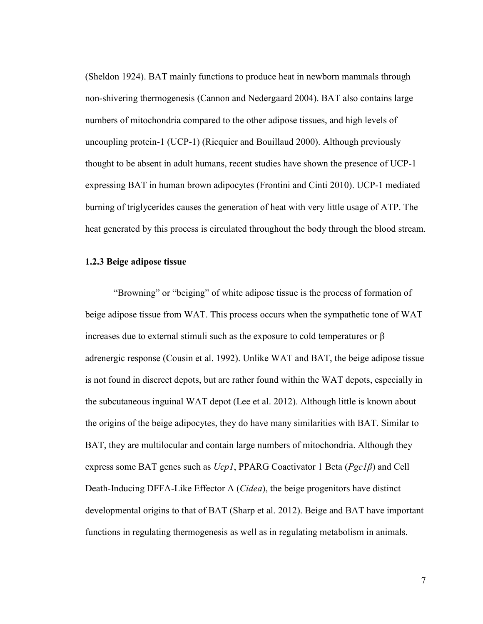(Sheldon 1924). BAT mainly functions to produce heat in newborn mammals through non-shivering thermogenesis (Cannon and Nedergaard 2004). BAT also contains large numbers of mitochondria compared to the other adipose tissues, and high levels of uncoupling protein-1 (UCP-1) (Ricquier and Bouillaud 2000). Although previously thought to be absent in adult humans, recent studies have shown the presence of UCP-1 expressing BAT in human brown adipocytes (Frontini and Cinti 2010). UCP-1 mediated burning of triglycerides causes the generation of heat with very little usage of ATP. The heat generated by this process is circulated throughout the body through the blood stream.

#### <span id="page-20-0"></span>**1.2.3 Beige adipose tissue**

"Browning" or "beiging" of white adipose tissue is the process of formation of beige adipose tissue from WAT. This process occurs when the sympathetic tone of WAT increases due to external stimuli such as the exposure to cold temperatures or  $\beta$ adrenergic response (Cousin et al. 1992). Unlike WAT and BAT, the beige adipose tissue is not found in discreet depots, but are rather found within the WAT depots, especially in the subcutaneous inguinal WAT depot (Lee et al. 2012). Although little is known about the origins of the beige adipocytes, they do have many similarities with BAT. Similar to BAT, they are multilocular and contain large numbers of mitochondria. Although they express some BAT genes such as *Ucp1*, PPARG Coactivator 1 Beta (*Pgc1ȕ*) and Cell Death-Inducing DFFA-Like Effector A (*Cidea*), the beige progenitors have distinct developmental origins to that of BAT (Sharp et al. 2012). Beige and BAT have important functions in regulating thermogenesis as well as in regulating metabolism in animals.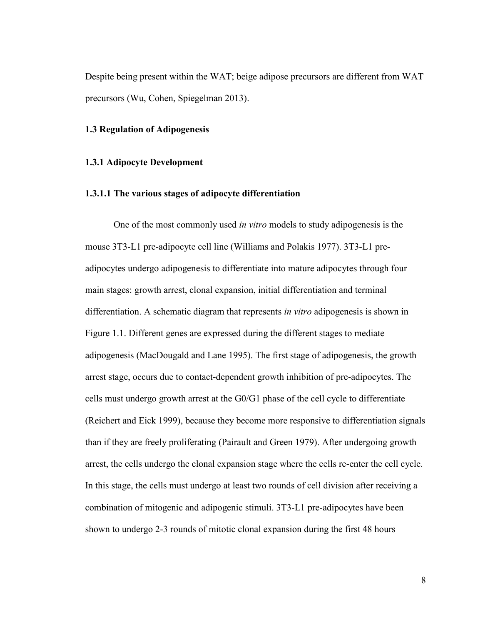Despite being present within the WAT; beige adipose precursors are different from WAT precursors (Wu, Cohen, Spiegelman 2013).

#### <span id="page-21-0"></span>**1.3 Regulation of Adipogenesis**

#### <span id="page-21-1"></span>**1.3.1 Adipocyte Development**

#### **1.3.1.1 The various stages of adipocyte differentiation**

One of the most commonly used *in vitro* models to study adipogenesis is the mouse 3T3-L1 pre-adipocyte cell line (Williams and Polakis 1977). 3T3-L1 preadipocytes undergo adipogenesis to differentiate into mature adipocytes through four main stages: growth arrest, clonal expansion, initial differentiation and terminal differentiation. A schematic diagram that represents *in vitro* adipogenesis is shown in Figure 1.1. Different genes are expressed during the different stages to mediate adipogenesis (MacDougald and Lane 1995). The first stage of adipogenesis, the growth arrest stage, occurs due to contact-dependent growth inhibition of pre-adipocytes. The cells must undergo growth arrest at the G0/G1 phase of the cell cycle to differentiate (Reichert and Eick 1999), because they become more responsive to differentiation signals than if they are freely proliferating (Pairault and Green 1979). After undergoing growth arrest, the cells undergo the clonal expansion stage where the cells re-enter the cell cycle. In this stage, the cells must undergo at least two rounds of cell division after receiving a combination of mitogenic and adipogenic stimuli. 3T3-L1 pre-adipocytes have been shown to undergo 2-3 rounds of mitotic clonal expansion during the first 48 hours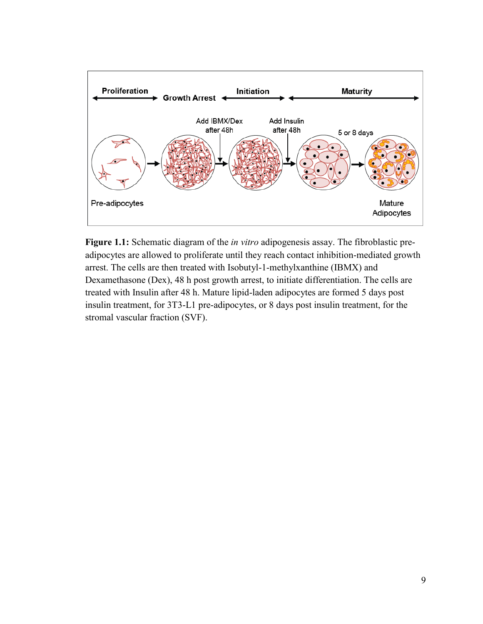

<span id="page-22-0"></span>**Figure 1.1:** Schematic diagram of the *in vitro* adipogenesis assay. The fibroblastic preadipocytes are allowed to proliferate until they reach contact inhibition-mediated growth arrest. The cells are then treated with Isobutyl-1-methylxanthine (IBMX) and Dexamethasone (Dex), 48 h post growth arrest, to initiate differentiation. The cells are treated with Insulin after 48 h. Mature lipid-laden adipocytes are formed 5 days post insulin treatment, for 3T3-L1 pre-adipocytes, or 8 days post insulin treatment, for the stromal vascular fraction (SVF).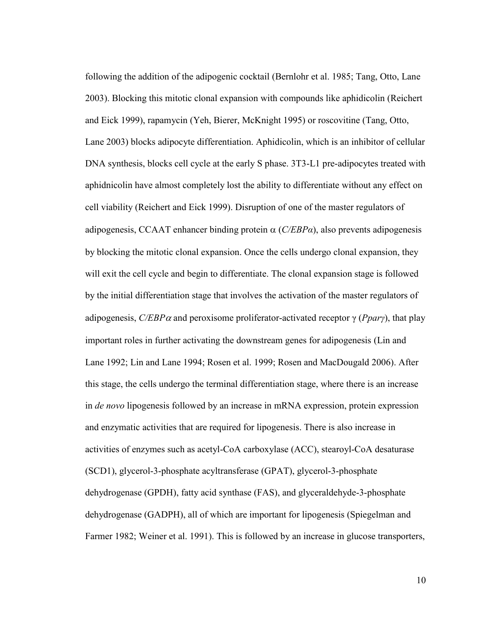following the addition of the adipogenic cocktail (Bernlohr et al. 1985; Tang, Otto, Lane 2003). Blocking this mitotic clonal expansion with compounds like aphidicolin (Reichert and Eick 1999), rapamycin (Yeh, Bierer, McKnight 1995) or roscovitine (Tang, Otto, Lane 2003) blocks adipocyte differentiation. Aphidicolin, which is an inhibitor of cellular DNA synthesis, blocks cell cycle at the early S phase. 3T3-L1 pre-adipocytes treated with aphidnicolin have almost completely lost the ability to differentiate without any effect on cell viability (Reichert and Eick 1999). Disruption of one of the master regulators of adipogenesis, CCAAT enhancer binding protein  $\alpha$  (*C/EBPa*), also prevents adipogenesis by blocking the mitotic clonal expansion. Once the cells undergo clonal expansion, they will exit the cell cycle and begin to differentiate. The clonal expansion stage is followed by the initial differentiation stage that involves the activation of the master regulators of adipogenesis,  $C/EBP\alpha$  and peroxisome proliferator-activated receptor  $\gamma$  (*Ppar* $\gamma$ ), that play important roles in further activating the downstream genes for adipogenesis (Lin and Lane 1992; Lin and Lane 1994; Rosen et al. 1999; Rosen and MacDougald 2006). After this stage, the cells undergo the terminal differentiation stage, where there is an increase in *de novo* lipogenesis followed by an increase in mRNA expression, protein expression and enzymatic activities that are required for lipogenesis. There is also increase in activities of enzymes such as acetyl-CoA carboxylase (ACC), stearoyl-CoA desaturase (SCD1), glycerol-3-phosphate acyltransferase (GPAT), glycerol-3-phosphate dehydrogenase (GPDH), fatty acid synthase (FAS), and glyceraldehyde-3-phosphate dehydrogenase (GADPH), all of which are important for lipogenesis (Spiegelman and Farmer 1982; Weiner et al. 1991). This is followed by an increase in glucose transporters,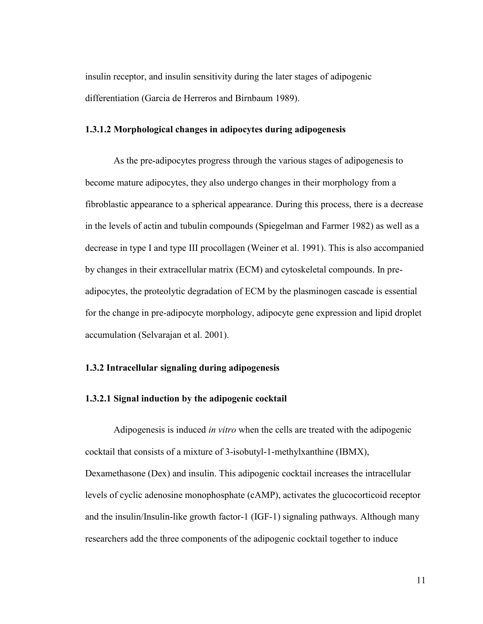insulin receptor, and insulin sensitivity during the later stages of adipogenic differentiation (Garcia de Herreros and Birnbaum 1989).

#### **1.3.1.2 Morphological changes in adipocytes during adipogenesis**

As the pre-adipocytes progress through the various stages of adipogenesis to become mature adipocytes, they also undergo changes in their morphology from a fibroblastic appearance to a spherical appearance. During this process, there is a decrease in the levels of actin and tubulin compounds (Spiegelman and Farmer 1982) as well as a decrease in type I and type III procollagen (Weiner et al. 1991). This is also accompanied by changes in their extracellular matrix (ECM) and cytoskeletal compounds. In preadipocytes, the proteolytic degradation of ECM by the plasminogen cascade is essential for the change in pre-adipocyte morphology, adipocyte gene expression and lipid droplet accumulation (Selvarajan et al. 2001).

#### <span id="page-24-0"></span>**1.3.2 Intracellular signaling during adipogenesis**

#### **1.3.2.1 Signal induction by the adipogenic cocktail**

Adipogenesis is induced *in vitro* when the cells are treated with the adipogenic cocktail that consists of a mixture of 3-isobutyl-1-methylxanthine (IBMX), Dexamethasone (Dex) and insulin. This adipogenic cocktail increases the intracellular levels of cyclic adenosine monophosphate (cAMP), activates the glucocorticoid receptor and the insulin/Insulin-like growth factor-1 (IGF-1) signaling pathways. Although many researchers add the three components of the adipogenic cocktail together to induce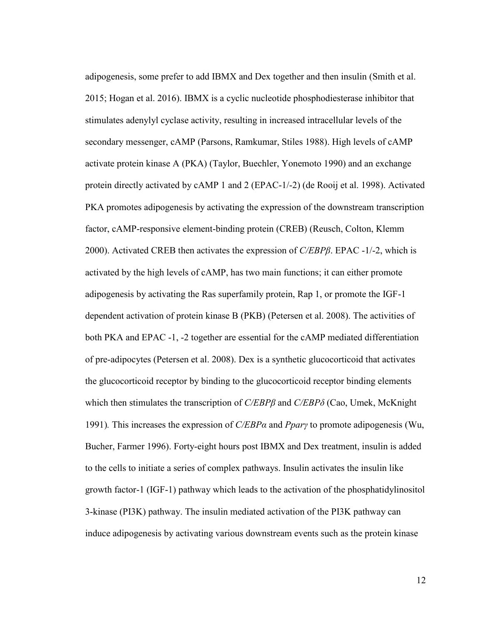adipogenesis, some prefer to add IBMX and Dex together and then insulin (Smith et al. 2015; Hogan et al. 2016). IBMX is a cyclic nucleotide phosphodiesterase inhibitor that stimulates adenylyl cyclase activity, resulting in increased intracellular levels of the secondary messenger, cAMP (Parsons, Ramkumar, Stiles 1988). High levels of cAMP activate protein kinase A (PKA) (Taylor, Buechler, Yonemoto 1990) and an exchange protein directly activated by cAMP 1 and 2 (EPAC-1/-2) (de Rooij et al. 1998). Activated PKA promotes adipogenesis by activating the expression of the downstream transcription factor, cAMP-responsive element-binding protein (CREB) (Reusch, Colton, Klemm 2000). Activated CREB then activates the expression of *C/EBPȕ*. EPAC -1/-2, which is activated by the high levels of cAMP, has two main functions; it can either promote adipogenesis by activating the Ras superfamily protein, Rap 1, or promote the IGF-1 dependent activation of protein kinase B (PKB) (Petersen et al. 2008). The activities of both PKA and EPAC -1, -2 together are essential for the cAMP mediated differentiation of pre-adipocytes (Petersen et al. 2008). Dex is a synthetic glucocorticoid that activates the glucocorticoid receptor by binding to the glucocorticoid receptor binding elements which then stimulates the transcription of *C/EBPβ* and *C/EBPδ* (Cao, Umek, McKnight 1991)*.* This increases the expression of *C/EBPα* and *PparȖ* to promote adipogenesis (Wu, Bucher, Farmer 1996). Forty-eight hours post IBMX and Dex treatment, insulin is added to the cells to initiate a series of complex pathways. Insulin activates the insulin like growth factor-1 (IGF-1) pathway which leads to the activation of the phosphatidylinositol 3-kinase (PI3K) pathway. The insulin mediated activation of the PI3K pathway can induce adipogenesis by activating various downstream events such as the protein kinase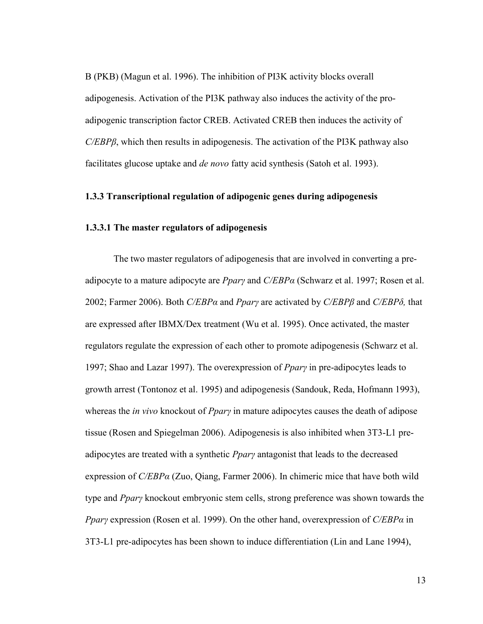B (PKB) (Magun et al. 1996). The inhibition of PI3K activity blocks overall adipogenesis. Activation of the PI3K pathway also induces the activity of the proadipogenic transcription factor CREB. Activated CREB then induces the activity of *C/EBPß*, which then results in adipogenesis. The activation of the PI3K pathway also facilitates glucose uptake and *de novo* fatty acid synthesis (Satoh et al. 1993).

#### <span id="page-26-0"></span>**1.3.3 Transcriptional regulation of adipogenic genes during adipogenesis**

#### **1.3.3.1 The master regulators of adipogenesis**

The two master regulators of adipogenesis that are involved in converting a preadipocyte to a mature adipocyte are *PparȖ* and *C/EBPα* (Schwarz et al. 1997; Rosen et al. 2002; Farmer 2006). Both *C/EBPα* and *PparȖ* are activated by *C/EBPȕ* and *C/EBPδ,* that are expressed after IBMX/Dex treatment (Wu et al. 1995). Once activated, the master regulators regulate the expression of each other to promote adipogenesis (Schwarz et al. 1997; Shao and Lazar 1997). The overexpression of *PparȖ* in pre-adipocytes leads to growth arrest (Tontonoz et al. 1995) and adipogenesis (Sandouk, Reda, Hofmann 1993), whereas the *in vivo* knockout of *Ppary* in mature adipocytes causes the death of adipose tissue (Rosen and Spiegelman 2006). Adipogenesis is also inhibited when 3T3-L1 preadipocytes are treated with a synthetic *PparȖ* antagonist that leads to the decreased expression of *C/EBPα* (Zuo, Qiang, Farmer 2006). In chimeric mice that have both wild type and *PparȖ* knockout embryonic stem cells, strong preference was shown towards the *PparȖ* expression (Rosen et al. 1999). On the other hand, overexpression of *C/EBPα* in 3T3-L1 pre-adipocytes has been shown to induce differentiation (Lin and Lane 1994),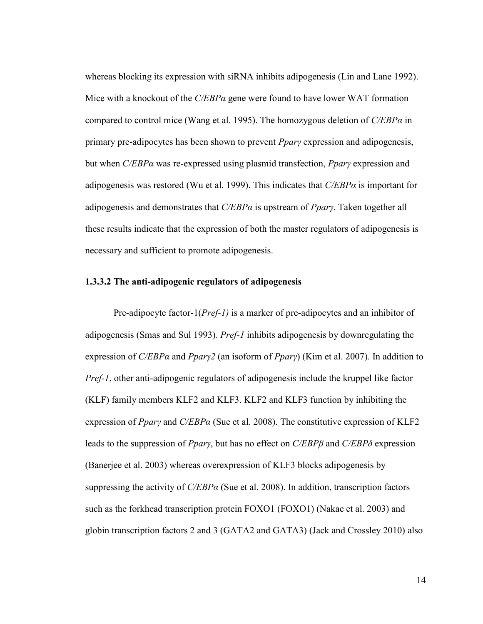whereas blocking its expression with siRNA inhibits adipogenesis (Lin and Lane 1992). Mice with a knockout of the *C/EBPα* gene were found to have lower WAT formation compared to control mice (Wang et al. 1995). The homozygous deletion of *C/EBPα* in primary pre-adipocytes has been shown to prevent *PparȖ* expression and adipogenesis, but when *C/EBPα* was re-expressed using plasmid transfection, *PparȖ* expression and adipogenesis was restored (Wu et al. 1999). This indicates that *C/EBPα* is important for adipogenesis and demonstrates that *C/EBPα* is upstream of *PparȖ*. Taken together all these results indicate that the expression of both the master regulators of adipogenesis is necessary and sufficient to promote adipogenesis.

#### **1.3.3.2 The anti-adipogenic regulators of adipogenesis**

Pre-adipocyte factor-1(*Pref-1)* is a marker of pre-adipocytes and an inhibitor of adipogenesis (Smas and Sul 1993). *Pref-1* inhibits adipogenesis by downregulating the expression of *C/EBPα* and *PparȖ2* (an isoform of *PparȖ*) (Kim et al. 2007). In addition to *Pref-1*, other anti-adipogenic regulators of adipogenesis include the kruppel like factor (KLF) family members KLF2 and KLF3. KLF2 and KLF3 function by inhibiting the expression of *PparȖ* and *C/EBPα* (Sue et al. 2008). The constitutive expression of KLF2 leads to the suppression of *Ppary*, but has no effect on  $C/EBP\beta$  and  $C/EBP\delta$  expression (Banerjee et al. 2003) whereas overexpression of KLF3 blocks adipogenesis by suppressing the activity of *C/EBPα* (Sue et al. 2008). In addition, transcription factors such as the forkhead transcription protein FOXO1 (FOXO1) (Nakae et al. 2003) and globin transcription factors 2 and 3 (GATA2 and GATA3) (Jack and Crossley 2010) also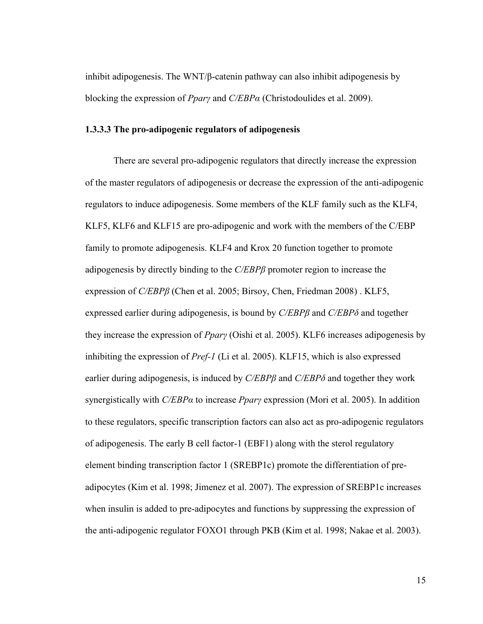inhibit adipogenesis. The WNT/ $\beta$ -catenin pathway can also inhibit adipogenesis by blocking the expression of *PparȖ* and *C/EBPα* (Christodoulides et al. 2009).

#### **1.3.3.3 The pro-adipogenic regulators of adipogenesis**

There are several pro-adipogenic regulators that directly increase the expression of the master regulators of adipogenesis or decrease the expression of the anti-adipogenic regulators to induce adipogenesis. Some members of the KLF family such as the KLF4, KLF5, KLF6 and KLF15 are pro-adipogenic and work with the members of the C/EBP family to promote adipogenesis. KLF4 and Krox 20 function together to promote adipogenesis by directly binding to the *C/EBPȕ* promoter region to increase the expression of *C/EBPȕ* (Chen et al. 2005; Birsoy, Chen, Friedman 2008) . KLF5, expressed earlier during adipogenesis, is bound by *C/EBPȕ* and *C/EBPδ* and together they increase the expression of *PparȖ* (Oishi et al. 2005). KLF6 increases adipogenesis by inhibiting the expression of *Pref-1* (Li et al. 2005). KLF15, which is also expressed earlier during adipogenesis, is induced by *C/EBPȕ* and *C/EBPδ* and together they work synergistically with *C/EBPα* to increase *PparȖ* expression (Mori et al. 2005). In addition to these regulators, specific transcription factors can also act as pro-adipogenic regulators of adipogenesis. The early B cell factor-1 (EBF1) along with the sterol regulatory element binding transcription factor 1 (SREBP1c) promote the differentiation of preadipocytes (Kim et al. 1998; Jimenez et al. 2007). The expression of SREBP1c increases when insulin is added to pre-adipocytes and functions by suppressing the expression of the anti-adipogenic regulator FOXO1 through PKB (Kim et al. 1998; Nakae et al. 2003).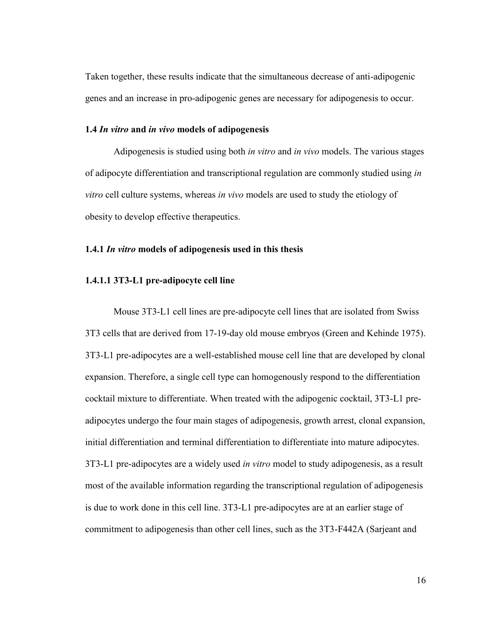Taken together, these results indicate that the simultaneous decrease of anti-adipogenic genes and an increase in pro-adipogenic genes are necessary for adipogenesis to occur.

#### <span id="page-29-0"></span>**1.4** *In vitro* **and** *in vivo* **models of adipogenesis**

Adipogenesis is studied using both *in vitro* and *in vivo* models. The various stages of adipocyte differentiation and transcriptional regulation are commonly studied using *in vitro* cell culture systems, whereas *in vivo* models are used to study the etiology of obesity to develop effective therapeutics.

#### <span id="page-29-1"></span>**1.4.1** *In vitro* **models of adipogenesis used in this thesis**

#### **1.4.1.1 3T3-L1 pre-adipocyte cell line**

Mouse 3T3-L1 cell lines are pre-adipocyte cell lines that are isolated from Swiss 3T3 cells that are derived from 17-19-day old mouse embryos (Green and Kehinde 1975). 3T3-L1 pre-adipocytes are a well-established mouse cell line that are developed by clonal expansion. Therefore, a single cell type can homogenously respond to the differentiation cocktail mixture to differentiate. When treated with the adipogenic cocktail, 3T3-L1 preadipocytes undergo the four main stages of adipogenesis, growth arrest, clonal expansion, initial differentiation and terminal differentiation to differentiate into mature adipocytes. 3T3-L1 pre-adipocytes are a widely used *in vitro* model to study adipogenesis, as a result most of the available information regarding the transcriptional regulation of adipogenesis is due to work done in this cell line. 3T3-L1 pre-adipocytes are at an earlier stage of commitment to adipogenesis than other cell lines, such as the 3T3-F442A (Sarjeant and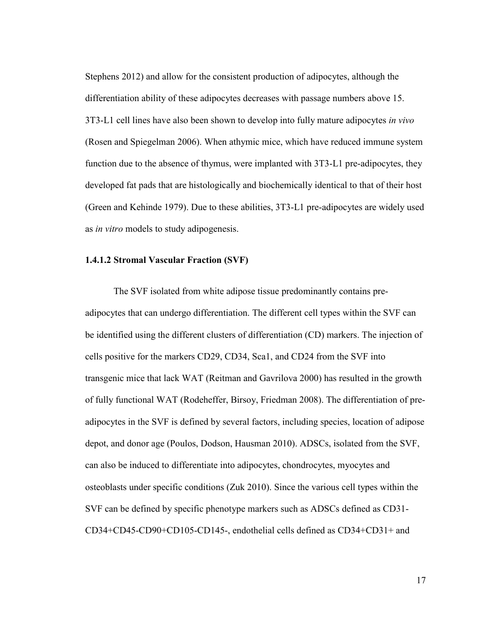Stephens 2012) and allow for the consistent production of adipocytes, although the differentiation ability of these adipocytes decreases with passage numbers above 15. 3T3-L1 cell lines have also been shown to develop into fully mature adipocytes *in vivo* (Rosen and Spiegelman 2006). When athymic mice, which have reduced immune system function due to the absence of thymus, were implanted with 3T3-L1 pre-adipocytes, they developed fat pads that are histologically and biochemically identical to that of their host (Green and Kehinde 1979). Due to these abilities, 3T3-L1 pre-adipocytes are widely used as *in vitro* models to study adipogenesis.

#### **1.4.1.2 Stromal Vascular Fraction (SVF)**

The SVF isolated from white adipose tissue predominantly contains preadipocytes that can undergo differentiation. The different cell types within the SVF can be identified using the different clusters of differentiation (CD) markers. The injection of cells positive for the markers CD29, CD34, Sca1, and CD24 from the SVF into transgenic mice that lack WAT (Reitman and Gavrilova 2000) has resulted in the growth of fully functional WAT (Rodeheffer, Birsoy, Friedman 2008). The differentiation of preadipocytes in the SVF is defined by several factors, including species, location of adipose depot, and donor age (Poulos, Dodson, Hausman 2010). ADSCs, isolated from the SVF, can also be induced to differentiate into adipocytes, chondrocytes, myocytes and osteoblasts under specific conditions (Zuk 2010). Since the various cell types within the SVF can be defined by specific phenotype markers such as ADSCs defined as CD31- CD34+CD45-CD90+CD105-CD145-, endothelial cells defined as CD34+CD31+ and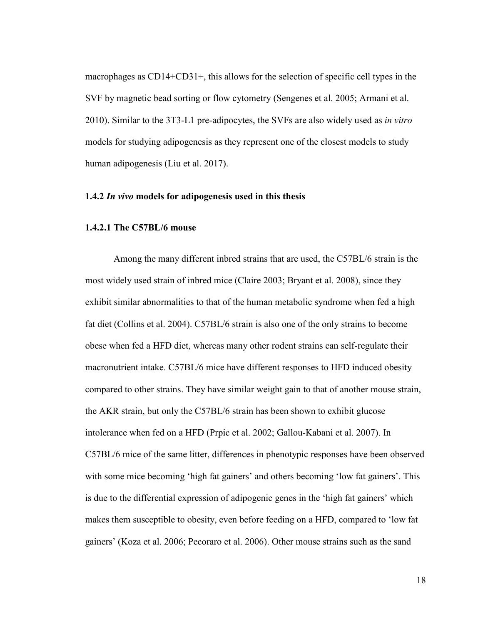macrophages as CD14+CD31+, this allows for the selection of specific cell types in the SVF by magnetic bead sorting or flow cytometry (Sengenes et al. 2005; Armani et al. 2010). Similar to the 3T3-L1 pre-adipocytes, the SVFs are also widely used as *in vitro* models for studying adipogenesis as they represent one of the closest models to study human adipogenesis (Liu et al. 2017).

#### <span id="page-31-0"></span>**1.4.2** *In vivo* **models for adipogenesis used in this thesis**

#### **1.4.2.1 The C57BL/6 mouse**

Among the many different inbred strains that are used, the C57BL/6 strain is the most widely used strain of inbred mice (Claire 2003; Bryant et al. 2008), since they exhibit similar abnormalities to that of the human metabolic syndrome when fed a high fat diet (Collins et al. 2004). C57BL/6 strain is also one of the only strains to become obese when fed a HFD diet, whereas many other rodent strains can self-regulate their macronutrient intake. C57BL/6 mice have different responses to HFD induced obesity compared to other strains. They have similar weight gain to that of another mouse strain, the AKR strain, but only the C57BL/6 strain has been shown to exhibit glucose intolerance when fed on a HFD (Prpic et al. 2002; Gallou-Kabani et al. 2007). In C57BL/6 mice of the same litter, differences in phenotypic responses have been observed with some mice becoming 'high fat gainers' and others becoming 'low fat gainers'. This is due to the differential expression of adipogenic genes in the 'high fat gainers' which makes them susceptible to obesity, even before feeding on a HFD, compared to 'low fat gainers' (Koza et al. 2006; Pecoraro et al. 2006). Other mouse strains such as the sand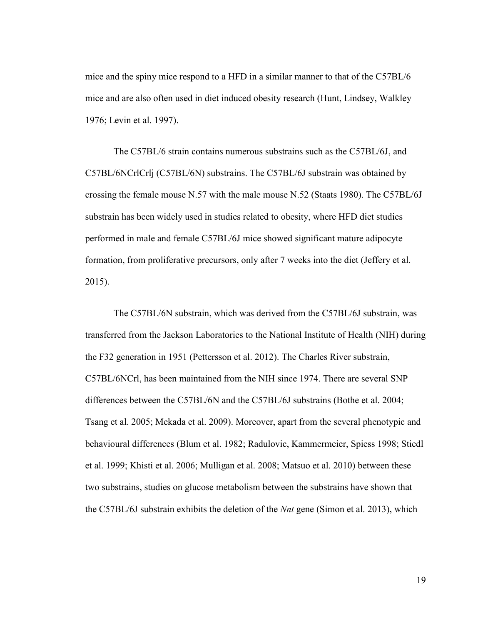mice and the spiny mice respond to a HFD in a similar manner to that of the C57BL/6 mice and are also often used in diet induced obesity research (Hunt, Lindsey, Walkley 1976; Levin et al. 1997).

The C57BL/6 strain contains numerous substrains such as the C57BL/6J, and C57BL/6NCrlCrlj (C57BL/6N) substrains. The C57BL/6J substrain was obtained by crossing the female mouse N.57 with the male mouse N.52 (Staats 1980). The C57BL/6J substrain has been widely used in studies related to obesity, where HFD diet studies performed in male and female C57BL/6J mice showed significant mature adipocyte formation, from proliferative precursors, only after 7 weeks into the diet (Jeffery et al. 2015).

The C57BL/6N substrain, which was derived from the C57BL/6J substrain, was transferred from the Jackson Laboratories to the National Institute of Health (NIH) during the F32 generation in 1951 (Pettersson et al. 2012). The Charles River substrain, C57BL/6NCrl, has been maintained from the NIH since 1974. There are several SNP differences between the C57BL/6N and the C57BL/6J substrains (Bothe et al. 2004; Tsang et al. 2005; Mekada et al. 2009). Moreover, apart from the several phenotypic and behavioural differences (Blum et al. 1982; Radulovic, Kammermeier, Spiess 1998; Stiedl et al. 1999; Khisti et al. 2006; Mulligan et al. 2008; Matsuo et al. 2010) between these two substrains, studies on glucose metabolism between the substrains have shown that the C57BL/6J substrain exhibits the deletion of the *Nnt* gene (Simon et al. 2013), which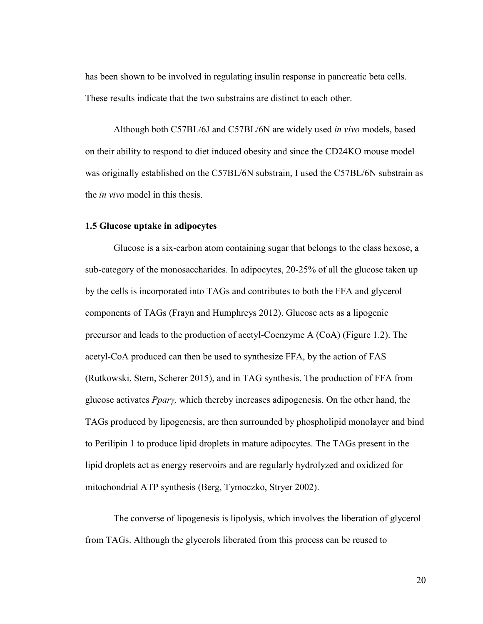has been shown to be involved in regulating insulin response in pancreatic beta cells. These results indicate that the two substrains are distinct to each other.

Although both C57BL/6J and C57BL/6N are widely used *in vivo* models, based on their ability to respond to diet induced obesity and since the CD24KO mouse model was originally established on the C57BL/6N substrain, I used the C57BL/6N substrain as the *in vivo* model in this thesis.

#### <span id="page-33-0"></span>**1.5 Glucose uptake in adipocytes**

Glucose is a six-carbon atom containing sugar that belongs to the class hexose, a sub-category of the monosaccharides. In adipocytes, 20-25% of all the glucose taken up by the cells is incorporated into TAGs and contributes to both the FFA and glycerol components of TAGs (Frayn and Humphreys 2012). Glucose acts as a lipogenic precursor and leads to the production of acetyl-Coenzyme A (CoA) (Figure 1.2). The acetyl-CoA produced can then be used to synthesize FFA, by the action of FAS (Rutkowski, Stern, Scherer 2015), and in TAG synthesis. The production of FFA from glucose activates *PparȖ,* which thereby increases adipogenesis. On the other hand, the TAGs produced by lipogenesis, are then surrounded by phospholipid monolayer and bind to Perilipin 1 to produce lipid droplets in mature adipocytes. The TAGs present in the lipid droplets act as energy reservoirs and are regularly hydrolyzed and oxidized for mitochondrial ATP synthesis (Berg, Tymoczko, Stryer 2002).

The converse of lipogenesis is lipolysis, which involves the liberation of glycerol from TAGs. Although the glycerols liberated from this process can be reused to

20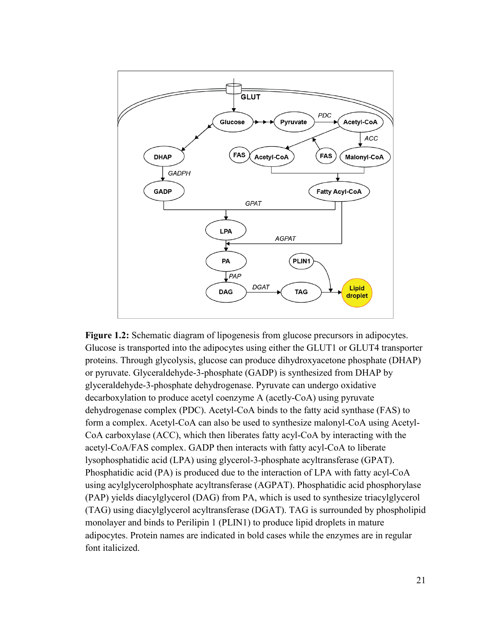

<span id="page-34-0"></span>**Figure 1.2:** Schematic diagram of lipogenesis from glucose precursors in adipocytes. Glucose is transported into the adipocytes using either the GLUT1 or GLUT4 transporter proteins. Through glycolysis, glucose can produce dihydroxyacetone phosphate (DHAP) or pyruvate. Glyceraldehyde-3-phosphate (GADP) is synthesized from DHAP by glyceraldehyde-3-phosphate dehydrogenase. Pyruvate can undergo oxidative decarboxylation to produce acetyl coenzyme A (acetly-CoA) using pyruvate dehydrogenase complex (PDC). Acetyl-CoA binds to the fatty acid synthase (FAS) to form a complex. Acetyl-CoA can also be used to synthesize malonyl-CoA using Acetyl-CoA carboxylase (ACC), which then liberates fatty acyl-CoA by interacting with the acetyl-CoA/FAS complex. GADP then interacts with fatty acyl-CoA to liberate lysophosphatidic acid (LPA) using glycerol-3-phosphate acyltransferase (GPAT). Phosphatidic acid (PA) is produced due to the interaction of LPA with fatty acyl-CoA using acylglycerolphosphate acyltransferase (AGPAT). Phosphatidic acid phosphorylase (PAP) yields diacylglycerol (DAG) from PA, which is used to synthesize triacylglycerol (TAG) using diacylglycerol acyltransferase (DGAT). TAG is surrounded by phospholipid monolayer and binds to Perilipin 1 (PLIN1) to produce lipid droplets in mature adipocytes. Protein names are indicated in bold cases while the enzymes are in regular font italicized.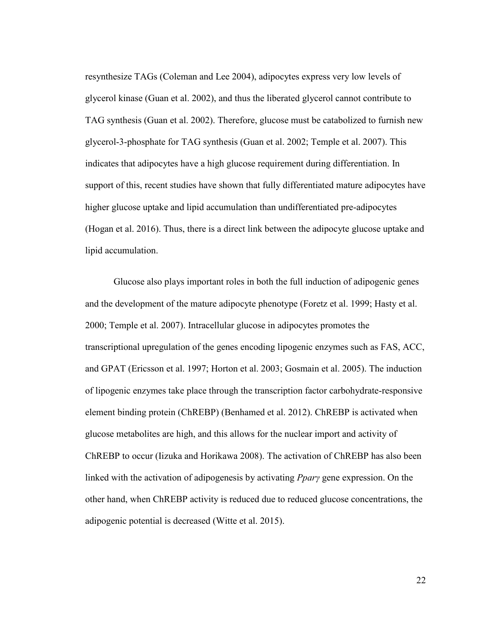resynthesize TAGs (Coleman and Lee 2004), adipocytes express very low levels of glycerol kinase (Guan et al. 2002), and thus the liberated glycerol cannot contribute to TAG synthesis (Guan et al. 2002). Therefore, glucose must be catabolized to furnish new glycerol-3-phosphate for TAG synthesis (Guan et al. 2002; Temple et al. 2007). This indicates that adipocytes have a high glucose requirement during differentiation. In support of this, recent studies have shown that fully differentiated mature adipocytes have higher glucose uptake and lipid accumulation than undifferentiated pre-adipocytes (Hogan et al. 2016). Thus, there is a direct link between the adipocyte glucose uptake and lipid accumulation.

Glucose also plays important roles in both the full induction of adipogenic genes and the development of the mature adipocyte phenotype (Foretz et al. 1999; Hasty et al. 2000; Temple et al. 2007). Intracellular glucose in adipocytes promotes the transcriptional upregulation of the genes encoding lipogenic enzymes such as FAS, ACC, and GPAT (Ericsson et al. 1997; Horton et al. 2003; Gosmain et al. 2005). The induction of lipogenic enzymes take place through the transcription factor carbohydrate-responsive element binding protein (ChREBP) (Benhamed et al. 2012). ChREBP is activated when glucose metabolites are high, and this allows for the nuclear import and activity of ChREBP to occur (Iizuka and Horikawa 2008). The activation of ChREBP has also been linked with the activation of adipogenesis by activating *Ppary* gene expression. On the other hand, when ChREBP activity is reduced due to reduced glucose concentrations, the adipogenic potential is decreased (Witte et al. 2015).

22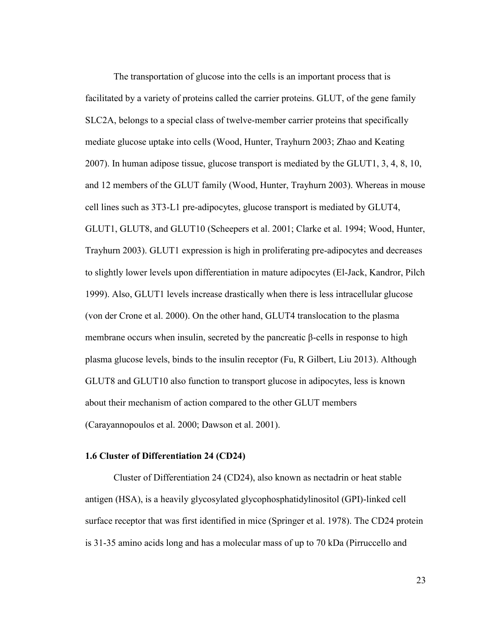The transportation of glucose into the cells is an important process that is facilitated by a variety of proteins called the carrier proteins. GLUT, of the gene family SLC2A, belongs to a special class of twelve-member carrier proteins that specifically mediate glucose uptake into cells (Wood, Hunter, Trayhurn 2003; Zhao and Keating 2007). In human adipose tissue, glucose transport is mediated by the GLUT1, 3, 4, 8, 10, and 12 members of the GLUT family (Wood, Hunter, Trayhurn 2003). Whereas in mouse cell lines such as 3T3-L1 pre-adipocytes, glucose transport is mediated by GLUT4, GLUT1, GLUT8, and GLUT10 (Scheepers et al. 2001; Clarke et al. 1994; Wood, Hunter, Trayhurn 2003). GLUT1 expression is high in proliferating pre-adipocytes and decreases to slightly lower levels upon differentiation in mature adipocytes (El-Jack, Kandror, Pilch 1999). Also, GLUT1 levels increase drastically when there is less intracellular glucose (von der Crone et al. 2000). On the other hand, GLUT4 translocation to the plasma membrane occurs when insulin, secreted by the pancreatic  $\beta$ -cells in response to high plasma glucose levels, binds to the insulin receptor (Fu, R Gilbert, Liu 2013). Although GLUT8 and GLUT10 also function to transport glucose in adipocytes, less is known about their mechanism of action compared to the other GLUT members (Carayannopoulos et al. 2000; Dawson et al. 2001).

### **1.6 Cluster of Differentiation 24 (CD24)**

Cluster of Differentiation 24 (CD24), also known as nectadrin or heat stable antigen (HSA), is a heavily glycosylated glycophosphatidylinositol (GPI)-linked cell surface receptor that was first identified in mice (Springer et al. 1978). The CD24 protein is 31-35 amino acids long and has a molecular mass of up to 70 kDa (Pirruccello and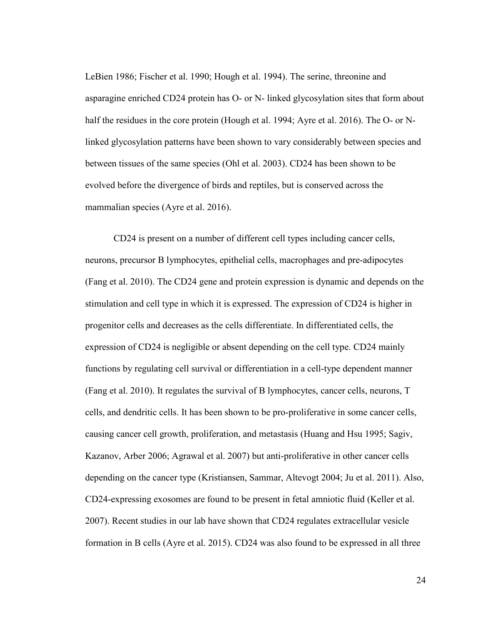LeBien 1986; Fischer et al. 1990; Hough et al. 1994). The serine, threonine and asparagine enriched CD24 protein has O- or N- linked glycosylation sites that form about half the residues in the core protein (Hough et al. 1994; Ayre et al. 2016). The O- or Nlinked glycosylation patterns have been shown to vary considerably between species and between tissues of the same species (Ohl et al. 2003). CD24 has been shown to be evolved before the divergence of birds and reptiles, but is conserved across the mammalian species (Ayre et al. 2016).

CD24 is present on a number of different cell types including cancer cells, neurons, precursor B lymphocytes, epithelial cells, macrophages and pre-adipocytes (Fang et al. 2010). The CD24 gene and protein expression is dynamic and depends on the stimulation and cell type in which it is expressed. The expression of CD24 is higher in progenitor cells and decreases as the cells differentiate. In differentiated cells, the expression of CD24 is negligible or absent depending on the cell type. CD24 mainly functions by regulating cell survival or differentiation in a cell-type dependent manner (Fang et al. 2010). It regulates the survival of B lymphocytes, cancer cells, neurons, T cells, and dendritic cells. It has been shown to be pro-proliferative in some cancer cells, causing cancer cell growth, proliferation, and metastasis (Huang and Hsu 1995; Sagiv, Kazanov, Arber 2006; Agrawal et al. 2007) but anti-proliferative in other cancer cells depending on the cancer type (Kristiansen, Sammar, Altevogt 2004; Ju et al. 2011). Also, CD24-expressing exosomes are found to be present in fetal amniotic fluid (Keller et al. 2007). Recent studies in our lab have shown that CD24 regulates extracellular vesicle formation in B cells (Ayre et al. 2015). CD24 was also found to be expressed in all three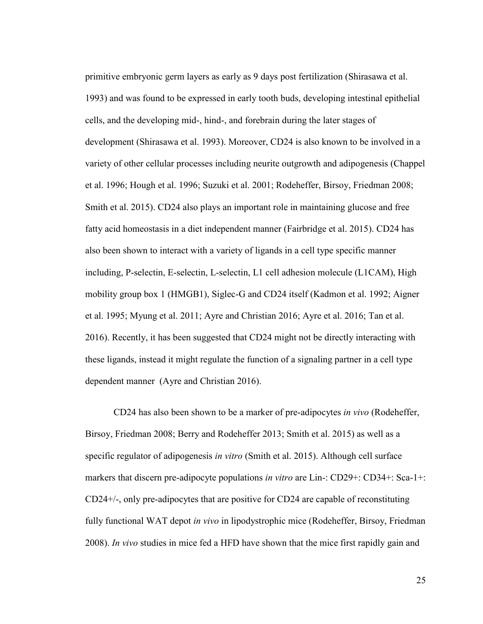primitive embryonic germ layers as early as 9 days post fertilization (Shirasawa et al. 1993) and was found to be expressed in early tooth buds, developing intestinal epithelial cells, and the developing mid-, hind-, and forebrain during the later stages of development (Shirasawa et al. 1993). Moreover, CD24 is also known to be involved in a variety of other cellular processes including neurite outgrowth and adipogenesis (Chappel et al. 1996; Hough et al. 1996; Suzuki et al. 2001; Rodeheffer, Birsoy, Friedman 2008; Smith et al. 2015). CD24 also plays an important role in maintaining glucose and free fatty acid homeostasis in a diet independent manner (Fairbridge et al. 2015). CD24 has also been shown to interact with a variety of ligands in a cell type specific manner including, P-selectin, E-selectin, L-selectin, L1 cell adhesion molecule (L1CAM), High mobility group box 1 (HMGB1), Siglec-G and CD24 itself (Kadmon et al. 1992; Aigner et al. 1995; Myung et al. 2011; Ayre and Christian 2016; Ayre et al. 2016; Tan et al. 2016). Recently, it has been suggested that CD24 might not be directly interacting with these ligands, instead it might regulate the function of a signaling partner in a cell type dependent manner (Ayre and Christian 2016).

CD24 has also been shown to be a marker of pre-adipocytes *in vivo* (Rodeheffer, Birsoy, Friedman 2008; Berry and Rodeheffer 2013; Smith et al. 2015) as well as a specific regulator of adipogenesis *in vitro* (Smith et al. 2015). Although cell surface markers that discern pre-adipocyte populations *in vitro* are Lin-: CD29+: CD34+: Sca-1+: CD24+/-, only pre-adipocytes that are positive for CD24 are capable of reconstituting fully functional WAT depot *in vivo* in lipodystrophic mice (Rodeheffer, Birsoy, Friedman 2008). *In vivo* studies in mice fed a HFD have shown that the mice first rapidly gain and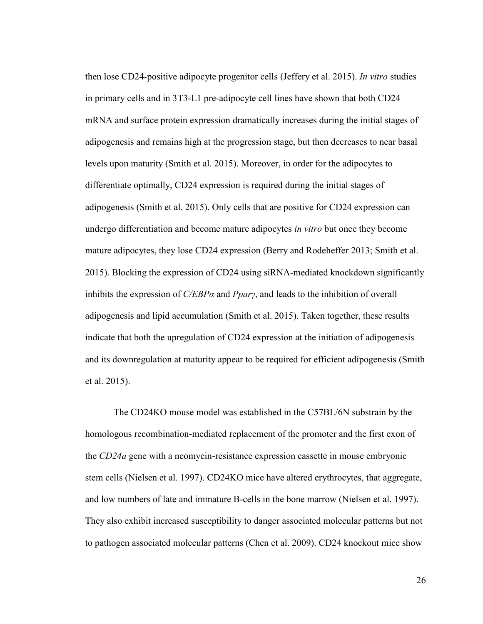then lose CD24-positive adipocyte progenitor cells (Jeffery et al. 2015). *In vitro* studies in primary cells and in 3T3-L1 pre-adipocyte cell lines have shown that both CD24 mRNA and surface protein expression dramatically increases during the initial stages of adipogenesis and remains high at the progression stage, but then decreases to near basal levels upon maturity (Smith et al. 2015). Moreover, in order for the adipocytes to differentiate optimally, CD24 expression is required during the initial stages of adipogenesis (Smith et al. 2015). Only cells that are positive for CD24 expression can undergo differentiation and become mature adipocytes *in vitro* but once they become mature adipocytes, they lose CD24 expression (Berry and Rodeheffer 2013; Smith et al. 2015). Blocking the expression of CD24 using siRNA-mediated knockdown significantly inhibits the expression of *C/EBPα* and *PparȖ*, and leads to the inhibition of overall adipogenesis and lipid accumulation (Smith et al. 2015). Taken together, these results indicate that both the upregulation of CD24 expression at the initiation of adipogenesis and its downregulation at maturity appear to be required for efficient adipogenesis (Smith et al. 2015).

The CD24KO mouse model was established in the C57BL/6N substrain by the homologous recombination-mediated replacement of the promoter and the first exon of the *CD24a* gene with a neomycin-resistance expression cassette in mouse embryonic stem cells (Nielsen et al. 1997). CD24KO mice have altered erythrocytes, that aggregate, and low numbers of late and immature B-cells in the bone marrow (Nielsen et al. 1997). They also exhibit increased susceptibility to danger associated molecular patterns but not to pathogen associated molecular patterns (Chen et al. 2009). CD24 knockout mice show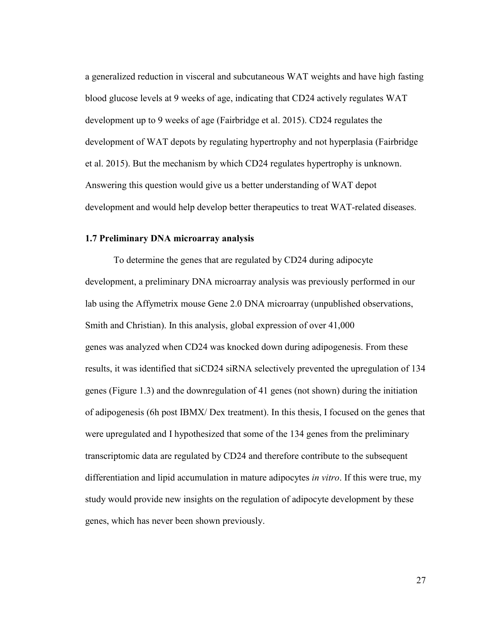a generalized reduction in visceral and subcutaneous WAT weights and have high fasting blood glucose levels at 9 weeks of age, indicating that CD24 actively regulates WAT development up to 9 weeks of age (Fairbridge et al. 2015). CD24 regulates the development of WAT depots by regulating hypertrophy and not hyperplasia (Fairbridge et al. 2015). But the mechanism by which CD24 regulates hypertrophy is unknown. Answering this question would give us a better understanding of WAT depot development and would help develop better therapeutics to treat WAT-related diseases.

### **1.7 Preliminary DNA microarray analysis**

To determine the genes that are regulated by CD24 during adipocyte development, a preliminary DNA microarray analysis was previously performed in our lab using the Affymetrix mouse Gene 2.0 DNA microarray (unpublished observations, Smith and Christian). In this analysis, global expression of over 41,000 genes was analyzed when CD24 was knocked down during adipogenesis. From these results, it was identified that siCD24 siRNA selectively prevented the upregulation of 134 genes (Figure 1.3) and the downregulation of 41 genes (not shown) during the initiation of adipogenesis (6h post IBMX/ Dex treatment). In this thesis, I focused on the genes that were upregulated and I hypothesized that some of the 134 genes from the preliminary transcriptomic data are regulated by CD24 and therefore contribute to the subsequent differentiation and lipid accumulation in mature adipocytes *in vitro*. If this were true, my study would provide new insights on the regulation of adipocyte development by these genes, which has never been shown previously.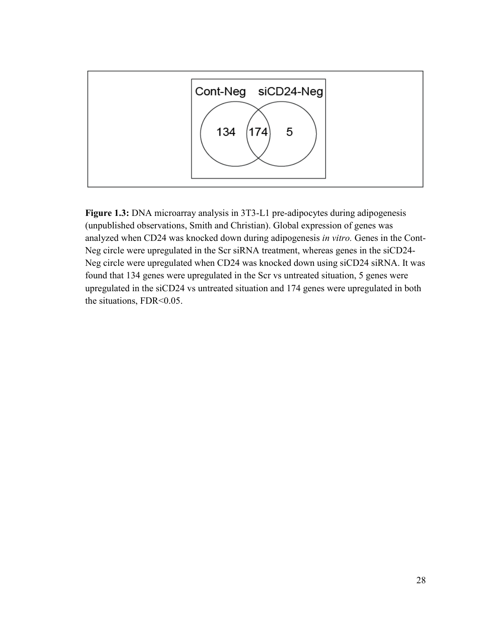

**Figure 1.3:** DNA microarray analysis in 3T3-L1 pre-adipocytes during adipogenesis (unpublished observations, Smith and Christian). Global expression of genes was analyzed when CD24 was knocked down during adipogenesis *in vitro.* Genes in the Cont-Neg circle were upregulated in the Scr siRNA treatment, whereas genes in the siCD24- Neg circle were upregulated when CD24 was knocked down using siCD24 siRNA. It was found that 134 genes were upregulated in the Scr vs untreated situation, 5 genes were upregulated in the siCD24 vs untreated situation and 174 genes were upregulated in both the situations, FDR<0.05.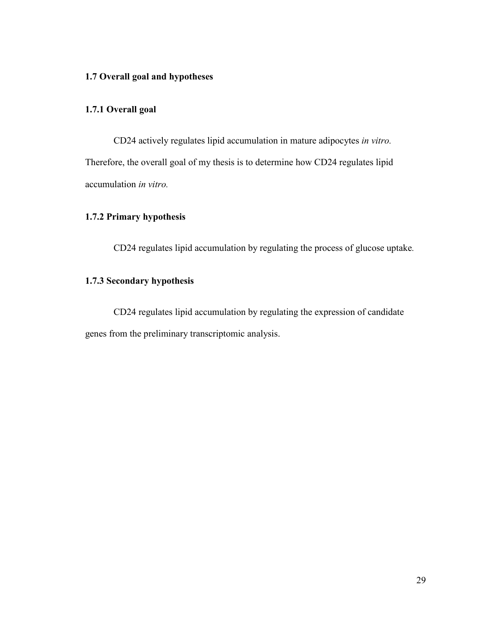## **1.7 Overall goal and hypotheses**

## **1.7.1 Overall goal**

CD24 actively regulates lipid accumulation in mature adipocytes *in vitro.* Therefore, the overall goal of my thesis is to determine how CD24 regulates lipid accumulation *in vitro.*

## **1.7.2 Primary hypothesis**

CD24 regulates lipid accumulation by regulating the process of glucose uptake*.* 

## **1.7.3 Secondary hypothesis**

CD24 regulates lipid accumulation by regulating the expression of candidate genes from the preliminary transcriptomic analysis.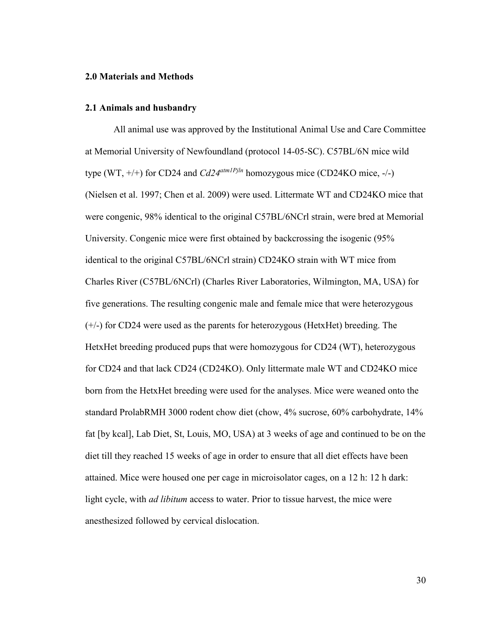### **2.0 Materials and Methods**

### **2.1 Animals and husbandry**

All animal use was approved by the Institutional Animal Use and Care Committee at Memorial University of Newfoundland (protocol 14-05-SC). C57BL/6N mice wild type (WT, +/+) for CD24 and *Cd24atm1Pjln* homozygous mice (CD24KO mice, -/-) (Nielsen et al. 1997; Chen et al. 2009) were used. Littermate WT and CD24KO mice that were congenic, 98% identical to the original C57BL/6NCrl strain, were bred at Memorial University. Congenic mice were first obtained by backcrossing the isogenic (95% identical to the original C57BL/6NCrl strain) CD24KO strain with WT mice from Charles River (C57BL/6NCrl) (Charles River Laboratories, Wilmington, MA, USA) for five generations. The resulting congenic male and female mice that were heterozygous (+/-) for CD24 were used as the parents for heterozygous (HetxHet) breeding. The HetxHet breeding produced pups that were homozygous for CD24 (WT), heterozygous for CD24 and that lack CD24 (CD24KO). Only littermate male WT and CD24KO mice born from the HetxHet breeding were used for the analyses. Mice were weaned onto the standard ProlabRMH 3000 rodent chow diet (chow, 4% sucrose, 60% carbohydrate, 14% fat [by kcal], Lab Diet, St, Louis, MO, USA) at 3 weeks of age and continued to be on the diet till they reached 15 weeks of age in order to ensure that all diet effects have been attained. Mice were housed one per cage in microisolator cages, on a 12 h: 12 h dark: light cycle, with *ad libitum* access to water. Prior to tissue harvest, the mice were anesthesized followed by cervical dislocation.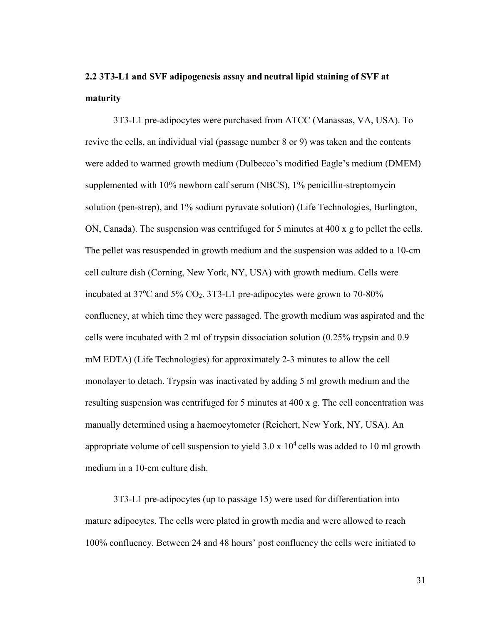# **2.2 3T3-L1 and SVF adipogenesis assay and neutral lipid staining of SVF at maturity**

3T3-L1 pre-adipocytes were purchased from ATCC (Manassas, VA, USA). To revive the cells, an individual vial (passage number 8 or 9) was taken and the contents were added to warmed growth medium (Dulbecco's modified Eagle's medium (DMEM) supplemented with 10% newborn calf serum (NBCS), 1% penicillin-streptomycin solution (pen-strep), and 1% sodium pyruvate solution) (Life Technologies, Burlington, ON, Canada). The suspension was centrifuged for 5 minutes at 400 x g to pellet the cells. The pellet was resuspended in growth medium and the suspension was added to a 10-cm cell culture dish (Corning, New York, NY, USA) with growth medium. Cells were incubated at  $37^{\circ}$ C and  $5\%$  CO<sub>2</sub>.  $3T3$ -L1 pre-adipocytes were grown to  $70$ - $80\%$ confluency, at which time they were passaged. The growth medium was aspirated and the cells were incubated with 2 ml of trypsin dissociation solution (0.25% trypsin and 0.9 mM EDTA) (Life Technologies) for approximately 2-3 minutes to allow the cell monolayer to detach. Trypsin was inactivated by adding 5 ml growth medium and the resulting suspension was centrifuged for 5 minutes at 400 x g. The cell concentration was manually determined using a haemocytometer (Reichert, New York, NY, USA). An appropriate volume of cell suspension to yield  $3.0 \times 10^4$  cells was added to 10 ml growth medium in a 10-cm culture dish.

3T3-L1 pre-adipocytes (up to passage 15) were used for differentiation into mature adipocytes. The cells were plated in growth media and were allowed to reach 100% confluency. Between 24 and 48 hours' post confluency the cells were initiated to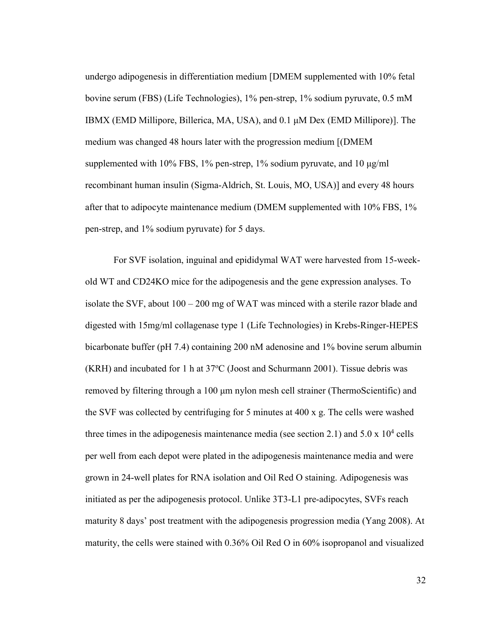undergo adipogenesis in differentiation medium [DMEM supplemented with 10% fetal bovine serum (FBS) (Life Technologies), 1% pen-strep, 1% sodium pyruvate, 0.5 mM IBMX (EMD Millipore, Billerica, MA, USA), and 0.1 μM Dex (EMD Millipore)]. The medium was changed 48 hours later with the progression medium [(DMEM supplemented with 10% FBS, 1% pen-strep, 1% sodium pyruvate, and 10 μg/ml recombinant human insulin (Sigma-Aldrich, St. Louis, MO, USA)] and every 48 hours after that to adipocyte maintenance medium (DMEM supplemented with 10% FBS, 1% pen-strep, and 1% sodium pyruvate) for 5 days.

For SVF isolation, inguinal and epididymal WAT were harvested from 15-weekold WT and CD24KO mice for the adipogenesis and the gene expression analyses. To isolate the SVF, about 100 – 200 mg of WAT was minced with a sterile razor blade and digested with 15mg/ml collagenase type 1 (Life Technologies) in Krebs-Ringer-HEPES bicarbonate buffer (pH 7.4) containing 200 nM adenosine and 1% bovine serum albumin  $(KRH)$  and incubated for 1 h at 37 $^{\circ}$ C (Joost and Schurmann 2001). Tissue debris was removed by filtering through a 100 μm nylon mesh cell strainer (ThermoScientific) and the SVF was collected by centrifuging for 5 minutes at 400 x g. The cells were washed three times in the adipogenesis maintenance media (see section 2.1) and  $5.0 \times 10^4$  cells per well from each depot were plated in the adipogenesis maintenance media and were grown in 24-well plates for RNA isolation and Oil Red O staining. Adipogenesis was initiated as per the adipogenesis protocol. Unlike 3T3-L1 pre-adipocytes, SVFs reach maturity 8 days' post treatment with the adipogenesis progression media (Yang 2008). At maturity, the cells were stained with 0.36% Oil Red O in 60% isopropanol and visualized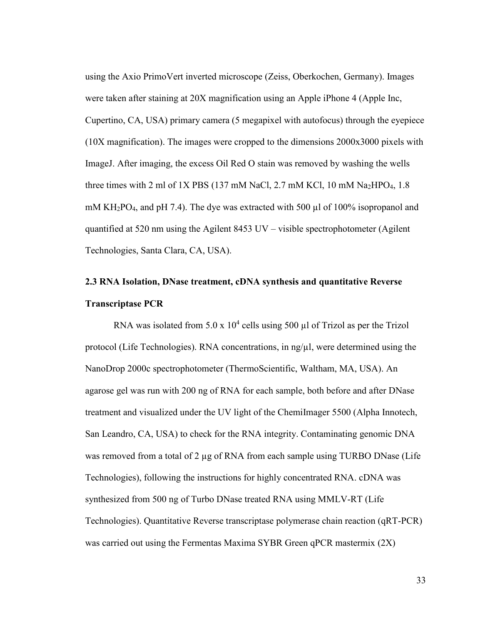using the Axio PrimoVert inverted microscope (Zeiss, Oberkochen, Germany). Images were taken after staining at 20X magnification using an Apple iPhone 4 (Apple Inc, Cupertino, CA, USA) primary camera (5 megapixel with autofocus) through the eyepiece (10X magnification). The images were cropped to the dimensions 2000x3000 pixels with ImageJ. After imaging, the excess Oil Red O stain was removed by washing the wells three times with 2 ml of 1X PBS (137 mM NaCl, 2.7 mM KCl, 10 mM Na<sub>2</sub>HPO<sub>4</sub>, 1.8 mM KH<sub>2</sub>PO<sub>4</sub>, and pH 7.4). The dye was extracted with 500 µl of 100% isopropanol and quantified at 520 nm using the Agilent 8453 UV – visible spectrophotometer (Agilent Technologies, Santa Clara, CA, USA).

# **2.3 RNA Isolation, DNase treatment, cDNA synthesis and quantitative Reverse Transcriptase PCR**

RNA was isolated from  $5.0 \times 10^4$  cells using  $500 \mu l$  of Trizol as per the Trizol protocol (Life Technologies). RNA concentrations, in  $\frac{ng}{\mu}$ , were determined using the NanoDrop 2000c spectrophotometer (ThermoScientific, Waltham, MA, USA). An agarose gel was run with 200 ng of RNA for each sample, both before and after DNase treatment and visualized under the UV light of the ChemiImager 5500 (Alpha Innotech, San Leandro, CA, USA) to check for the RNA integrity. Contaminating genomic DNA was removed from a total of 2 µg of RNA from each sample using TURBO DNase (Life Technologies), following the instructions for highly concentrated RNA. cDNA was synthesized from 500 ng of Turbo DNase treated RNA using MMLV-RT (Life Technologies). Quantitative Reverse transcriptase polymerase chain reaction (qRT-PCR) was carried out using the Fermentas Maxima SYBR Green qPCR mastermix  $(2X)$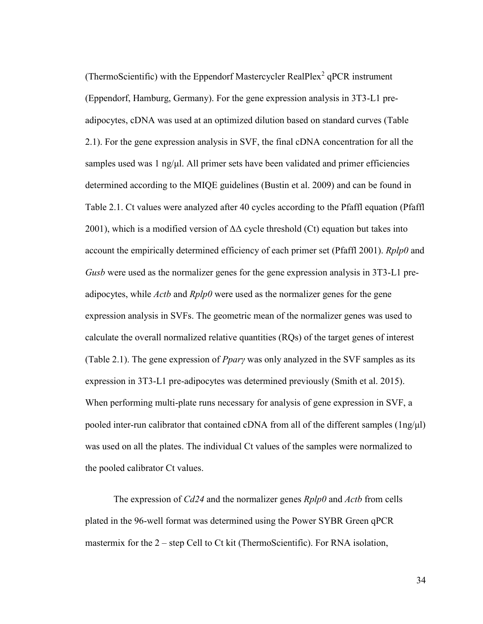(ThermoScientific) with the Eppendorf Mastercycler RealPlex<sup>2</sup> qPCR instrument (Eppendorf, Hamburg, Germany). For the gene expression analysis in 3T3-L1 preadipocytes, cDNA was used at an optimized dilution based on standard curves (Table 2.1). For the gene expression analysis in SVF, the final cDNA concentration for all the samples used was 1 ng/ $\mu$ l. All primer sets have been validated and primer efficiencies determined according to the MIQE guidelines (Bustin et al. 2009) and can be found in Table 2.1. Ct values were analyzed after 40 cycles according to the Pfaffl equation (Pfaffl 2001), which is a modified version of  $\Delta\Delta$  cycle threshold (Ct) equation but takes into account the empirically determined efficiency of each primer set (Pfaffl 2001). *Rplp0* and *Gusb* were used as the normalizer genes for the gene expression analysis in 3T3-L1 preadipocytes, while *Actb* and *Rplp0* were used as the normalizer genes for the gene expression analysis in SVFs. The geometric mean of the normalizer genes was used to calculate the overall normalized relative quantities (RQs) of the target genes of interest (Table 2.1). The gene expression of *PparȖ* was only analyzed in the SVF samples as its expression in 3T3-L1 pre-adipocytes was determined previously (Smith et al. 2015). When performing multi-plate runs necessary for analysis of gene expression in SVF, a pooled inter-run calibrator that contained cDNA from all of the different samples (1ng/μl) was used on all the plates. The individual Ct values of the samples were normalized to the pooled calibrator Ct values.

The expression of *Cd24* and the normalizer genes *Rplp0* and *Actb* from cells plated in the 96-well format was determined using the Power SYBR Green qPCR mastermix for the 2 – step Cell to Ct kit (ThermoScientific). For RNA isolation,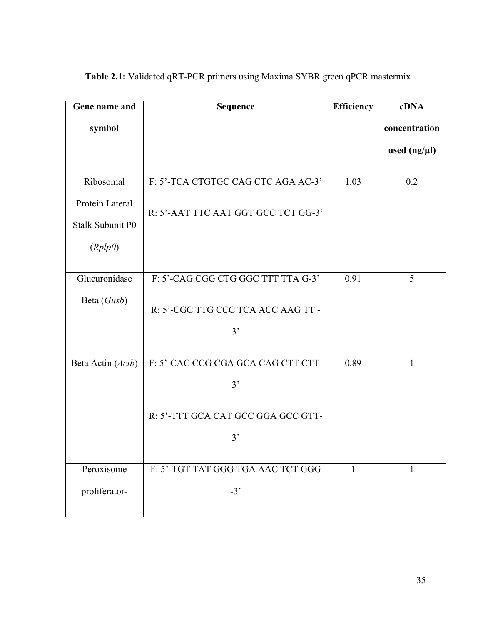| Gene name and           | <b>Sequence</b>                     | <b>Efficiency</b> | cDNA           |
|-------------------------|-------------------------------------|-------------------|----------------|
| symbol                  |                                     |                   | concentration  |
|                         |                                     |                   | used $(ng/µl)$ |
|                         |                                     |                   |                |
| Ribosomal               | F: 5'-TCA CTGTGC CAG CTC AGA AC-3'  | 1.03              | 0.2            |
| Protein Lateral         | R: 5'-AAT TTC AAT GGT GCC TCT GG-3' |                   |                |
| <b>Stalk Subunit P0</b> |                                     |                   |                |
| (Rplp0)                 |                                     |                   |                |
|                         |                                     |                   |                |
| Glucuronidase           | F: 5'-CAG CGG CTG GGC TTT TTA G-3'  | 0.91              | 5              |
| Beta (Gusb)             | R: 5'-CGC TTG CCC TCA ACC AAG TT -  |                   |                |
|                         | 3'                                  |                   |                |
|                         |                                     |                   |                |
| Beta Actin (Actb)       | F: 5'-CAC CCG CGA GCA CAG CTT CTT-  | 0.89              | $\mathbf{1}$   |
|                         | 3'                                  |                   |                |
|                         | R: 5'-TTT GCA CAT GCC GGA GCC GTT-  |                   |                |
|                         |                                     |                   |                |
|                         | 3'                                  |                   |                |
| Peroxisome              | F: 5'-TGT TAT GGG TGA AAC TCT GGG   | 1                 | 1              |
|                         |                                     |                   |                |
| proliferator-           | $-3'$                               |                   |                |
|                         |                                     |                   |                |

**Table 2.1:** Validated qRT-PCR primers using Maxima SYBR green qPCR mastermix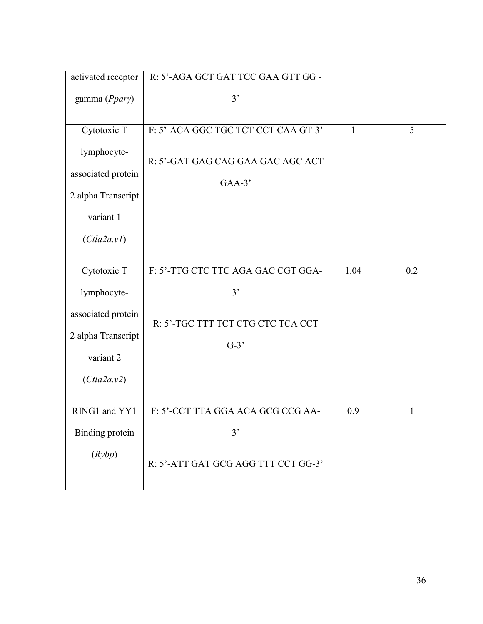| activated receptor | R: 5'-AGA GCT GAT TCC GAA GTT GG -  |              |     |
|--------------------|-------------------------------------|--------------|-----|
| gamma (Ppary)      | 3'                                  |              |     |
|                    |                                     |              |     |
| Cytotoxic T        | F: 5'-ACA GGC TGC TCT CCT CAA GT-3' | $\mathbf{1}$ | 5   |
| lymphocyte-        | R: 5'-GAT GAG CAG GAA GAC AGC ACT   |              |     |
| associated protein |                                     |              |     |
| 2 alpha Transcript | $GAA-3'$                            |              |     |
| variant 1          |                                     |              |     |
| (Cla2a.v1)         |                                     |              |     |
|                    |                                     |              |     |
| Cytotoxic T        | F: 5'-TTG CTC TTC AGA GAC CGT GGA-  | 1.04         | 0.2 |
| lymphocyte-        | 3'                                  |              |     |
| associated protein | R: 5'-TGC TTT TCT CTG CTC TCA CCT   |              |     |
| 2 alpha Transcript |                                     |              |     |
| variant 2          | $G-3'$                              |              |     |
|                    |                                     |              |     |
| (Cla2a.v2)         |                                     |              |     |
| RING1 and YY1      | F: 5'-CCT TTA GGA ACA GCG CCG AA-   | 0.9          | 1   |
| Binding protein    | 3'                                  |              |     |
|                    |                                     |              |     |
| (Rybp)             | R: 5'-ATT GAT GCG AGG TTT CCT GG-3' |              |     |
|                    |                                     |              |     |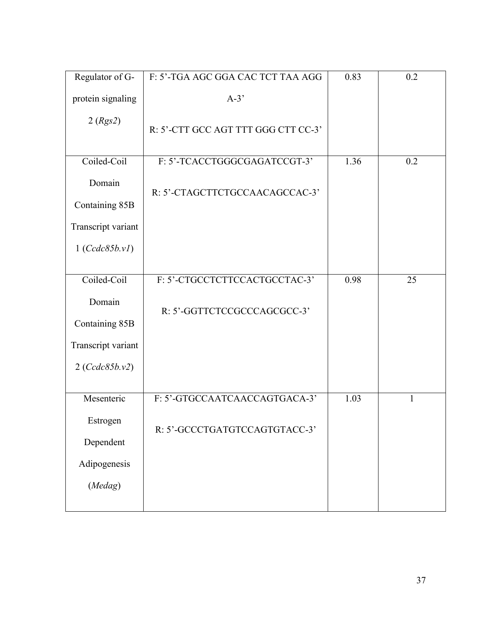| Regulator of G-    | F: 5'-TGA AGC GGA CAC TCT TAA AGG   | 0.83 | 0.2          |
|--------------------|-------------------------------------|------|--------------|
| protein signaling  | $A-3'$                              |      |              |
| 2 (Rgs2)           | R: 5'-CTT GCC AGT TTT GGG CTT CC-3' |      |              |
| Coiled-Coil        | F: 5'-TCACCTGGGCGAGATCCGT-3'        | 1.36 | 0.2          |
| Domain             | R: 5'-CTAGCTTCTGCCAACAGCCAC-3'      |      |              |
| Containing 85B     |                                     |      |              |
| Transcript variant |                                     |      |              |
| 1 (Ccdc85b.vl)     |                                     |      |              |
| Coiled-Coil        | F: 5'-CTGCCTCTTCCACTGCCTAC-3'       | 0.98 | 25           |
| Domain             | R: 5'-GGTTCTCCGCCCAGCGCC-3'         |      |              |
| Containing 85B     |                                     |      |              |
| Transcript variant |                                     |      |              |
| 2 (Ccdc85b.v2)     |                                     |      |              |
|                    |                                     |      |              |
| Mesenteric         | F: 5'-GTGCCAATCAACCAGTGACA-3'       | 1.03 | $\mathbf{1}$ |
| Estrogen           | R: 5'-GCCCTGATGTCCAGTGTACC-3'       |      |              |
| Dependent          |                                     |      |              |
| Adipogenesis       |                                     |      |              |
| (Medag)            |                                     |      |              |
|                    |                                     |      |              |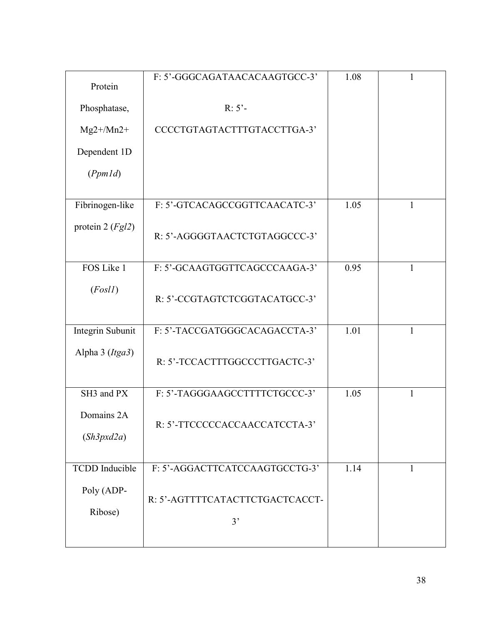| Protein                  | F: 5'-GGGCAGATAACACAAGTGCC-3'         | 1.08 | 1            |
|--------------------------|---------------------------------------|------|--------------|
| Phosphatase,             | $R: 5'$ -                             |      |              |
| $Mg2+/Mn2+$              | CCCCTGTAGTACTTTGTACCTTGA-3'           |      |              |
| Dependent 1D             |                                       |      |              |
| (PpmId)                  |                                       |      |              |
| Fibrinogen-like          | F: 5'-GTCACAGCCGGTTCAACATC-3'         | 1.05 | $\mathbf{1}$ |
| protein 2 $(Fgl2)$       | R: 5'-AGGGGTAACTCTGTAGGCCC-3'         |      |              |
| FOS Like 1               | F: 5'-GCAAGTGGTTCAGCCCAAGA-3'         | 0.95 | $\mathbf{1}$ |
| (Fosl1)                  | R: 5'-CCGTAGTCTCGGTACATGCC-3'         |      |              |
| Integrin Subunit         | F: 5'-TACCGATGGGCACAGACCTA-3'         | 1.01 | 1            |
| Alpha 3 (Itga3)          | R: 5'-TCCACTTTGGCCCTTGACTC-3'         |      |              |
| SH3 and PX               | F: 5'-TAGGGAAGCCTTTTCTGCCC-3'         | 1.05 | 1            |
| Domains 2A<br>(Sh3pxd2a) | R: 5'-TTCCCCCACCAACCATCCTA-3'         |      |              |
| <b>TCDD</b> Inducible    | F: 5'-AGGACTTCATCCAAGTGCCTG-3'        | 1.14 | 1            |
| Poly (ADP-<br>Ribose)    | R: 5'-AGTTTTCATACTTCTGACTCACCT-<br>3' |      |              |
|                          |                                       |      |              |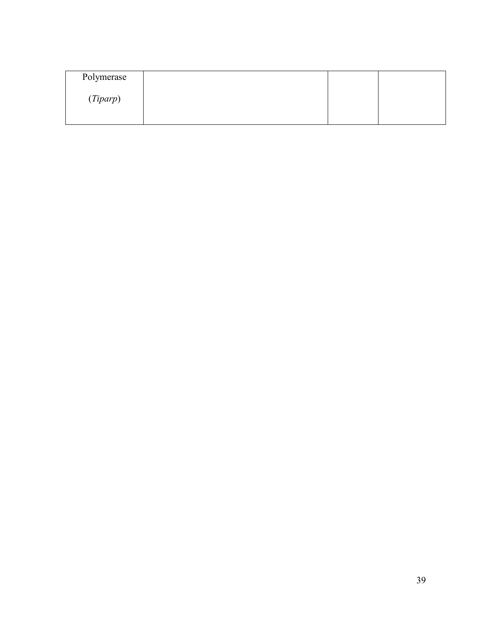| Polymerase |  |  |
|------------|--|--|
| (Tiparp)   |  |  |
|            |  |  |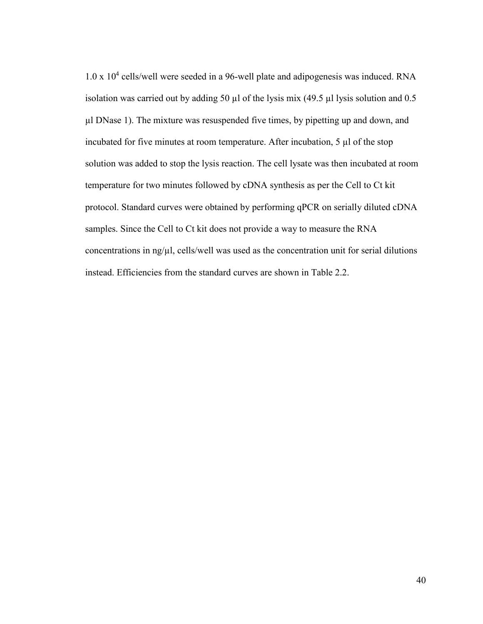1.0 x 10<sup>4</sup> cells/well were seeded in a 96-well plate and adipogenesis was induced. RNA isolation was carried out by adding 50  $\mu$ l of the lysis mix (49.5  $\mu$ l lysis solution and 0.5 µl DNase 1). The mixture was resuspended five times, by pipetting up and down, and incubated for five minutes at room temperature. After incubation, 5 µl of the stop solution was added to stop the lysis reaction. The cell lysate was then incubated at room temperature for two minutes followed by cDNA synthesis as per the Cell to Ct kit protocol. Standard curves were obtained by performing qPCR on serially diluted cDNA samples. Since the Cell to Ct kit does not provide a way to measure the RNA concentrations in ng/ $\mu$ l, cells/well was used as the concentration unit for serial dilutions instead. Efficiencies from the standard curves are shown in Table 2.2.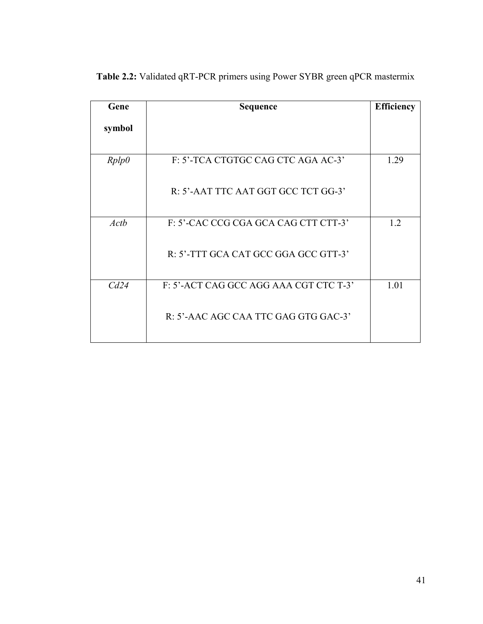| Gene   | <b>Sequence</b>                        | <b>Efficiency</b> |
|--------|----------------------------------------|-------------------|
| symbol |                                        |                   |
| Rplp0  | F: 5'-TCA CTGTGC CAG CTC AGA AC-3'     | 1.29              |
|        | R: 5'-AAT TTC AAT GGT GCC TCT GG-3'    |                   |
| Actb   | F: 5'-CAC CCG CGA GCA CAG CTT CTT-3'   | 1.2               |
|        | R: 5'-TTT GCA CAT GCC GGA GCC GTT-3'   |                   |
| Cd24   | F: 5'-ACT CAG GCC AGG AAA CGT CTC T-3' | 1.01              |
|        | R: 5'-AAC AGC CAA TTC GAG GTG GAC-3'   |                   |

**Table 2.2:** Validated qRT-PCR primers using Power SYBR green qPCR mastermix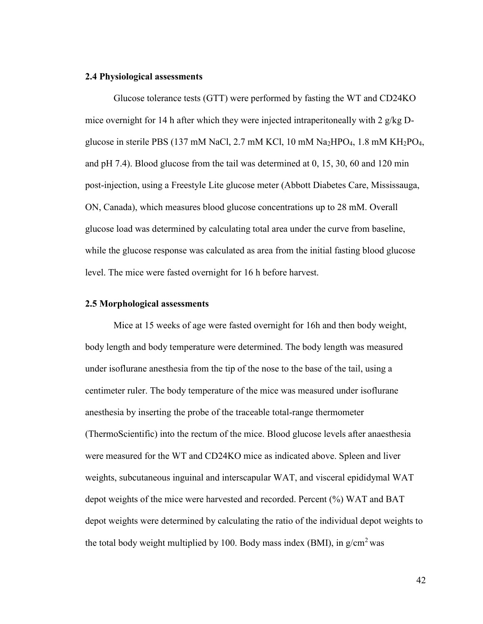#### **2.4 Physiological assessments**

Glucose tolerance tests (GTT) were performed by fasting the WT and CD24KO mice overnight for 14 h after which they were injected intraperitoneally with 2  $g/kg$  Dglucose in sterile PBS (137 mM NaCl, 2.7 mM KCl, 10 mM Na<sub>2</sub>HPO<sub>4</sub>, 1.8 mM KH<sub>2</sub>PO<sub>4</sub>, and pH 7.4). Blood glucose from the tail was determined at 0, 15, 30, 60 and 120 min post-injection, using a Freestyle Lite glucose meter (Abbott Diabetes Care, Mississauga, ON, Canada), which measures blood glucose concentrations up to 28 mM. Overall glucose load was determined by calculating total area under the curve from baseline, while the glucose response was calculated as area from the initial fasting blood glucose level. The mice were fasted overnight for 16 h before harvest.

### **2.5 Morphological assessments**

Mice at 15 weeks of age were fasted overnight for 16h and then body weight, body length and body temperature were determined. The body length was measured under isoflurane anesthesia from the tip of the nose to the base of the tail, using a centimeter ruler. The body temperature of the mice was measured under isoflurane anesthesia by inserting the probe of the traceable total-range thermometer (ThermoScientific) into the rectum of the mice. Blood glucose levels after anaesthesia were measured for the WT and CD24KO mice as indicated above. Spleen and liver weights, subcutaneous inguinal and interscapular WAT, and visceral epididymal WAT depot weights of the mice were harvested and recorded. Percent (%) WAT and BAT depot weights were determined by calculating the ratio of the individual depot weights to the total body weight multiplied by 100. Body mass index (BMI), in  $g/cm^2$  was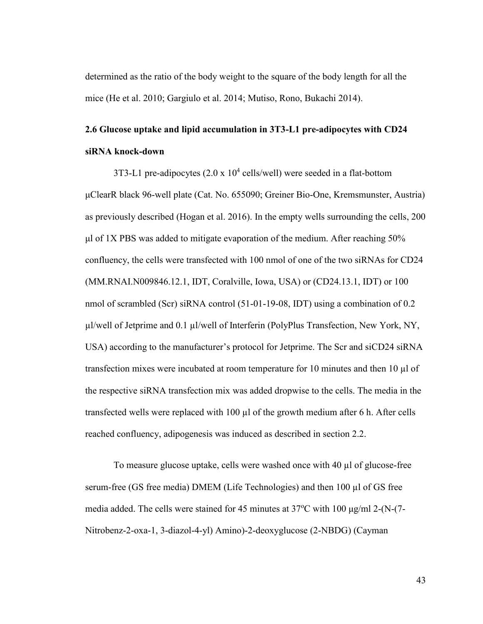determined as the ratio of the body weight to the square of the body length for all the mice (He et al. 2010; Gargiulo et al. 2014; Mutiso, Rono, Bukachi 2014).

# **2.6 Glucose uptake and lipid accumulation in 3T3-L1 pre-adipocytes with CD24 siRNA knock-down**

3T3-L1 pre-adipocytes  $(2.0 \times 10^4 \text{ cells/well})$  were seeded in a flat-bottom μClearR black 96-well plate (Cat. No. 655090; Greiner Bio-One, Kremsmunster, Austria) as previously described (Hogan et al. 2016). In the empty wells surrounding the cells, 200 μl of 1X PBS was added to mitigate evaporation of the medium. After reaching 50% confluency, the cells were transfected with 100 nmol of one of the two siRNAs for CD24 (MM.RNAI.N009846.12.1, IDT, Coralville, Iowa, USA) or (CD24.13.1, IDT) or 100 nmol of scrambled (Scr) siRNA control (51-01-19-08, IDT) using a combination of 0.2 µl/well of Jetprime and 0.1 µl/well of Interferin (PolyPlus Transfection, New York, NY, USA) according to the manufacturer's protocol for Jetprime. The Scr and siCD24 siRNA transfection mixes were incubated at room temperature for 10 minutes and then 10 µl of the respective siRNA transfection mix was added dropwise to the cells. The media in the transfected wells were replaced with 100 µl of the growth medium after 6 h. After cells reached confluency, adipogenesis was induced as described in section 2.2.

To measure glucose uptake, cells were washed once with 40 µl of glucose-free serum-free (GS free media) DMEM (Life Technologies) and then 100 µl of GS free media added. The cells were stained for 45 minutes at 37<sup>o</sup>C with 100 μg/ml 2-(N-(7-Nitrobenz-2-oxa-1, 3-diazol-4-yl) Amino)-2-deoxyglucose (2-NBDG) (Cayman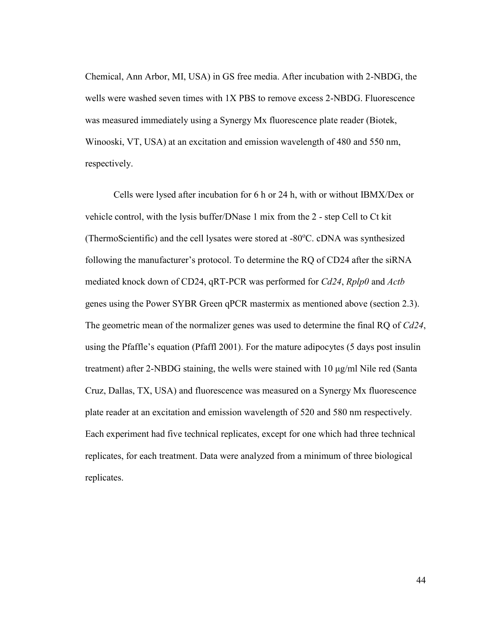Chemical, Ann Arbor, MI, USA) in GS free media. After incubation with 2-NBDG, the wells were washed seven times with 1X PBS to remove excess 2-NBDG. Fluorescence was measured immediately using a Synergy Mx fluorescence plate reader (Biotek, Winooski, VT, USA) at an excitation and emission wavelength of 480 and 550 nm, respectively.

Cells were lysed after incubation for 6 h or 24 h, with or without IBMX/Dex or vehicle control, with the lysis buffer/DNase 1 mix from the 2 - step Cell to Ct kit (ThermoScientific) and the cell lysates were stored at -80°C. cDNA was synthesized following the manufacturer's protocol. To determine the RQ of CD24 after the siRNA mediated knock down of CD24, qRT-PCR was performed for *Cd24*, *Rplp0* and *Actb* genes using the Power SYBR Green qPCR mastermix as mentioned above (section 2.3). The geometric mean of the normalizer genes was used to determine the final RQ of *Cd24*, using the Pfaffle's equation (Pfaffl 2001). For the mature adipocytes (5 days post insulin treatment) after 2-NBDG staining, the wells were stained with 10 μg/ml Nile red (Santa Cruz, Dallas, TX, USA) and fluorescence was measured on a Synergy Mx fluorescence plate reader at an excitation and emission wavelength of 520 and 580 nm respectively. Each experiment had five technical replicates, except for one which had three technical replicates, for each treatment. Data were analyzed from a minimum of three biological replicates.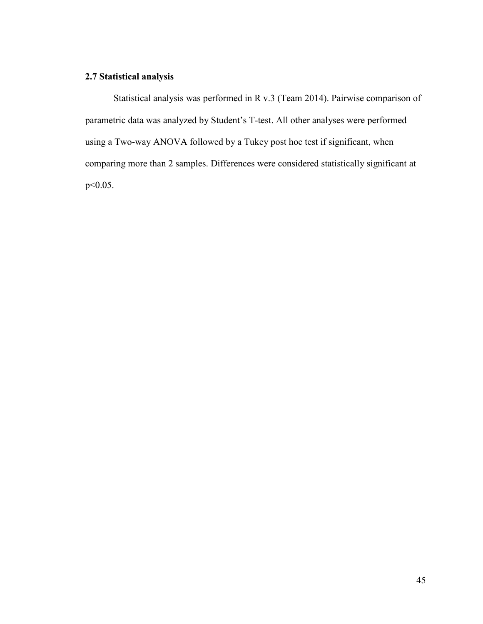## **2.7 Statistical analysis**

Statistical analysis was performed in R v.3 (Team 2014). Pairwise comparison of parametric data was analyzed by Student's T-test. All other analyses were performed using a Two-way ANOVA followed by a Tukey post hoc test if significant, when comparing more than 2 samples. Differences were considered statistically significant at p<0.05.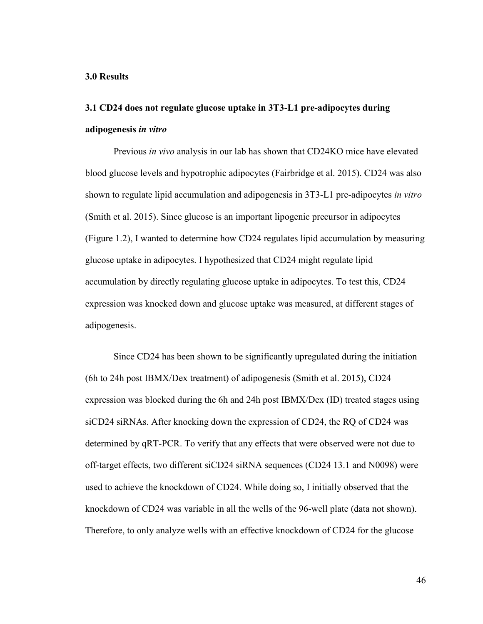#### **3.0 Results**

# **3.1 CD24 does not regulate glucose uptake in 3T3-L1 pre-adipocytes during adipogenesis** *in vitro*

Previous *in vivo* analysis in our lab has shown that CD24KO mice have elevated blood glucose levels and hypotrophic adipocytes (Fairbridge et al. 2015). CD24 was also shown to regulate lipid accumulation and adipogenesis in 3T3-L1 pre-adipocytes *in vitro*  (Smith et al. 2015). Since glucose is an important lipogenic precursor in adipocytes (Figure 1.2), I wanted to determine how CD24 regulates lipid accumulation by measuring glucose uptake in adipocytes. I hypothesized that CD24 might regulate lipid accumulation by directly regulating glucose uptake in adipocytes. To test this, CD24 expression was knocked down and glucose uptake was measured, at different stages of adipogenesis.

Since CD24 has been shown to be significantly upregulated during the initiation (6h to 24h post IBMX/Dex treatment) of adipogenesis (Smith et al. 2015), CD24 expression was blocked during the 6h and 24h post IBMX/Dex (ID) treated stages using siCD24 siRNAs. After knocking down the expression of CD24, the RQ of CD24 was determined by qRT-PCR. To verify that any effects that were observed were not due to off-target effects, two different siCD24 siRNA sequences (CD24 13.1 and N0098) were used to achieve the knockdown of CD24. While doing so, I initially observed that the knockdown of CD24 was variable in all the wells of the 96-well plate (data not shown). Therefore, to only analyze wells with an effective knockdown of CD24 for the glucose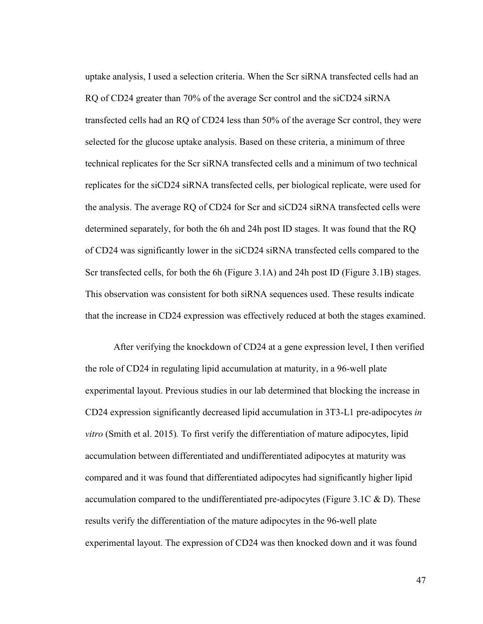uptake analysis, I used a selection criteria. When the Scr siRNA transfected cells had an RQ of CD24 greater than 70% of the average Scr control and the siCD24 siRNA transfected cells had an RQ of CD24 less than 50% of the average Scr control, they were selected for the glucose uptake analysis. Based on these criteria, a minimum of three technical replicates for the Scr siRNA transfected cells and a minimum of two technical replicates for the siCD24 siRNA transfected cells, per biological replicate, were used for the analysis. The average RQ of CD24 for Scr and siCD24 siRNA transfected cells were determined separately, for both the 6h and 24h post ID stages. It was found that the RQ of CD24 was significantly lower in the siCD24 siRNA transfected cells compared to the Scr transfected cells, for both the 6h (Figure 3.1A) and 24h post ID (Figure 3.1B) stages. This observation was consistent for both siRNA sequences used. These results indicate that the increase in CD24 expression was effectively reduced at both the stages examined.

After verifying the knockdown of CD24 at a gene expression level, I then verified the role of CD24 in regulating lipid accumulation at maturity, in a 96-well plate experimental layout. Previous studies in our lab determined that blocking the increase in CD24 expression significantly decreased lipid accumulation in 3T3-L1 pre-adipocytes *in vitro* (Smith et al. 2015)*.* To first verify the differentiation of mature adipocytes, lipid accumulation between differentiated and undifferentiated adipocytes at maturity was compared and it was found that differentiated adipocytes had significantly higher lipid accumulation compared to the undifferentiated pre-adipocytes (Figure 3.1C  $\&$  D). These results verify the differentiation of the mature adipocytes in the 96-well plate experimental layout. The expression of CD24 was then knocked down and it was found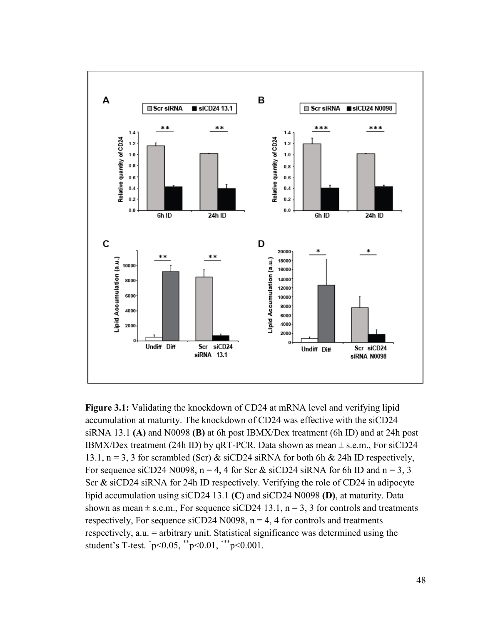

**Figure 3.1:** Validating the knockdown of CD24 at mRNA level and verifying lipid accumulation at maturity. The knockdown of CD24 was effective with the siCD24 siRNA 13.1 **(A)** and N0098 **(B)** at 6h post IBMX/Dex treatment (6h ID) and at 24h post IBMX/Dex treatment (24h ID) by qRT-PCR. Data shown as mean  $\pm$  s.e.m., For siCD24 13.1,  $n = 3$ , 3 for scrambled (Scr) & siCD24 siRNA for both 6h & 24h ID respectively, For sequence siCD24 N0098,  $n = 4$ , 4 for Scr & siCD24 siRNA for 6h ID and  $n = 3$ , 3 Scr & siCD24 siRNA for 24h ID respectively. Verifying the role of CD24 in adipocyte lipid accumulation using siCD24 13.1 **(C)** and siCD24 N0098 **(D)**, at maturity. Data shown as mean  $\pm$  s.e.m., For sequence siCD24 13.1, n = 3, 3 for controls and treatments respectively, For sequence siCD24 N0098,  $n = 4$ , 4 for controls and treatments respectively, a.u. = arbitrary unit. Statistical significance was determined using the student's T-test. \* p<0.05, \*\*p<0.01, \*\*\*p<0.001.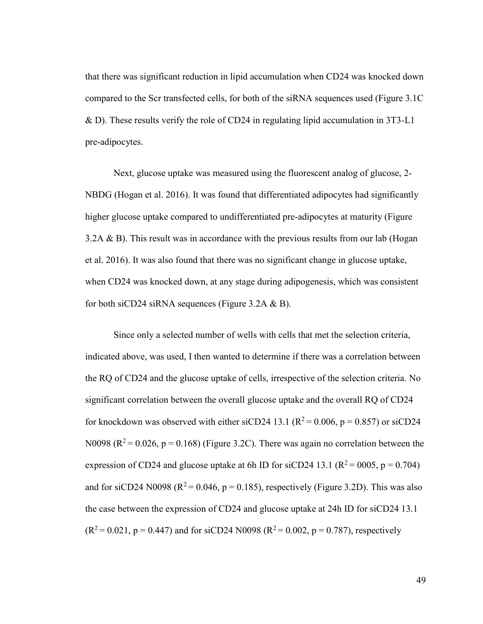that there was significant reduction in lipid accumulation when CD24 was knocked down compared to the Scr transfected cells, for both of the siRNA sequences used (Figure 3.1C & D). These results verify the role of CD24 in regulating lipid accumulation in 3T3-L1 pre-adipocytes.

Next, glucose uptake was measured using the fluorescent analog of glucose, 2- NBDG (Hogan et al. 2016). It was found that differentiated adipocytes had significantly higher glucose uptake compared to undifferentiated pre-adipocytes at maturity (Figure 3.2A  $\&$  B). This result was in accordance with the previous results from our lab (Hogan et al. 2016). It was also found that there was no significant change in glucose uptake, when CD24 was knocked down, at any stage during adipogenesis, which was consistent for both siCD24 siRNA sequences (Figure 3.2A & B).

Since only a selected number of wells with cells that met the selection criteria, indicated above, was used, I then wanted to determine if there was a correlation between the RQ of CD24 and the glucose uptake of cells, irrespective of the selection criteria. No significant correlation between the overall glucose uptake and the overall RQ of CD24 for knockdown was observed with either siCD24 13.1 ( $R^2$  = 0.006, p = 0.857) or siCD24 N0098 ( $R^2$  = 0.026, p = 0.168) (Figure 3.2C). There was again no correlation between the expression of CD24 and glucose uptake at 6h ID for siCD24 13.1 ( $R^2$  = 0005, p = 0.704) and for siCD24 N0098 ( $R^2$  = 0.046, p = 0.185), respectively (Figure 3.2D). This was also the case between the expression of CD24 and glucose uptake at 24h ID for siCD24 13.1  $(R^2 = 0.021, p = 0.447)$  and for siCD24 N0098 ( $R^2 = 0.002, p = 0.787$ ), respectively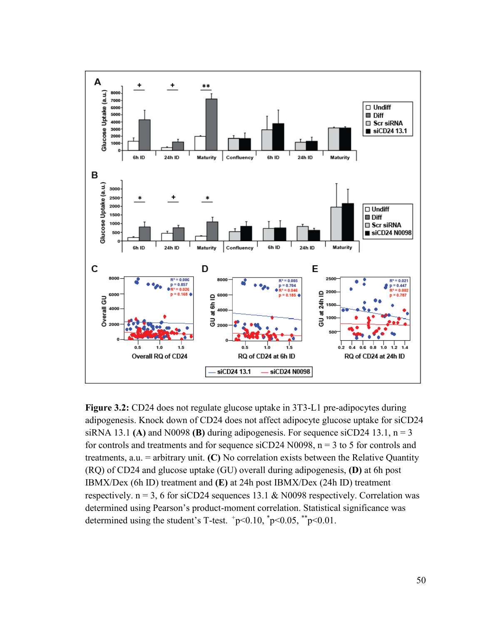

**Figure 3.2:** CD24 does not regulate glucose uptake in 3T3-L1 pre-adipocytes during adipogenesis. Knock down of CD24 does not affect adipocyte glucose uptake for siCD24 siRNA 13.1 **(A)** and N0098 **(B)** during adipogenesis. For sequence siCD24 13.1,  $n = 3$ for controls and treatments and for sequence siCD24 N0098,  $n = 3$  to 5 for controls and treatments, a.u. = arbitrary unit. **(C)** No correlation exists between the Relative Quantity (RQ) of CD24 and glucose uptake (GU) overall during adipogenesis, **(D)** at 6h post IBMX/Dex (6h ID) treatment and **(E)** at 24h post IBMX/Dex (24h ID) treatment respectively.  $n = 3$ , 6 for siCD24 sequences 13.1 & N0098 respectively. Correlation was determined using Pearson's product-moment correlation. Statistical significance was determined using the student's T-test.  $+p<0.10$ ,  $^{*}p<0.05$ ,  $^{*}p<0.01$ .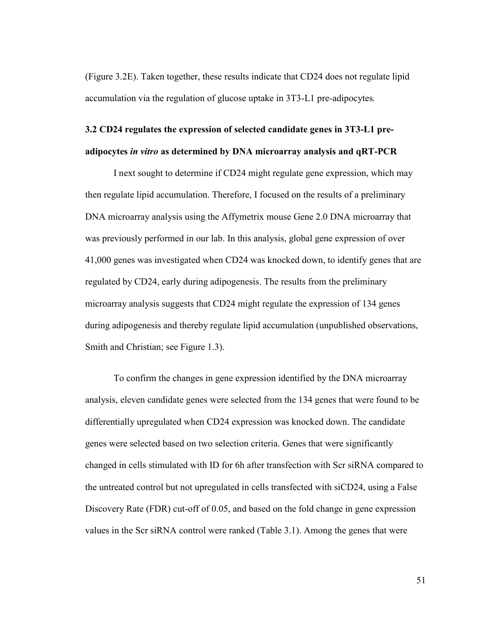(Figure 3.2E). Taken together, these results indicate that CD24 does not regulate lipid accumulation via the regulation of glucose uptake in 3T3-L1 pre-adipocytes*.*

# **3.2 CD24 regulates the expression of selected candidate genes in 3T3-L1 preadipocytes** *in vitro* **as determined by DNA microarray analysis and qRT-PCR**

I next sought to determine if CD24 might regulate gene expression, which may then regulate lipid accumulation. Therefore, I focused on the results of a preliminary DNA microarray analysis using the Affymetrix mouse Gene 2.0 DNA microarray that was previously performed in our lab. In this analysis, global gene expression of over 41,000 genes was investigated when CD24 was knocked down, to identify genes that are regulated by CD24, early during adipogenesis. The results from the preliminary microarray analysis suggests that CD24 might regulate the expression of 134 genes during adipogenesis and thereby regulate lipid accumulation (unpublished observations, Smith and Christian; see Figure 1.3).

To confirm the changes in gene expression identified by the DNA microarray analysis, eleven candidate genes were selected from the 134 genes that were found to be differentially upregulated when CD24 expression was knocked down. The candidate genes were selected based on two selection criteria. Genes that were significantly changed in cells stimulated with ID for 6h after transfection with Scr siRNA compared to the untreated control but not upregulated in cells transfected with siCD24, using a False Discovery Rate (FDR) cut-off of 0.05, and based on the fold change in gene expression values in the Scr siRNA control were ranked (Table 3.1). Among the genes that were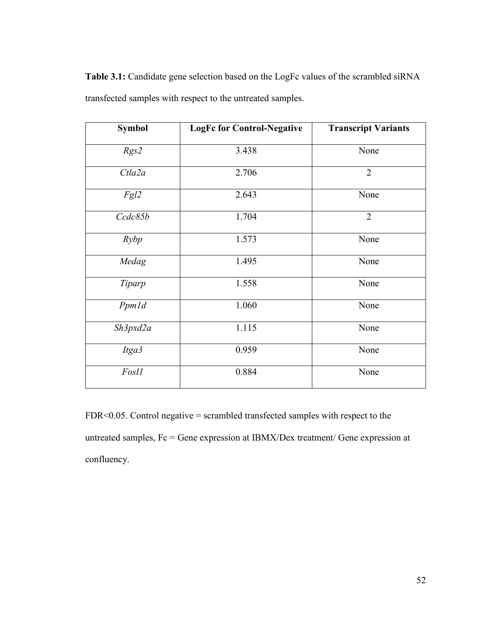Table 3.1: Candidate gene selection based on the LogFc values of the scrambled siRNA transfected samples with respect to the untreated samples.

| <b>Symbol</b> | <b>LogFc for Control-Negative</b> | <b>Transcript Variants</b> |
|---------------|-----------------------------------|----------------------------|
| Rgs2          | 3.438                             | None                       |
| Ctla2a        | 2.706                             | $\overline{2}$             |
| Fgl2          | 2.643                             | None                       |
| Ccdc85b       | 1.704                             | $\overline{2}$             |
| Rybp          | 1.573                             | None                       |
| Medag         | 1.495                             | None                       |
| Tiparp        | 1.558                             | None                       |
| Ppmld         | 1.060                             | None                       |
| Sh3pxd2a      | 1.115                             | None                       |
| Itga3         | 0.959                             | None                       |
| Fosl1         | 0.884                             | None                       |

FDR<0.05. Control negative = scrambled transfected samples with respect to the untreated samples, Fc = Gene expression at IBMX/Dex treatment/ Gene expression at confluency.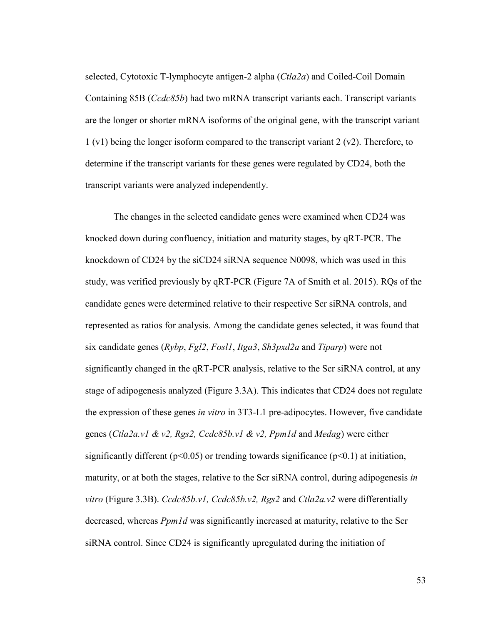selected, Cytotoxic T-lymphocyte antigen-2 alpha (*Ctla2a*) and Coiled-Coil Domain Containing 85B (*Ccdc85b*) had two mRNA transcript variants each. Transcript variants are the longer or shorter mRNA isoforms of the original gene, with the transcript variant 1 (v1) being the longer isoform compared to the transcript variant 2 (v2). Therefore, to determine if the transcript variants for these genes were regulated by CD24, both the transcript variants were analyzed independently.

The changes in the selected candidate genes were examined when CD24 was knocked down during confluency, initiation and maturity stages, by qRT-PCR. The knockdown of CD24 by the siCD24 siRNA sequence N0098, which was used in this study, was verified previously by qRT-PCR (Figure 7A of Smith et al. 2015). RQs of the candidate genes were determined relative to their respective Scr siRNA controls, and represented as ratios for analysis. Among the candidate genes selected, it was found that six candidate genes (*Rybp*, *Fgl2*, *Fosl1*, *Itga3*, *Sh3pxd2a* and *Tiparp*) were not significantly changed in the qRT-PCR analysis, relative to the Scr siRNA control, at any stage of adipogenesis analyzed (Figure 3.3A). This indicates that CD24 does not regulate the expression of these genes *in vitro* in 3T3-L1 pre-adipocytes. However, five candidate genes (*Ctla2a.v1 & v2, Rgs2, Ccdc85b.v1 & v2, Ppm1d* and *Medag*) were either significantly different ( $p<0.05$ ) or trending towards significance ( $p<0.1$ ) at initiation, maturity, or at both the stages, relative to the Scr siRNA control, during adipogenesis *in vitro* (Figure 3.3B). *Ccdc85b.v1, Ccdc85b.v2, Rgs2* and *Ctla2a.v2* were differentially decreased, whereas *Ppm1d* was significantly increased at maturity, relative to the Scr siRNA control. Since CD24 is significantly upregulated during the initiation of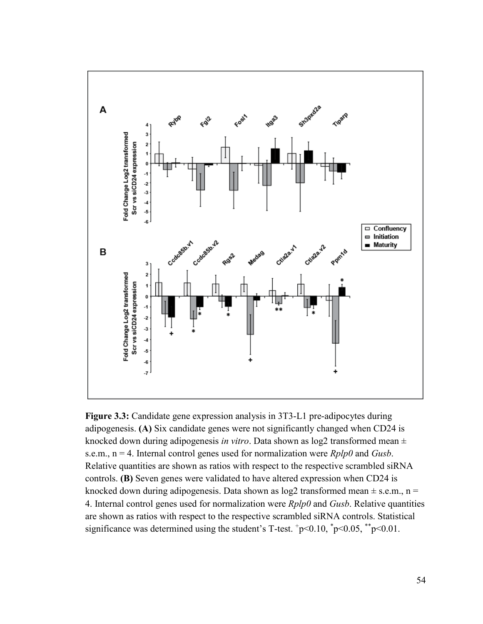

**Figure 3.3:** Candidate gene expression analysis in 3T3-L1 pre-adipocytes during adipogenesis. **(A)** Six candidate genes were not significantly changed when CD24 is knocked down during adipogenesis *in vitro*. Data shown as log2 transformed mean ± s.e.m., n = 4. Internal control genes used for normalization were *Rplp0* and *Gusb*. Relative quantities are shown as ratios with respect to the respective scrambled siRNA controls. **(B)** Seven genes were validated to have altered expression when CD24 is knocked down during adipogenesis. Data shown as  $log2$  transformed mean  $\pm$  s.e.m., n = 4. Internal control genes used for normalization were *Rplp0* and *Gusb*. Relative quantities are shown as ratios with respect to the respective scrambled siRNA controls. Statistical significance was determined using the student's T-test.  $+p<0.10$ ,  $^{*}p<0.05$ ,  $^{*}p<0.01$ .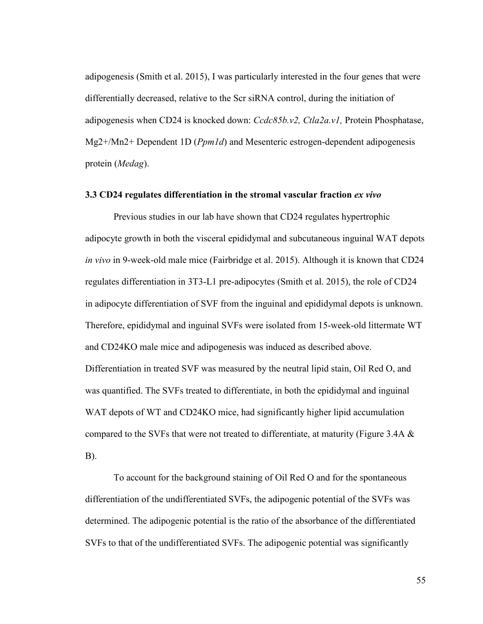adipogenesis (Smith et al. 2015), I was particularly interested in the four genes that were differentially decreased, relative to the Scr siRNA control, during the initiation of adipogenesis when CD24 is knocked down: *Ccdc85b.v2, Ctla2a.v1,* Protein Phosphatase, Mg2+/Mn2+ Dependent 1D (*Ppm1d*) and Mesenteric estrogen-dependent adipogenesis protein (*Medag*).

### **3.3 CD24 regulates differentiation in the stromal vascular fraction** *ex vivo*

Previous studies in our lab have shown that CD24 regulates hypertrophic adipocyte growth in both the visceral epididymal and subcutaneous inguinal WAT depots *in vivo* in 9-week-old male mice (Fairbridge et al. 2015). Although it is known that CD24 regulates differentiation in 3T3-L1 pre-adipocytes (Smith et al. 2015), the role of CD24 in adipocyte differentiation of SVF from the inguinal and epididymal depots is unknown. Therefore, epididymal and inguinal SVFs were isolated from 15-week-old littermate WT and CD24KO male mice and adipogenesis was induced as described above. Differentiation in treated SVF was measured by the neutral lipid stain, Oil Red O, and was quantified. The SVFs treated to differentiate, in both the epididymal and inguinal WAT depots of WT and CD24KO mice, had significantly higher lipid accumulation compared to the SVFs that were not treated to differentiate, at maturity (Figure 3.4A  $\&$ B).

To account for the background staining of Oil Red O and for the spontaneous differentiation of the undifferentiated SVFs, the adipogenic potential of the SVFs was determined. The adipogenic potential is the ratio of the absorbance of the differentiated SVFs to that of the undifferentiated SVFs. The adipogenic potential was significantly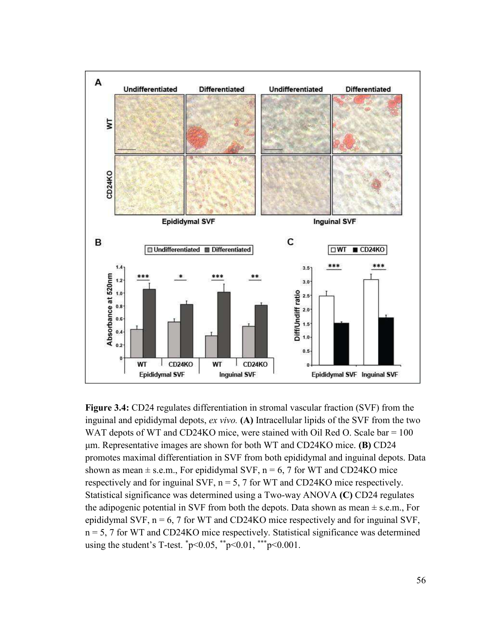

**Figure 3.4:** CD24 regulates differentiation in stromal vascular fraction (SVF) from the inguinal and epididymal depots, *ex vivo.* **(A)** Intracellular lipids of the SVF from the two WAT depots of WT and CD24KO mice, were stained with Oil Red O. Scale bar = 100 μm. Representative images are shown for both WT and CDβ4KO mice. **(B)** CD24 promotes maximal differentiation in SVF from both epididymal and inguinal depots. Data shown as mean  $\pm$  s.e.m., For epididymal SVF, n = 6, 7 for WT and CD24KO mice respectively and for inguinal SVF,  $n = 5$ , 7 for WT and CD24KO mice respectively. Statistical significance was determined using a Two-way ANOVA **(C)** CD24 regulates the adipogenic potential in SVF from both the depots. Data shown as mean  $\pm$  s.e.m., For epididymal SVF,  $n = 6$ , 7 for WT and CD24KO mice respectively and for inguinal SVF, n = 5, 7 for WT and CD24KO mice respectively. Statistical significance was determined using the student's T-test.  $\degree p$ <0.05,  $\degree$  $\degree p$ <0.01,  $\degree$  $\degree$  $\degree$  $\degree$ 0.001.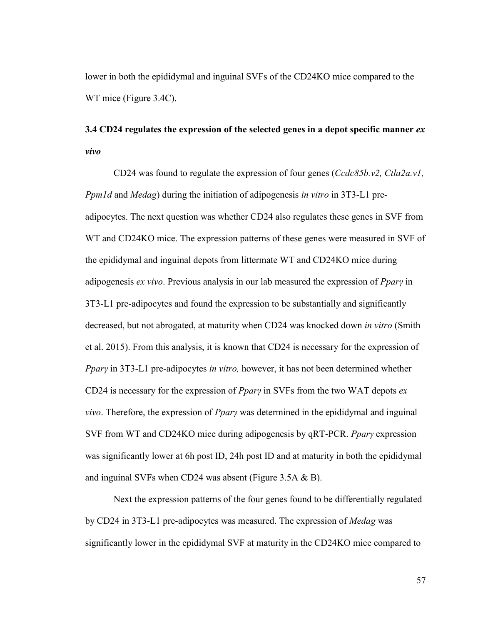lower in both the epididymal and inguinal SVFs of the CD24KO mice compared to the WT mice (Figure 3.4C).

# **3.4 CD24 regulates the expression of the selected genes in a depot specific manner** *ex vivo*

CD24 was found to regulate the expression of four genes (*Ccdc85b.v2, Ctla2a.v1, Ppm1d* and *Medag*) during the initiation of adipogenesis *in vitro* in 3T3-L1 preadipocytes. The next question was whether CD24 also regulates these genes in SVF from WT and CD24KO mice. The expression patterns of these genes were measured in SVF of the epididymal and inguinal depots from littermate WT and CD24KO mice during adipogenesis *ex vivo*. Previous analysis in our lab measured the expression of *PparȖ* in 3T3-L1 pre-adipocytes and found the expression to be substantially and significantly decreased, but not abrogated, at maturity when CD24 was knocked down *in vitro* (Smith et al. 2015). From this analysis, it is known that CD24 is necessary for the expression of *Ppary* in 3T3-L1 pre-adipocytes *in vitro*, however, it has not been determined whether CD24 is necessary for the expression of *PparȖ* in SVFs from the two WAT depots *ex vivo*. Therefore, the expression of *PparȖ* was determined in the epididymal and inguinal SVF from WT and CD24KO mice during adipogenesis by qRT-PCR. *PparȖ* expression was significantly lower at 6h post ID, 24h post ID and at maturity in both the epididymal and inguinal SVFs when CD24 was absent (Figure 3.5A & B).

Next the expression patterns of the four genes found to be differentially regulated by CD24 in 3T3-L1 pre-adipocytes was measured. The expression of *Medag* was significantly lower in the epididymal SVF at maturity in the CD24KO mice compared to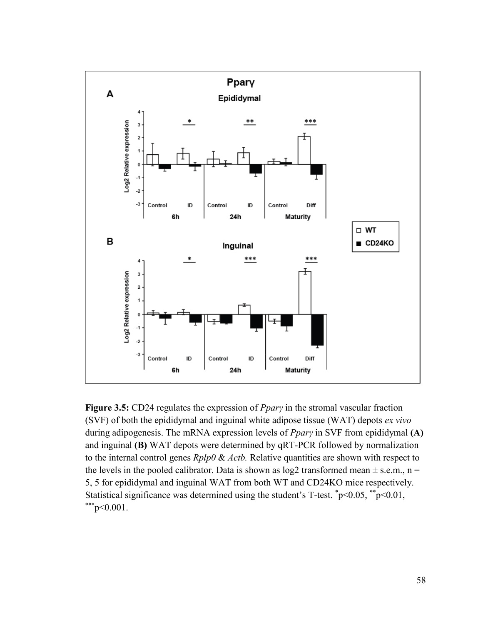

**Figure 3.5:** CD24 regulates the expression of *Ppary* in the stromal vascular fraction (SVF) of both the epididymal and inguinal white adipose tissue (WAT) depots *ex vivo*  during adipogenesis. The mRNA expression levels of *PparȖ* in SVF from epididymal **(A)**  and inguinal **(B)** WAT depots were determined by qRT-PCR followed by normalization to the internal control genes *Rplp0* & *Actb.* Relative quantities are shown with respect to the levels in the pooled calibrator. Data is shown as  $log2$  transformed mean  $\pm$  s.e.m., n = 5, 5 for epididymal and inguinal WAT from both WT and CD24KO mice respectively. Statistical significance was determined using the student's T-test.  $\degree$ p<0.05,  $\degree$  $\degree$ p<0.01,  $*^{**}p<0.001$ .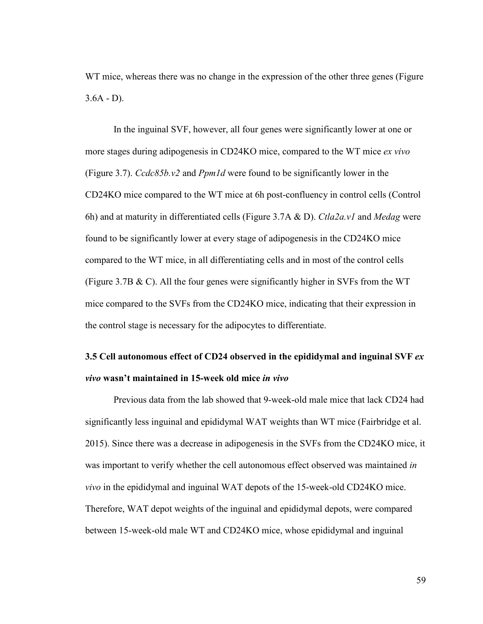WT mice, whereas there was no change in the expression of the other three genes (Figure)  $3.6A - D$ ).

In the inguinal SVF, however, all four genes were significantly lower at one or more stages during adipogenesis in CD24KO mice, compared to the WT mice *ex vivo*  (Figure 3.7). *Ccdc85b.v2* and *Ppm1d* were found to be significantly lower in the CD24KO mice compared to the WT mice at 6h post-confluency in control cells (Control 6h) and at maturity in differentiated cells (Figure 3.7A & D). *Ctla2a.v1* and *Medag* were found to be significantly lower at every stage of adipogenesis in the CD24KO mice compared to the WT mice, in all differentiating cells and in most of the control cells (Figure 3.7B & C). All the four genes were significantly higher in SVFs from the WT mice compared to the SVFs from the CD24KO mice, indicating that their expression in the control stage is necessary for the adipocytes to differentiate.

# **3.5 Cell autonomous effect of CD24 observed in the epididymal and inguinal SVF** *ex vivo* **wasn't maintained in 15-week old mice** *in vivo*

Previous data from the lab showed that 9-week-old male mice that lack CD24 had significantly less inguinal and epididymal WAT weights than WT mice (Fairbridge et al. 2015). Since there was a decrease in adipogenesis in the SVFs from the CD24KO mice, it was important to verify whether the cell autonomous effect observed was maintained *in vivo* in the epididymal and inguinal WAT depots of the 15-week-old CD24KO mice. Therefore, WAT depot weights of the inguinal and epididymal depots, were compared between 15-week-old male WT and CD24KO mice, whose epididymal and inguinal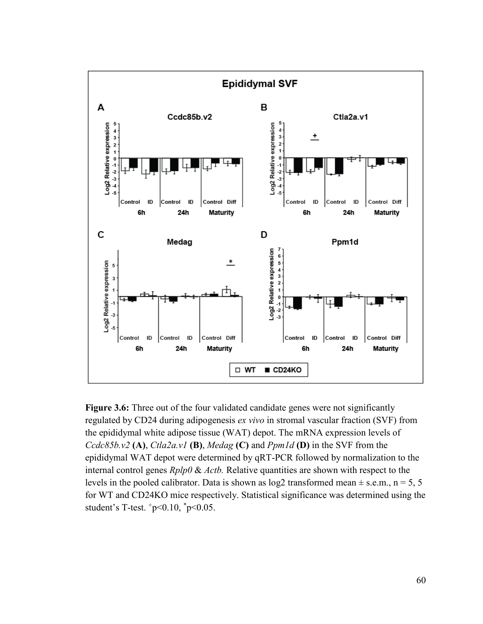

**Figure 3.6:** Three out of the four validated candidate genes were not significantly regulated by CD24 during adipogenesis *ex vivo* in stromal vascular fraction (SVF) from the epididymal white adipose tissue (WAT) depot. The mRNA expression levels of *Ccdc85b.v2* **(A)**, *Ctla2a.v1* **(B)**, *Medag* **(C)** and *Ppm1d* **(D)** in the SVF from the epididymal WAT depot were determined by qRT-PCR followed by normalization to the internal control genes *Rplp0* & *Actb.* Relative quantities are shown with respect to the levels in the pooled calibrator. Data is shown as  $log2$  transformed mean  $\pm$  s.e.m., n = 5, 5 for WT and CD24KO mice respectively. Statistical significance was determined using the student's T-test.  $+p<0.10$ ,  $^{*}p<0.05$ .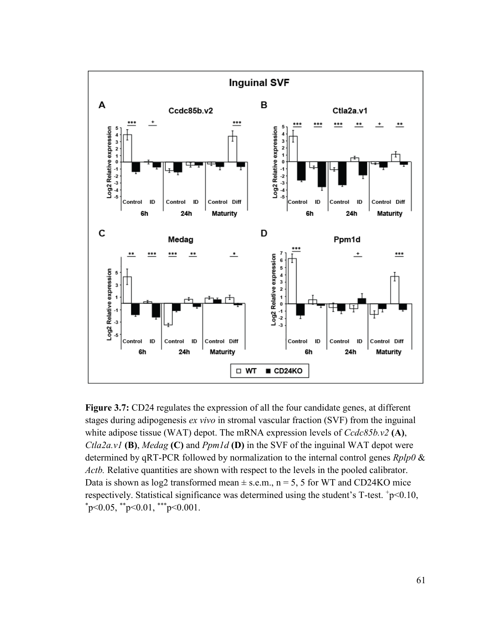

**Figure 3.7:** CD24 regulates the expression of all the four candidate genes, at different stages during adipogenesis *ex vivo* in stromal vascular fraction (SVF) from the inguinal white adipose tissue (WAT) depot. The mRNA expression levels of *Ccdc85b.v2* **(A)**, *Ctla2a.v1* **(B)**, *Medag* **(C)** and *Ppm1d* **(D)** in the SVF of the inguinal WAT depot were determined by qRT-PCR followed by normalization to the internal control genes *Rplp0* & *Actb.* Relative quantities are shown with respect to the levels in the pooled calibrator. Data is shown as  $log2$  transformed mean  $\pm$  s.e.m., n = 5, 5 for WT and CD24KO mice respectively. Statistical significance was determined using the student's T-test. +p<0.10,  $p<0.05$ ,  $p<0.01$ ,  $p<0.001$ .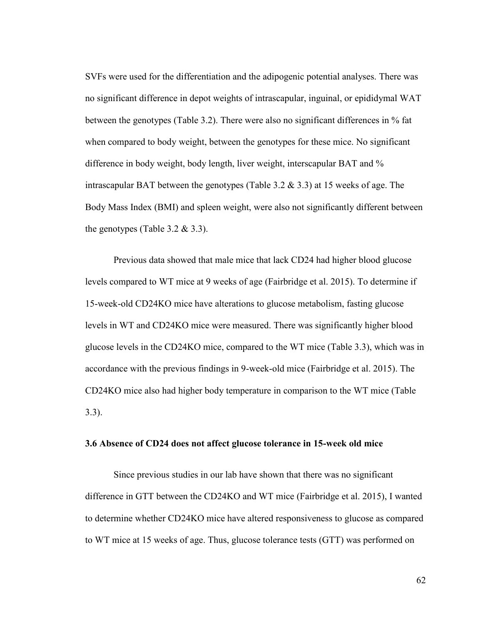SVFs were used for the differentiation and the adipogenic potential analyses. There was no significant difference in depot weights of intrascapular, inguinal, or epididymal WAT between the genotypes (Table 3.2). There were also no significant differences in % fat when compared to body weight, between the genotypes for these mice. No significant difference in body weight, body length, liver weight, interscapular BAT and % intrascapular BAT between the genotypes (Table 3.2  $\&$  3.3) at 15 weeks of age. The Body Mass Index (BMI) and spleen weight, were also not significantly different between the genotypes (Table 3.2  $&$  3.3).

Previous data showed that male mice that lack CD24 had higher blood glucose levels compared to WT mice at 9 weeks of age (Fairbridge et al. 2015). To determine if 15-week-old CD24KO mice have alterations to glucose metabolism, fasting glucose levels in WT and CD24KO mice were measured. There was significantly higher blood glucose levels in the CD24KO mice, compared to the WT mice (Table 3.3), which was in accordance with the previous findings in 9-week-old mice (Fairbridge et al. 2015). The CD24KO mice also had higher body temperature in comparison to the WT mice (Table 3.3).

## **3.6 Absence of CD24 does not affect glucose tolerance in 15-week old mice**

Since previous studies in our lab have shown that there was no significant difference in GTT between the CD24KO and WT mice (Fairbridge et al. 2015), I wanted to determine whether CD24KO mice have altered responsiveness to glucose as compared to WT mice at 15 weeks of age. Thus, glucose tolerance tests (GTT) was performed on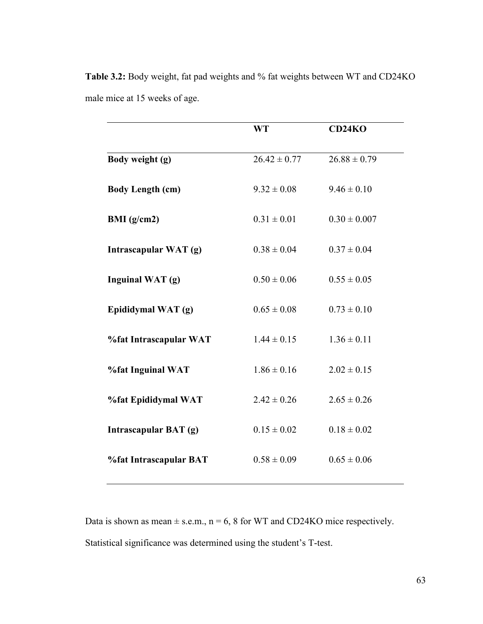|                         | <b>WT</b>        | CD24KO           |
|-------------------------|------------------|------------------|
| Body weight (g)         | $26.42 \pm 0.77$ | $26.88 \pm 0.79$ |
| <b>Body Length (cm)</b> | $9.32 \pm 0.08$  | $9.46 \pm 0.10$  |
| BMI $(g/cm2)$           | $0.31 \pm 0.01$  | $0.30 \pm 0.007$ |
| Intrascapular WAT (g)   | $0.38 \pm 0.04$  | $0.37 \pm 0.04$  |
| Inguinal WAT (g)        | $0.50 \pm 0.06$  | $0.55 \pm 0.05$  |
| Epididymal WAT (g)      | $0.65 \pm 0.08$  | $0.73 \pm 0.10$  |
| %fat Intrascapular WAT  | $1.44 \pm 0.15$  | $1.36 \pm 0.11$  |
| %fat Inguinal WAT       | $1.86 \pm 0.16$  | $2.02 \pm 0.15$  |
| %fat Epididymal WAT     | $2.42 \pm 0.26$  | $2.65 \pm 0.26$  |
| Intrascapular BAT (g)   | $0.15 \pm 0.02$  | $0.18 \pm 0.02$  |
| %fat Intrascapular BAT  | $0.58 \pm 0.09$  | $0.65 \pm 0.06$  |

**Table 3.2:** Body weight, fat pad weights and % fat weights between WT and CD24KO male mice at 15 weeks of age.

Data is shown as mean  $\pm$  s.e.m., n = 6, 8 for WT and CD24KO mice respectively. Statistical significance was determined using the student's T-test.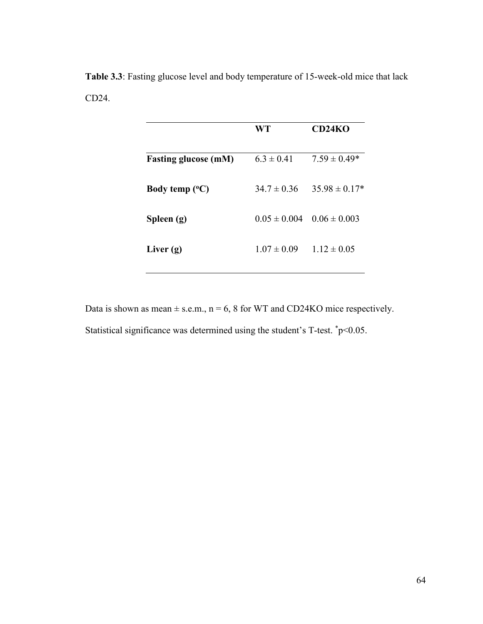**Table 3.3**: Fasting glucose level and body temperature of 15-week-old mice that lack CD24.

|                             | WT               | <b>CD24KO</b>     |
|-----------------------------|------------------|-------------------|
| <b>Fasting glucose (mM)</b> | $6.3 \pm 0.41$   | $7.59 \pm 0.49*$  |
| Body temp $(^{\circ}C)$     | $34.7 \pm 0.36$  | $35.98 \pm 0.17*$ |
| Spleen (g)                  | $0.05 \pm 0.004$ | $0.06 \pm 0.003$  |
| Liver $(g)$                 | $1.07 \pm 0.09$  | $1.12 \pm 0.05$   |

Data is shown as mean  $\pm$  s.e.m., n = 6, 8 for WT and CD24KO mice respectively. Statistical significance was determined using the student's T-test.  $\text{*p}$  < 0.05.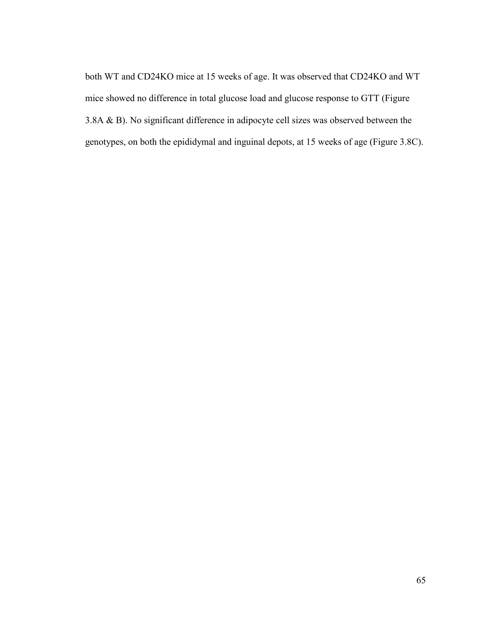both WT and CD24KO mice at 15 weeks of age. It was observed that CD24KO and WT mice showed no difference in total glucose load and glucose response to GTT (Figure 3.8A & B). No significant difference in adipocyte cell sizes was observed between the genotypes, on both the epididymal and inguinal depots, at 15 weeks of age (Figure 3.8C).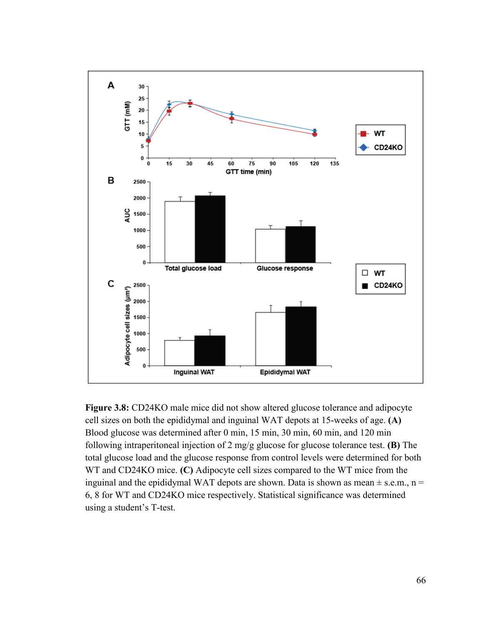

**Figure 3.8:** CD24KO male mice did not show altered glucose tolerance and adipocyte cell sizes on both the epididymal and inguinal WAT depots at 15-weeks of age. **(A)** Blood glucose was determined after 0 min, 15 min, 30 min, 60 min, and 120 min following intraperitoneal injection of 2 mg/g glucose for glucose tolerance test. **(B)** The total glucose load and the glucose response from control levels were determined for both WT and CD24KO mice. **(C)** Adipocyte cell sizes compared to the WT mice from the inguinal and the epididymal WAT depots are shown. Data is shown as mean  $\pm$  s.e.m., n = 6, 8 for WT and CD24KO mice respectively. Statistical significance was determined using a student's T-test.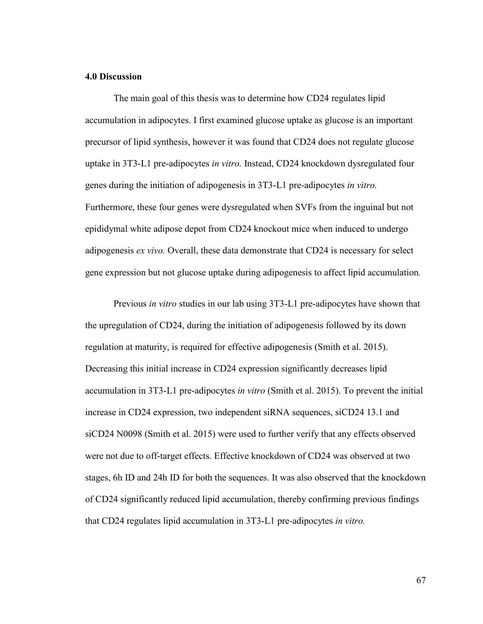### **4.0 Discussion**

The main goal of this thesis was to determine how CD24 regulates lipid accumulation in adipocytes. I first examined glucose uptake as glucose is an important precursor of lipid synthesis, however it was found that CD24 does not regulate glucose uptake in 3T3-L1 pre-adipocytes *in vitro.* Instead, CD24 knockdown dysregulated four genes during the initiation of adipogenesis in 3T3-L1 pre-adipocytes *in vitro.*  Furthermore, these four genes were dysregulated when SVFs from the inguinal but not epididymal white adipose depot from CD24 knockout mice when induced to undergo adipogenesis *ex vivo.* Overall, these data demonstrate that CD24 is necessary for select gene expression but not glucose uptake during adipogenesis to affect lipid accumulation*.* 

Previous *in vitro* studies in our lab using 3T3-L1 pre-adipocytes have shown that the upregulation of CD24, during the initiation of adipogenesis followed by its down regulation at maturity, is required for effective adipogenesis (Smith et al. 2015). Decreasing this initial increase in CD24 expression significantly decreases lipid accumulation in 3T3-L1 pre-adipocytes *in vitro* (Smith et al. 2015). To prevent the initial increase in CD24 expression, two independent siRNA sequences, siCD24 13.1 and siCD24 N0098 (Smith et al. 2015) were used to further verify that any effects observed were not due to off-target effects. Effective knockdown of CD24 was observed at two stages, 6h ID and 24h ID for both the sequences. It was also observed that the knockdown of CD24 significantly reduced lipid accumulation, thereby confirming previous findings that CD24 regulates lipid accumulation in 3T3-L1 pre-adipocytes *in vitro.*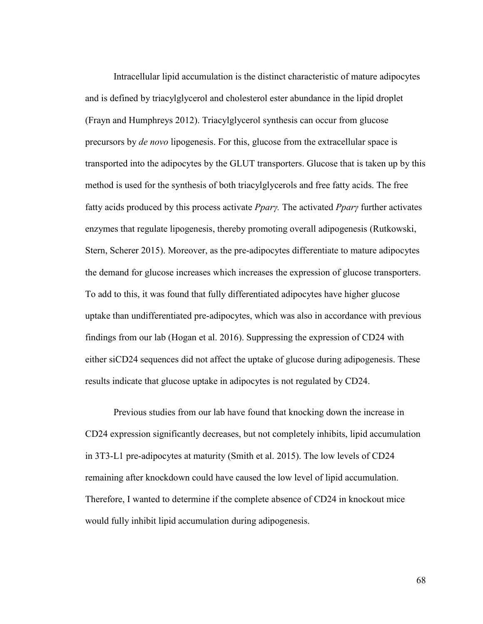Intracellular lipid accumulation is the distinct characteristic of mature adipocytes and is defined by triacylglycerol and cholesterol ester abundance in the lipid droplet (Frayn and Humphreys 2012). Triacylglycerol synthesis can occur from glucose precursors by *de novo* lipogenesis. For this, glucose from the extracellular space is transported into the adipocytes by the GLUT transporters. Glucose that is taken up by this method is used for the synthesis of both triacylglycerols and free fatty acids. The free fatty acids produced by this process activate *PparȖ.* The activated *PparȖ* further activates enzymes that regulate lipogenesis, thereby promoting overall adipogenesis (Rutkowski, Stern, Scherer 2015). Moreover, as the pre-adipocytes differentiate to mature adipocytes the demand for glucose increases which increases the expression of glucose transporters. To add to this, it was found that fully differentiated adipocytes have higher glucose uptake than undifferentiated pre-adipocytes, which was also in accordance with previous findings from our lab (Hogan et al. 2016). Suppressing the expression of CD24 with either siCD24 sequences did not affect the uptake of glucose during adipogenesis. These results indicate that glucose uptake in adipocytes is not regulated by CD24.

Previous studies from our lab have found that knocking down the increase in CD24 expression significantly decreases, but not completely inhibits, lipid accumulation in 3T3-L1 pre-adipocytes at maturity (Smith et al. 2015). The low levels of CD24 remaining after knockdown could have caused the low level of lipid accumulation. Therefore, I wanted to determine if the complete absence of CD24 in knockout mice would fully inhibit lipid accumulation during adipogenesis.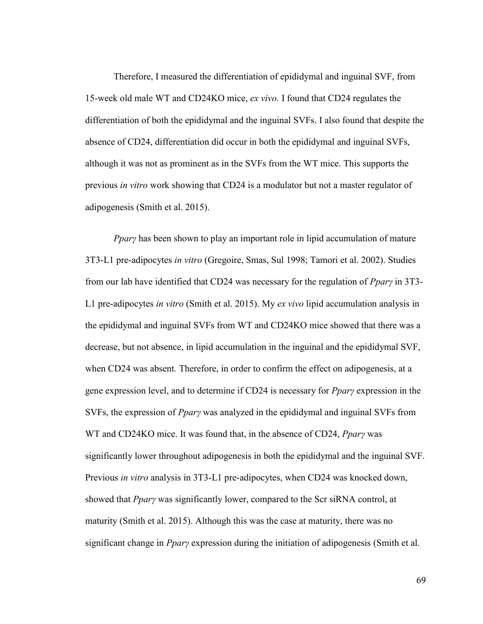Therefore, I measured the differentiation of epididymal and inguinal SVF, from 15-week old male WT and CD24KO mice, *ex vivo.* I found that CD24 regulates the differentiation of both the epididymal and the inguinal SVFs. I also found that despite the absence of CD24, differentiation did occur in both the epididymal and inguinal SVFs, although it was not as prominent as in the SVFs from the WT mice. This supports the previous *in vitro* work showing that CD24 is a modulator but not a master regulator of adipogenesis (Smith et al. 2015).

*Ppary* has been shown to play an important role in lipid accumulation of mature 3T3-L1 pre-adipocytes *in vitro* (Gregoire, Smas, Sul 1998; Tamori et al. 2002). Studies from our lab have identified that CD24 was necessary for the regulation of *PparȖ* in 3T3- L1 pre-adipocytes *in vitro* (Smith et al. 2015). My *ex vivo* lipid accumulation analysis in the epididymal and inguinal SVFs from WT and CD24KO mice showed that there was a decrease, but not absence, in lipid accumulation in the inguinal and the epididymal SVF, when CD24 was absent*.* Therefore, in order to confirm the effect on adipogenesis, at a gene expression level, and to determine if CD24 is necessary for *PparȖ* expression in the SVFs, the expression of *Ppary* was analyzed in the epididymal and inguinal SVFs from WT and CD24KO mice. It was found that, in the absence of CD24, *Ppary* was significantly lower throughout adipogenesis in both the epididymal and the inguinal SVF. Previous *in vitro* analysis in 3T3-L1 pre-adipocytes, when CD24 was knocked down, showed that *Ppary* was significantly lower, compared to the Scr siRNA control, at maturity (Smith et al. 2015). Although this was the case at maturity, there was no significant change in *PparȖ* expression during the initiation of adipogenesis (Smith et al.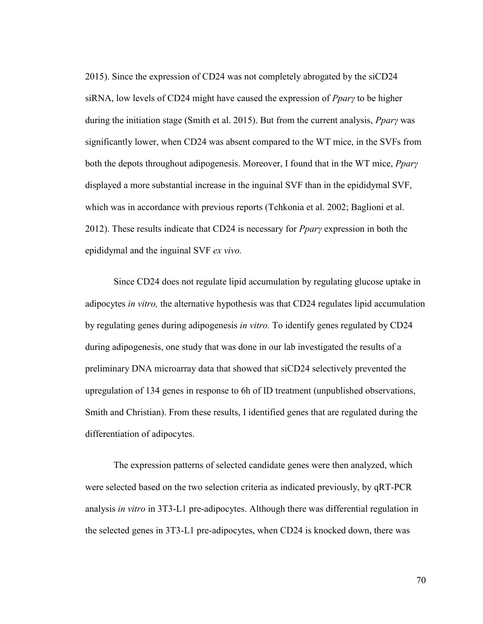2015). Since the expression of CD24 was not completely abrogated by the siCD24 siRNA, low levels of CD24 might have caused the expression of *PparȖ* to be higher during the initiation stage (Smith et al. 2015). But from the current analysis, *Ppary* was significantly lower, when CD24 was absent compared to the WT mice, in the SVFs from both the depots throughout adipogenesis. Moreover, I found that in the WT mice, *PparȖ* displayed a more substantial increase in the inguinal SVF than in the epididymal SVF, which was in accordance with previous reports (Tchkonia et al. 2002; Baglioni et al. 2012). These results indicate that CD24 is necessary for *PparȖ* expression in both the epididymal and the inguinal SVF *ex vivo.* 

Since CD24 does not regulate lipid accumulation by regulating glucose uptake in adipocytes *in vitro,* the alternative hypothesis was that CD24 regulates lipid accumulation by regulating genes during adipogenesis *in vitro.* To identify genes regulated by CD24 during adipogenesis, one study that was done in our lab investigated the results of a preliminary DNA microarray data that showed that siCD24 selectively prevented the upregulation of 134 genes in response to 6h of ID treatment (unpublished observations, Smith and Christian). From these results, I identified genes that are regulated during the differentiation of adipocytes.

The expression patterns of selected candidate genes were then analyzed, which were selected based on the two selection criteria as indicated previously, by qRT-PCR analysis *in vitro* in 3T3-L1 pre-adipocytes. Although there was differential regulation in the selected genes in 3T3-L1 pre-adipocytes, when CD24 is knocked down, there was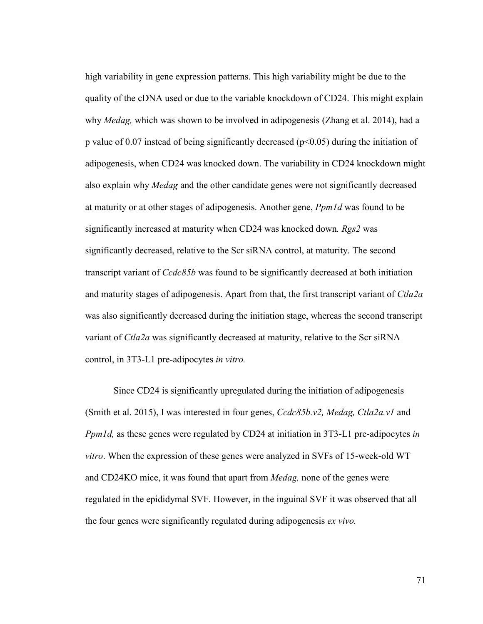high variability in gene expression patterns. This high variability might be due to the quality of the cDNA used or due to the variable knockdown of CD24. This might explain why *Medag,* which was shown to be involved in adipogenesis (Zhang et al. 2014), had a p value of 0.07 instead of being significantly decreased (p<0.05) during the initiation of adipogenesis, when CD24 was knocked down. The variability in CD24 knockdown might also explain why *Medag* and the other candidate genes were not significantly decreased at maturity or at other stages of adipogenesis. Another gene, *Ppm1d* was found to be significantly increased at maturity when CD24 was knocked down*. Rgs2* was significantly decreased, relative to the Scr siRNA control, at maturity. The second transcript variant of *Ccdc85b* was found to be significantly decreased at both initiation and maturity stages of adipogenesis. Apart from that, the first transcript variant of *Ctla2a*  was also significantly decreased during the initiation stage, whereas the second transcript variant of *Ctla2a* was significantly decreased at maturity, relative to the Scr siRNA control, in 3T3-L1 pre-adipocytes *in vitro.* 

Since CD24 is significantly upregulated during the initiation of adipogenesis (Smith et al. 2015), I was interested in four genes, *Ccdc85b.v2, Medag, Ctla2a.v1* and *Ppm1d,* as these genes were regulated by CD24 at initiation in 3T3-L1 pre-adipocytes *in vitro*. When the expression of these genes were analyzed in SVFs of 15-week-old WT and CD24KO mice, it was found that apart from *Medag,* none of the genes were regulated in the epididymal SVF*.* However, in the inguinal SVF it was observed that all the four genes were significantly regulated during adipogenesis *ex vivo.*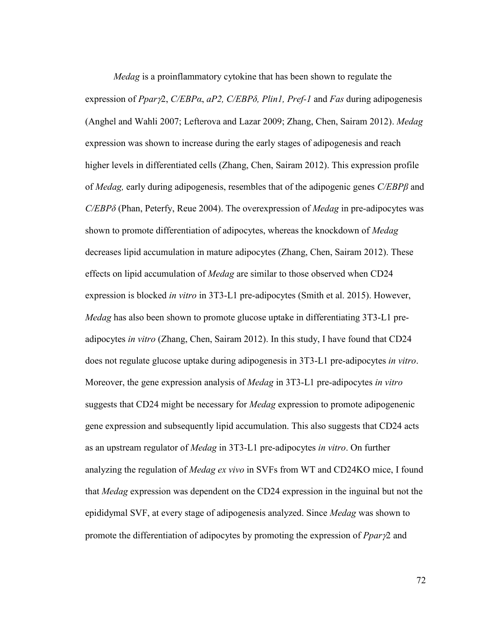*Medag* is a proinflammatory cytokine that has been shown to regulate the expression of *Ppar*2, *C/EBPα*, *aPβ, C/EBPδ, Plin1, Pref-1* and *Fas* during adipogenesis (Anghel and Wahli 2007; Lefterova and Lazar 2009; Zhang, Chen, Sairam 2012). *Medag* expression was shown to increase during the early stages of adipogenesis and reach higher levels in differentiated cells (Zhang, Chen, Sairam 2012). This expression profile of *Medag*, early during adipogenesis, resembles that of the adipogenic genes *C*/*EBP* $\beta$  and *C/EBPδ* (Phan, Peterfy, Reue 2004). The overexpression of *Medag* in pre-adipocytes was shown to promote differentiation of adipocytes, whereas the knockdown of *Medag*  decreases lipid accumulation in mature adipocytes (Zhang, Chen, Sairam 2012). These effects on lipid accumulation of *Medag* are similar to those observed when CD24 expression is blocked *in vitro* in 3T3-L1 pre-adipocytes (Smith et al. 2015). However, *Medag* has also been shown to promote glucose uptake in differentiating 3T3-L1 preadipocytes *in vitro* (Zhang, Chen, Sairam 2012). In this study, I have found that CD24 does not regulate glucose uptake during adipogenesis in 3T3-L1 pre-adipocytes *in vitro*. Moreover, the gene expression analysis of *Medag* in 3T3-L1 pre-adipocytes *in vitro*  suggests that CD24 might be necessary for *Medag* expression to promote adipogenenic gene expression and subsequently lipid accumulation. This also suggests that CD24 acts as an upstream regulator of *Medag* in 3T3-L1 pre-adipocytes *in vitro*. On further analyzing the regulation of *Medag ex vivo* in SVFs from WT and CD24KO mice, I found that *Medag* expression was dependent on the CD24 expression in the inguinal but not the epididymal SVF, at every stage of adipogenesis analyzed. Since *Medag* was shown to promote the differentiation of adipocytes by promoting the expression of *Ppary*<sup>2</sup> and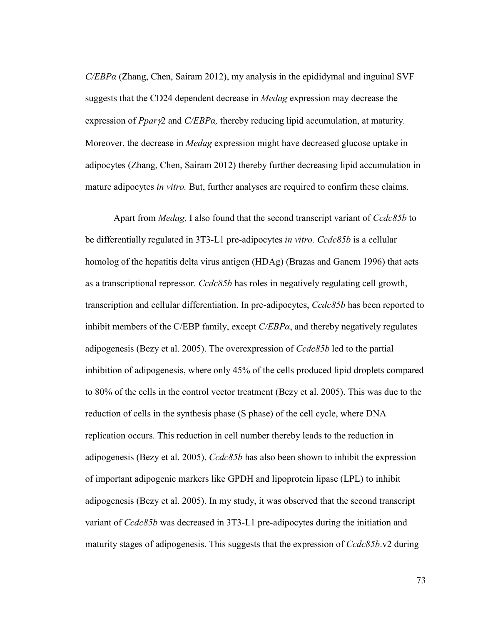*C/EBPα* (Zhang, Chen, Sairam 2012), my analysis in the epididymal and inguinal SVF suggests that the CD24 dependent decrease in *Medag* expression may decrease the expression of *Ppar*2 and *C/EBPα,* thereby reducing lipid accumulation, at maturity*.* Moreover, the decrease in *Medag* expression might have decreased glucose uptake in adipocytes (Zhang, Chen, Sairam 2012) thereby further decreasing lipid accumulation in mature adipocytes *in vitro.* But, further analyses are required to confirm these claims.

Apart from *Medag,* I also found that the second transcript variant of *Ccdc85b* to be differentially regulated in 3T3-L1 pre-adipocytes *in vitro. Ccdc85b* is a cellular homolog of the hepatitis delta virus antigen (HDAg) (Brazas and Ganem 1996) that acts as a transcriptional repressor. *Ccdc85b* has roles in negatively regulating cell growth, transcription and cellular differentiation. In pre-adipocytes, *Ccdc85b* has been reported to inhibit members of the C/EBP family, except  $C/EBP\alpha$ , and thereby negatively regulates adipogenesis (Bezy et al. 2005). The overexpression of *Ccdc85b* led to the partial inhibition of adipogenesis, where only 45% of the cells produced lipid droplets compared to 80% of the cells in the control vector treatment (Bezy et al. 2005). This was due to the reduction of cells in the synthesis phase (S phase) of the cell cycle, where DNA replication occurs. This reduction in cell number thereby leads to the reduction in adipogenesis (Bezy et al. 2005). *Ccdc85b* has also been shown to inhibit the expression of important adipogenic markers like GPDH and lipoprotein lipase (LPL) to inhibit adipogenesis (Bezy et al. 2005). In my study, it was observed that the second transcript variant of *Ccdc85b* was decreased in 3T3-L1 pre-adipocytes during the initiation and maturity stages of adipogenesis. This suggests that the expression of *Ccdc85b*.v2 during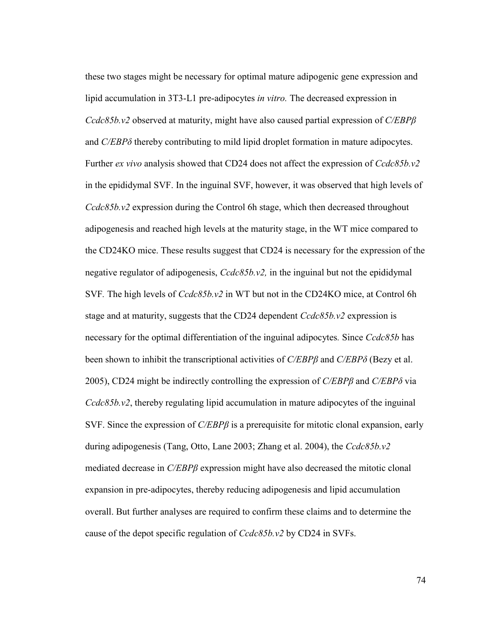these two stages might be necessary for optimal mature adipogenic gene expression and lipid accumulation in 3T3-L1 pre-adipocytes *in vitro.* The decreased expression in *Ccdc85b.v2* observed at maturity, might have also caused partial expression of *C/EBPȕ*  and *C/EBPδ* thereby contributing to mild lipid droplet formation in mature adipocytes. Further *ex vivo* analysis showed that CD24 does not affect the expression of *Ccdc85b.v2*  in the epididymal SVF. In the inguinal SVF, however, it was observed that high levels of *Ccdc85b.v2* expression during the Control 6h stage, which then decreased throughout adipogenesis and reached high levels at the maturity stage, in the WT mice compared to the CD24KO mice. These results suggest that CD24 is necessary for the expression of the negative regulator of adipogenesis, *Ccdc85b.v2,* in the inguinal but not the epididymal SVF*.* The high levels of *Ccdc85b.v2* in WT but not in the CD24KO mice, at Control 6h stage and at maturity, suggests that the CD24 dependent *Ccdc85b.v2* expression is necessary for the optimal differentiation of the inguinal adipocytes*.* Since *Ccdc85b* has been shown to inhibit the transcriptional activities of *C/EBPβ* and *C/EBPδ* (Bezy et al. 2005), CD24 might be indirectly controlling the expression of *C/EBPȕ* and *C/EBPδ* via *Ccdc85b.v2*, thereby regulating lipid accumulation in mature adipocytes of the inguinal SVF. Since the expression of  $C/EBP\beta$  is a prerequisite for mitotic clonal expansion, early during adipogenesis (Tang, Otto, Lane 2003; Zhang et al. 2004), the *Ccdc85b.v2*  mediated decrease in *C/EBPß* expression might have also decreased the mitotic clonal expansion in pre-adipocytes, thereby reducing adipogenesis and lipid accumulation overall. But further analyses are required to confirm these claims and to determine the cause of the depot specific regulation of *Ccdc85b.v2* by CD24 in SVFs.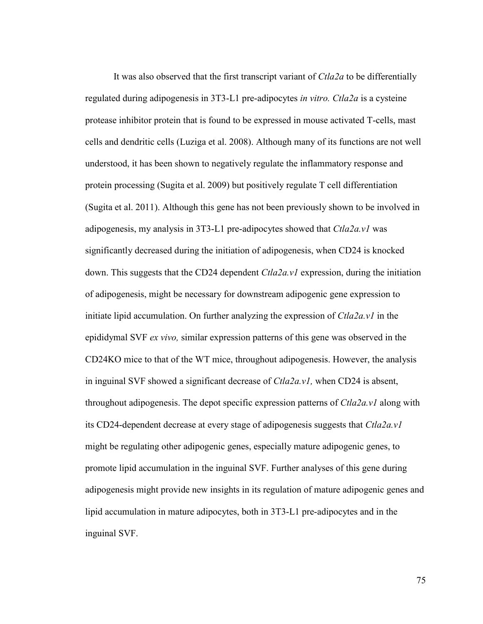It was also observed that the first transcript variant of *Ctla2a* to be differentially regulated during adipogenesis in 3T3-L1 pre-adipocytes *in vitro. Ctla2a* is a cysteine protease inhibitor protein that is found to be expressed in mouse activated T-cells, mast cells and dendritic cells (Luziga et al. 2008). Although many of its functions are not well understood, it has been shown to negatively regulate the inflammatory response and protein processing (Sugita et al. 2009) but positively regulate T cell differentiation (Sugita et al. 2011). Although this gene has not been previously shown to be involved in adipogenesis, my analysis in 3T3-L1 pre-adipocytes showed that *Ctla2a.v1* was significantly decreased during the initiation of adipogenesis, when CD24 is knocked down. This suggests that the CD24 dependent *Ctla2a.v1* expression, during the initiation of adipogenesis, might be necessary for downstream adipogenic gene expression to initiate lipid accumulation. On further analyzing the expression of *Ctla2a.v1* in the epididymal SVF *ex vivo,* similar expression patterns of this gene was observed in the CD24KO mice to that of the WT mice, throughout adipogenesis. However, the analysis in inguinal SVF showed a significant decrease of *Ctla2a.v1,* when CD24 is absent, throughout adipogenesis. The depot specific expression patterns of *Ctla2a.v1* along with its CD24-dependent decrease at every stage of adipogenesis suggests that *Ctla2a.v1*  might be regulating other adipogenic genes, especially mature adipogenic genes, to promote lipid accumulation in the inguinal SVF. Further analyses of this gene during adipogenesis might provide new insights in its regulation of mature adipogenic genes and lipid accumulation in mature adipocytes, both in 3T3-L1 pre-adipocytes and in the inguinal SVF.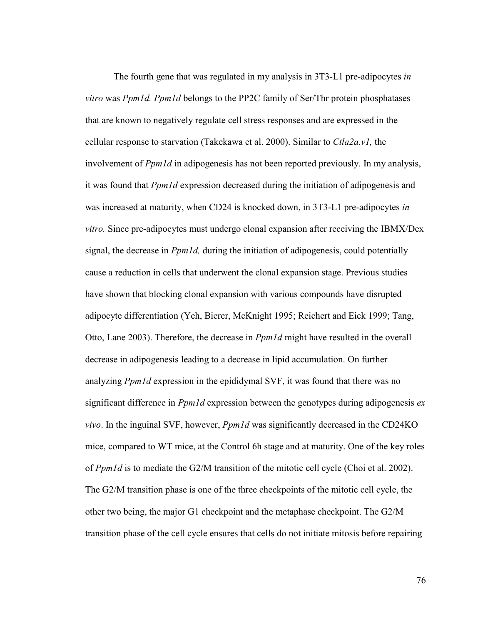The fourth gene that was regulated in my analysis in 3T3-L1 pre-adipocytes *in vitro* was *Ppm1d. Ppm1d* belongs to the PP2C family of Ser/Thr protein phosphatases that are known to negatively regulate cell stress responses and are expressed in the cellular response to starvation (Takekawa et al. 2000). Similar to *Ctla2a.v1,* the involvement of *Ppm1d* in adipogenesis has not been reported previously. In my analysis, it was found that *Ppm1d* expression decreased during the initiation of adipogenesis and was increased at maturity, when CD24 is knocked down, in 3T3-L1 pre-adipocytes *in vitro.* Since pre-adipocytes must undergo clonal expansion after receiving the IBMX/Dex signal, the decrease in *Ppm1d,* during the initiation of adipogenesis, could potentially cause a reduction in cells that underwent the clonal expansion stage. Previous studies have shown that blocking clonal expansion with various compounds have disrupted adipocyte differentiation (Yeh, Bierer, McKnight 1995; Reichert and Eick 1999; Tang, Otto, Lane 2003). Therefore, the decrease in *Ppm1d* might have resulted in the overall decrease in adipogenesis leading to a decrease in lipid accumulation. On further analyzing *Ppm1d* expression in the epididymal SVF, it was found that there was no significant difference in *Ppm1d* expression between the genotypes during adipogenesis *ex vivo*. In the inguinal SVF, however, *Ppm1d* was significantly decreased in the CD24KO mice, compared to WT mice, at the Control 6h stage and at maturity. One of the key roles of *Ppm1d* is to mediate the G2/M transition of the mitotic cell cycle (Choi et al. 2002). The G2/M transition phase is one of the three checkpoints of the mitotic cell cycle, the other two being, the major G1 checkpoint and the metaphase checkpoint. The G2/M transition phase of the cell cycle ensures that cells do not initiate mitosis before repairing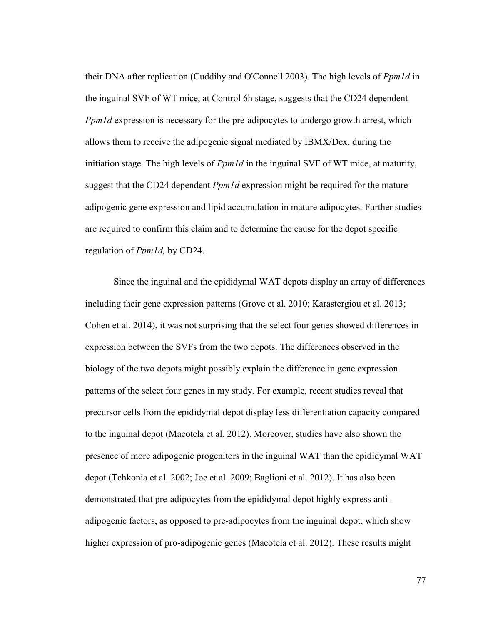their DNA after replication (Cuddihy and O'Connell 2003). The high levels of *Ppm1d* in the inguinal SVF of WT mice, at Control 6h stage, suggests that the CD24 dependent *Ppm1d* expression is necessary for the pre-adipocytes to undergo growth arrest, which allows them to receive the adipogenic signal mediated by IBMX/Dex, during the initiation stage. The high levels of *Ppm1d* in the inguinal SVF of WT mice, at maturity, suggest that the CD24 dependent *Ppm1d* expression might be required for the mature adipogenic gene expression and lipid accumulation in mature adipocytes. Further studies are required to confirm this claim and to determine the cause for the depot specific regulation of *Ppm1d,* by CD24.

Since the inguinal and the epididymal WAT depots display an array of differences including their gene expression patterns (Grove et al. 2010; Karastergiou et al. 2013; Cohen et al. 2014), it was not surprising that the select four genes showed differences in expression between the SVFs from the two depots. The differences observed in the biology of the two depots might possibly explain the difference in gene expression patterns of the select four genes in my study. For example, recent studies reveal that precursor cells from the epididymal depot display less differentiation capacity compared to the inguinal depot (Macotela et al. 2012). Moreover, studies have also shown the presence of more adipogenic progenitors in the inguinal WAT than the epididymal WAT depot (Tchkonia et al. 2002; Joe et al. 2009; Baglioni et al. 2012). It has also been demonstrated that pre-adipocytes from the epididymal depot highly express antiadipogenic factors, as opposed to pre-adipocytes from the inguinal depot, which show higher expression of pro-adipogenic genes (Macotela et al. 2012). These results might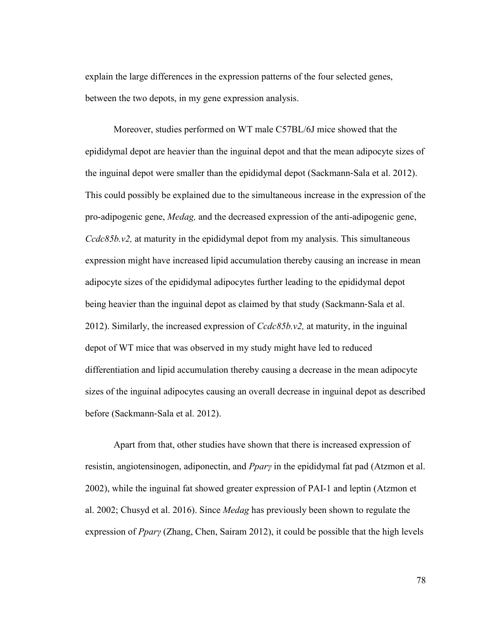explain the large differences in the expression patterns of the four selected genes, between the two depots, in my gene expression analysis.

Moreover, studies performed on WT male C57BL/6J mice showed that the epididymal depot are heavier than the inguinal depot and that the mean adipocyte sizes of the inguinal depot were smaller than the epididymal depot (Sackmann‐Sala et al. 2012). This could possibly be explained due to the simultaneous increase in the expression of the pro-adipogenic gene, *Medag,* and the decreased expression of the anti-adipogenic gene, *Ccdc85b.v2,* at maturity in the epididymal depot from my analysis. This simultaneous expression might have increased lipid accumulation thereby causing an increase in mean adipocyte sizes of the epididymal adipocytes further leading to the epididymal depot being heavier than the inguinal depot as claimed by that study (Sackmann‐Sala et al. 2012). Similarly, the increased expression of *Ccdc85b.v2,* at maturity, in the inguinal depot of WT mice that was observed in my study might have led to reduced differentiation and lipid accumulation thereby causing a decrease in the mean adipocyte sizes of the inguinal adipocytes causing an overall decrease in inguinal depot as described before (Sackmann‐Sala et al. 2012).

Apart from that, other studies have shown that there is increased expression of resistin, angiotensinogen, adiponectin, and *PparȖ* in the epididymal fat pad (Atzmon et al. 2002), while the inguinal fat showed greater expression of PAI-1 and leptin (Atzmon et al. 2002; Chusyd et al. 2016). Since *Medag* has previously been shown to regulate the expression of *Ppary* (Zhang, Chen, Sairam 2012), it could be possible that the high levels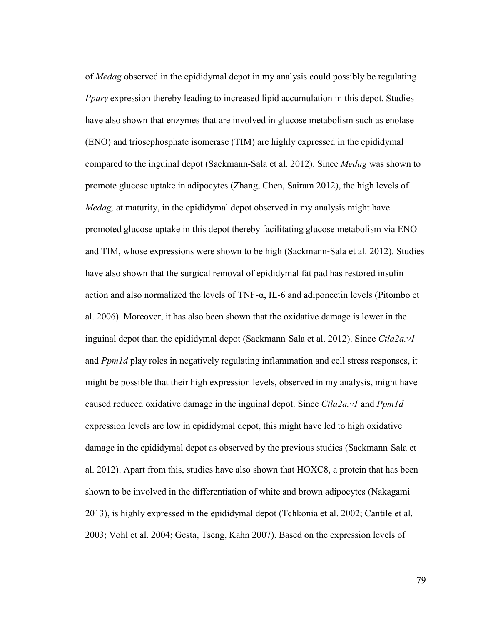of *Medag* observed in the epididymal depot in my analysis could possibly be regulating *Ppary* expression thereby leading to increased lipid accumulation in this depot. Studies have also shown that enzymes that are involved in glucose metabolism such as enolase (ENO) and triosephosphate isomerase (TIM) are highly expressed in the epididymal compared to the inguinal depot (Sackmann‐Sala et al. 2012). Since *Medag* was shown to promote glucose uptake in adipocytes (Zhang, Chen, Sairam 2012), the high levels of *Medag,* at maturity, in the epididymal depot observed in my analysis might have promoted glucose uptake in this depot thereby facilitating glucose metabolism via ENO and TIM, whose expressions were shown to be high (Sackmann‐Sala et al. 2012). Studies have also shown that the surgical removal of epididymal fat pad has restored insulin action and also normalized the levels of TNF-α, IL-6 and adiponectin levels (Pitombo et al. 2006). Moreover, it has also been shown that the oxidative damage is lower in the inguinal depot than the epididymal depot (Sackmann‐Sala et al. 2012). Since *Ctla2a.v1*  and *Ppm1d* play roles in negatively regulating inflammation and cell stress responses, it might be possible that their high expression levels, observed in my analysis, might have caused reduced oxidative damage in the inguinal depot. Since *Ctla2a.v1* and *Ppm1d* expression levels are low in epididymal depot, this might have led to high oxidative damage in the epididymal depot as observed by the previous studies (Sackmann‐Sala et al. 2012). Apart from this, studies have also shown that HOXC8, a protein that has been shown to be involved in the differentiation of white and brown adipocytes (Nakagami 2013), is highly expressed in the epididymal depot (Tchkonia et al. 2002; Cantile et al. 2003; Vohl et al. 2004; Gesta, Tseng, Kahn 2007). Based on the expression levels of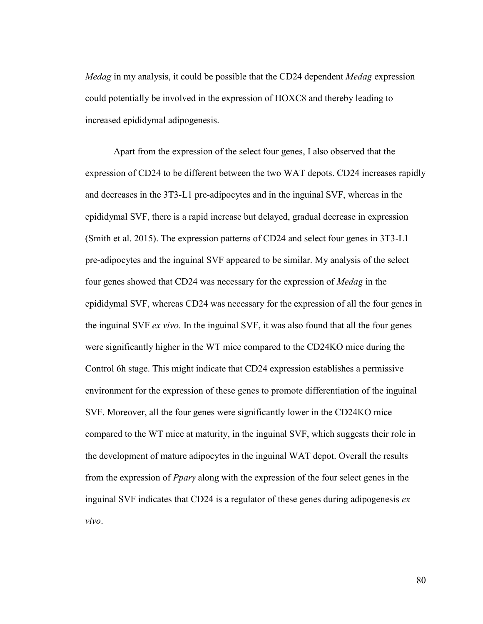*Medag* in my analysis, it could be possible that the CD24 dependent *Medag* expression could potentially be involved in the expression of HOXC8 and thereby leading to increased epididymal adipogenesis.

Apart from the expression of the select four genes, I also observed that the expression of CD24 to be different between the two WAT depots. CD24 increases rapidly and decreases in the 3T3-L1 pre-adipocytes and in the inguinal SVF, whereas in the epididymal SVF, there is a rapid increase but delayed, gradual decrease in expression (Smith et al. 2015). The expression patterns of CD24 and select four genes in 3T3-L1 pre-adipocytes and the inguinal SVF appeared to be similar. My analysis of the select four genes showed that CD24 was necessary for the expression of *Medag* in the epididymal SVF, whereas CD24 was necessary for the expression of all the four genes in the inguinal SVF *ex vivo*. In the inguinal SVF, it was also found that all the four genes were significantly higher in the WT mice compared to the CD24KO mice during the Control 6h stage. This might indicate that CD24 expression establishes a permissive environment for the expression of these genes to promote differentiation of the inguinal SVF. Moreover, all the four genes were significantly lower in the CD24KO mice compared to the WT mice at maturity, in the inguinal SVF, which suggests their role in the development of mature adipocytes in the inguinal WAT depot. Overall the results from the expression of *PparȖ* along with the expression of the four select genes in the inguinal SVF indicates that CD24 is a regulator of these genes during adipogenesis *ex vivo*.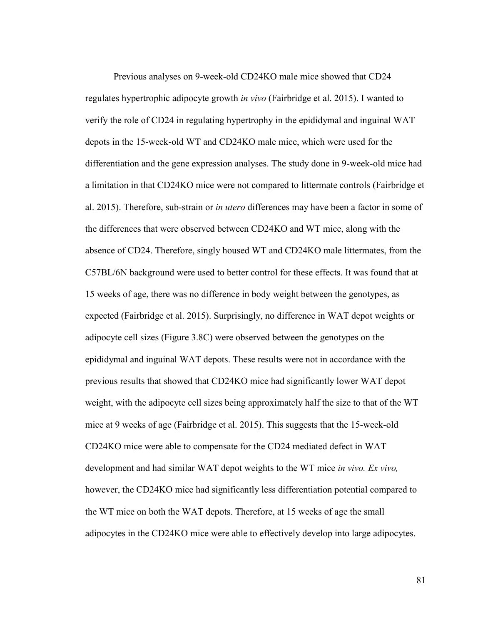Previous analyses on 9-week-old CD24KO male mice showed that CD24 regulates hypertrophic adipocyte growth *in vivo* (Fairbridge et al. 2015). I wanted to verify the role of CD24 in regulating hypertrophy in the epididymal and inguinal WAT depots in the 15-week-old WT and CD24KO male mice, which were used for the differentiation and the gene expression analyses. The study done in 9-week-old mice had a limitation in that CD24KO mice were not compared to littermate controls (Fairbridge et al. 2015). Therefore, sub-strain or *in utero* differences may have been a factor in some of the differences that were observed between CD24KO and WT mice, along with the absence of CD24. Therefore, singly housed WT and CD24KO male littermates, from the C57BL/6N background were used to better control for these effects. It was found that at 15 weeks of age, there was no difference in body weight between the genotypes, as expected (Fairbridge et al. 2015). Surprisingly, no difference in WAT depot weights or adipocyte cell sizes (Figure 3.8C) were observed between the genotypes on the epididymal and inguinal WAT depots. These results were not in accordance with the previous results that showed that CD24KO mice had significantly lower WAT depot weight, with the adipocyte cell sizes being approximately half the size to that of the WT mice at 9 weeks of age (Fairbridge et al. 2015). This suggests that the 15-week-old CD24KO mice were able to compensate for the CD24 mediated defect in WAT development and had similar WAT depot weights to the WT mice *in vivo. Ex vivo,*  however, the CD24KO mice had significantly less differentiation potential compared to the WT mice on both the WAT depots. Therefore, at 15 weeks of age the small adipocytes in the CD24KO mice were able to effectively develop into large adipocytes.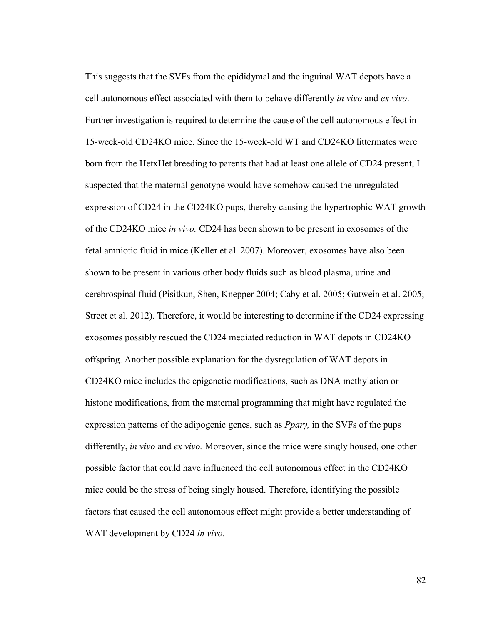This suggests that the SVFs from the epididymal and the inguinal WAT depots have a cell autonomous effect associated with them to behave differently *in vivo* and *ex vivo*. Further investigation is required to determine the cause of the cell autonomous effect in 15-week-old CD24KO mice. Since the 15-week-old WT and CD24KO littermates were born from the HetxHet breeding to parents that had at least one allele of CD24 present, I suspected that the maternal genotype would have somehow caused the unregulated expression of CD24 in the CD24KO pups, thereby causing the hypertrophic WAT growth of the CD24KO mice *in vivo.* CD24 has been shown to be present in exosomes of the fetal amniotic fluid in mice (Keller et al. 2007). Moreover, exosomes have also been shown to be present in various other body fluids such as blood plasma, urine and cerebrospinal fluid (Pisitkun, Shen, Knepper 2004; Caby et al. 2005; Gutwein et al. 2005; Street et al. 2012). Therefore, it would be interesting to determine if the CD24 expressing exosomes possibly rescued the CD24 mediated reduction in WAT depots in CD24KO offspring. Another possible explanation for the dysregulation of WAT depots in CD24KO mice includes the epigenetic modifications, such as DNA methylation or histone modifications, from the maternal programming that might have regulated the expression patterns of the adipogenic genes, such as *Ppary*, in the SVFs of the pups differently, *in vivo* and *ex vivo.* Moreover, since the mice were singly housed, one other possible factor that could have influenced the cell autonomous effect in the CD24KO mice could be the stress of being singly housed. Therefore, identifying the possible factors that caused the cell autonomous effect might provide a better understanding of WAT development by CD24 *in vivo*.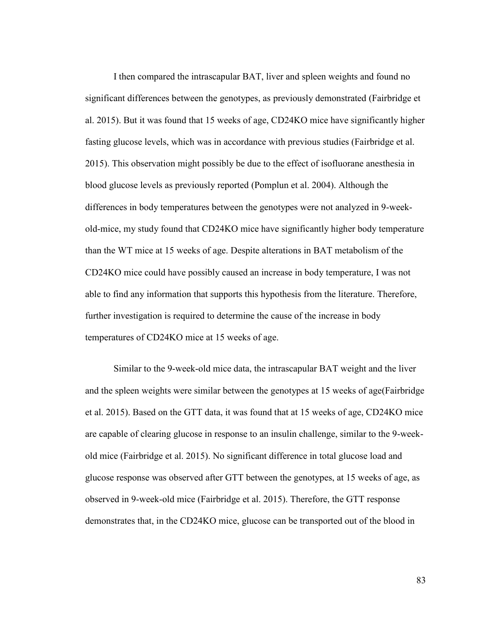I then compared the intrascapular BAT, liver and spleen weights and found no significant differences between the genotypes, as previously demonstrated (Fairbridge et al. 2015). But it was found that 15 weeks of age, CD24KO mice have significantly higher fasting glucose levels, which was in accordance with previous studies (Fairbridge et al. 2015). This observation might possibly be due to the effect of isofluorane anesthesia in blood glucose levels as previously reported (Pomplun et al. 2004). Although the differences in body temperatures between the genotypes were not analyzed in 9-weekold-mice, my study found that CD24KO mice have significantly higher body temperature than the WT mice at 15 weeks of age. Despite alterations in BAT metabolism of the CD24KO mice could have possibly caused an increase in body temperature, I was not able to find any information that supports this hypothesis from the literature. Therefore, further investigation is required to determine the cause of the increase in body temperatures of CD24KO mice at 15 weeks of age.

Similar to the 9-week-old mice data, the intrascapular BAT weight and the liver and the spleen weights were similar between the genotypes at 15 weeks of age(Fairbridge et al. 2015). Based on the GTT data, it was found that at 15 weeks of age, CD24KO mice are capable of clearing glucose in response to an insulin challenge, similar to the 9-weekold mice (Fairbridge et al. 2015). No significant difference in total glucose load and glucose response was observed after GTT between the genotypes, at 15 weeks of age, as observed in 9-week-old mice (Fairbridge et al. 2015). Therefore, the GTT response demonstrates that, in the CD24KO mice, glucose can be transported out of the blood in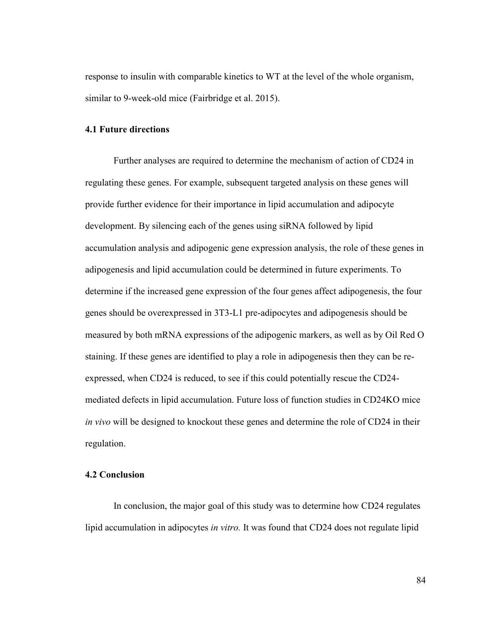response to insulin with comparable kinetics to WT at the level of the whole organism, similar to 9-week-old mice (Fairbridge et al. 2015).

# **4.1 Future directions**

Further analyses are required to determine the mechanism of action of CD24 in regulating these genes. For example, subsequent targeted analysis on these genes will provide further evidence for their importance in lipid accumulation and adipocyte development. By silencing each of the genes using siRNA followed by lipid accumulation analysis and adipogenic gene expression analysis, the role of these genes in adipogenesis and lipid accumulation could be determined in future experiments. To determine if the increased gene expression of the four genes affect adipogenesis, the four genes should be overexpressed in 3T3-L1 pre-adipocytes and adipogenesis should be measured by both mRNA expressions of the adipogenic markers, as well as by Oil Red O staining. If these genes are identified to play a role in adipogenesis then they can be reexpressed, when CD24 is reduced, to see if this could potentially rescue the CD24 mediated defects in lipid accumulation. Future loss of function studies in CD24KO mice *in vivo* will be designed to knockout these genes and determine the role of CD24 in their regulation.

# **4.2 Conclusion**

In conclusion, the major goal of this study was to determine how CD24 regulates lipid accumulation in adipocytes *in vitro.* It was found that CD24 does not regulate lipid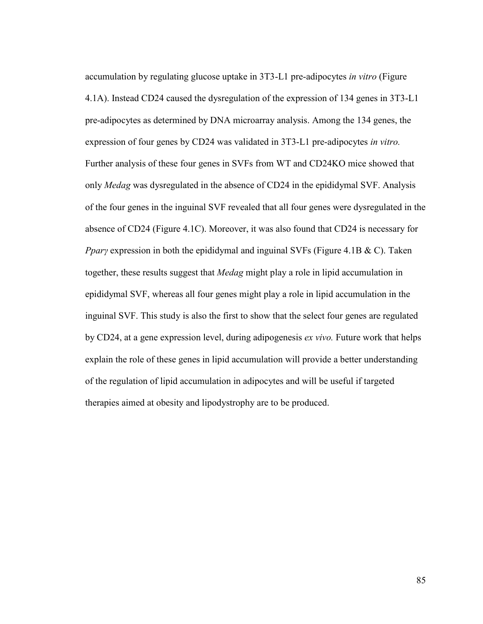accumulation by regulating glucose uptake in 3T3-L1 pre-adipocytes *in vitro* (Figure 4.1A). Instead CD24 caused the dysregulation of the expression of 134 genes in 3T3-L1 pre-adipocytes as determined by DNA microarray analysis. Among the 134 genes, the expression of four genes by CD24 was validated in 3T3-L1 pre-adipocytes *in vitro.*  Further analysis of these four genes in SVFs from WT and CD24KO mice showed that only *Medag* was dysregulated in the absence of CD24 in the epididymal SVF. Analysis of the four genes in the inguinal SVF revealed that all four genes were dysregulated in the absence of CD24 (Figure 4.1C). Moreover, it was also found that CD24 is necessary for *Ppary* expression in both the epididymal and inguinal SVFs (Figure 4.1B & C). Taken together, these results suggest that *Medag* might play a role in lipid accumulation in epididymal SVF, whereas all four genes might play a role in lipid accumulation in the inguinal SVF. This study is also the first to show that the select four genes are regulated by CD24, at a gene expression level, during adipogenesis *ex vivo.* Future work that helps explain the role of these genes in lipid accumulation will provide a better understanding of the regulation of lipid accumulation in adipocytes and will be useful if targeted therapies aimed at obesity and lipodystrophy are to be produced.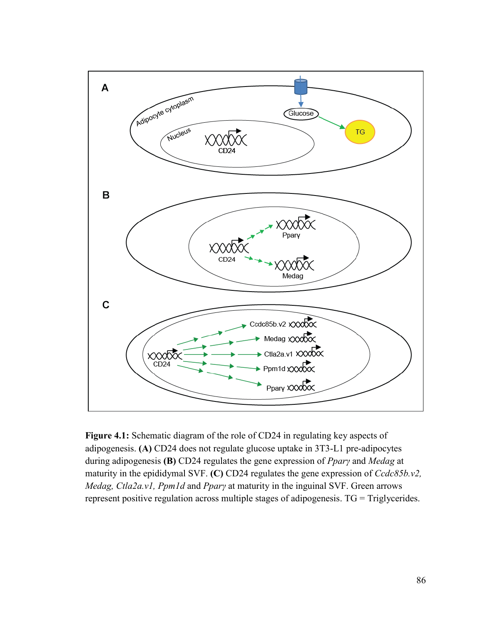

**Figure 4.1:** Schematic diagram of the role of CD24 in regulating key aspects of adipogenesis. **(A)** CD24 does not regulate glucose uptake in 3T3-L1 pre-adipocytes during adipogenesis **(B)** CD24 regulates the gene expression of *PparȖ* and *Medag* at maturity in the epididymal SVF. **(C)** CD24 regulates the gene expression of *Ccdc85b.v2, Medag, Ctla2a.v1, Ppm1d and Ppary at maturity in the inguinal SVF. Green arrows* represent positive regulation across multiple stages of adipogenesis. TG = Triglycerides.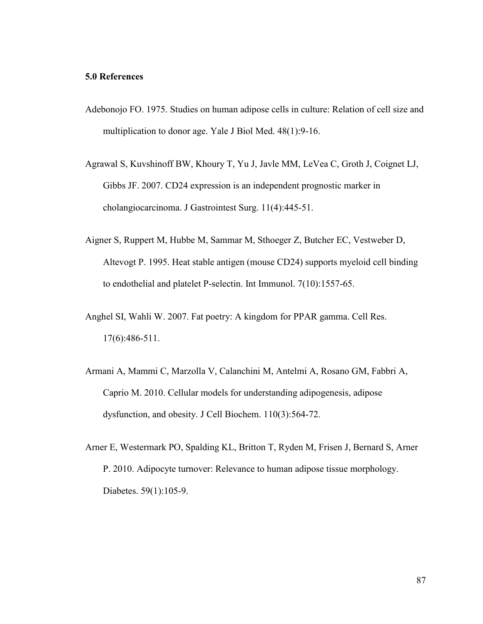### **5.0 References**

- Adebonojo FO. 1975. Studies on human adipose cells in culture: Relation of cell size and multiplication to donor age. Yale J Biol Med. 48(1):9-16.
- Agrawal S, Kuvshinoff BW, Khoury T, Yu J, Javle MM, LeVea C, Groth J, Coignet LJ, Gibbs JF. 2007. CD24 expression is an independent prognostic marker in cholangiocarcinoma. J Gastrointest Surg. 11(4):445-51.
- Aigner S, Ruppert M, Hubbe M, Sammar M, Sthoeger Z, Butcher EC, Vestweber D, Altevogt P. 1995. Heat stable antigen (mouse CD24) supports myeloid cell binding to endothelial and platelet P-selectin. Int Immunol. 7(10):1557-65.
- Anghel SI, Wahli W. 2007. Fat poetry: A kingdom for PPAR gamma. Cell Res. 17(6):486-511.
- Armani A, Mammi C, Marzolla V, Calanchini M, Antelmi A, Rosano GM, Fabbri A, Caprio M. 2010. Cellular models for understanding adipogenesis, adipose dysfunction, and obesity. J Cell Biochem. 110(3):564-72.
- Arner E, Westermark PO, Spalding KL, Britton T, Ryden M, Frisen J, Bernard S, Arner P. 2010. Adipocyte turnover: Relevance to human adipose tissue morphology. Diabetes. 59(1):105-9.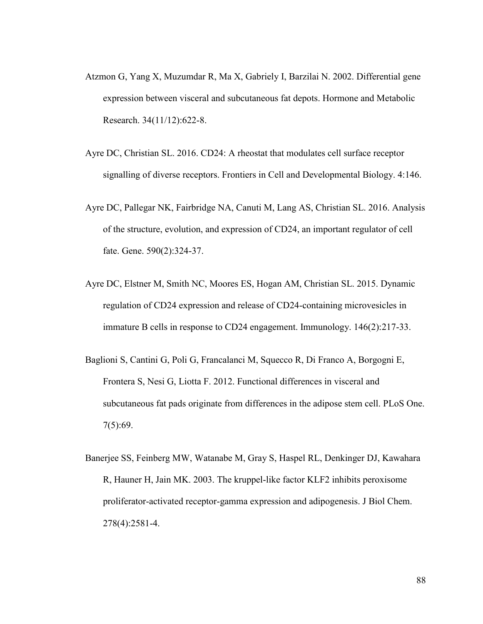- Atzmon G, Yang X, Muzumdar R, Ma X, Gabriely I, Barzilai N. 2002. Differential gene expression between visceral and subcutaneous fat depots. Hormone and Metabolic Research. 34(11/12):622-8.
- Ayre DC, Christian SL. 2016. CD24: A rheostat that modulates cell surface receptor signalling of diverse receptors. Frontiers in Cell and Developmental Biology. 4:146.
- Ayre DC, Pallegar NK, Fairbridge NA, Canuti M, Lang AS, Christian SL. 2016. Analysis of the structure, evolution, and expression of CD24, an important regulator of cell fate. Gene. 590(2):324-37.
- Ayre DC, Elstner M, Smith NC, Moores ES, Hogan AM, Christian SL. 2015. Dynamic regulation of CD24 expression and release of CD24-containing microvesicles in immature B cells in response to CD24 engagement. Immunology. 146(2):217-33.
- Baglioni S, Cantini G, Poli G, Francalanci M, Squecco R, Di Franco A, Borgogni E, Frontera S, Nesi G, Liotta F. 2012. Functional differences in visceral and subcutaneous fat pads originate from differences in the adipose stem cell. PLoS One. 7(5):69.
- Banerjee SS, Feinberg MW, Watanabe M, Gray S, Haspel RL, Denkinger DJ, Kawahara R, Hauner H, Jain MK. 2003. The kruppel-like factor KLF2 inhibits peroxisome proliferator-activated receptor-gamma expression and adipogenesis. J Biol Chem. 278(4):2581-4.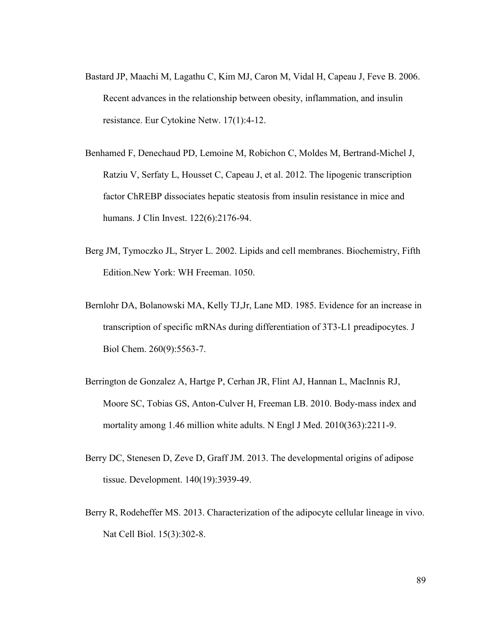- Bastard JP, Maachi M, Lagathu C, Kim MJ, Caron M, Vidal H, Capeau J, Feve B. 2006. Recent advances in the relationship between obesity, inflammation, and insulin resistance. Eur Cytokine Netw. 17(1):4-12.
- Benhamed F, Denechaud PD, Lemoine M, Robichon C, Moldes M, Bertrand-Michel J, Ratziu V, Serfaty L, Housset C, Capeau J, et al. 2012. The lipogenic transcription factor ChREBP dissociates hepatic steatosis from insulin resistance in mice and humans. J Clin Invest. 122(6):2176-94.
- Berg JM, Tymoczko JL, Stryer L. 2002. Lipids and cell membranes. Biochemistry, Fifth Edition.New York: WH Freeman. 1050.
- Bernlohr DA, Bolanowski MA, Kelly TJ,Jr, Lane MD. 1985. Evidence for an increase in transcription of specific mRNAs during differentiation of 3T3-L1 preadipocytes. J Biol Chem. 260(9):5563-7.
- Berrington de Gonzalez A, Hartge P, Cerhan JR, Flint AJ, Hannan L, MacInnis RJ, Moore SC, Tobias GS, Anton-Culver H, Freeman LB. 2010. Body-mass index and mortality among 1.46 million white adults. N Engl J Med. 2010(363):2211-9.
- Berry DC, Stenesen D, Zeve D, Graff JM. 2013. The developmental origins of adipose tissue. Development. 140(19):3939-49.
- Berry R, Rodeheffer MS. 2013. Characterization of the adipocyte cellular lineage in vivo. Nat Cell Biol. 15(3):302-8.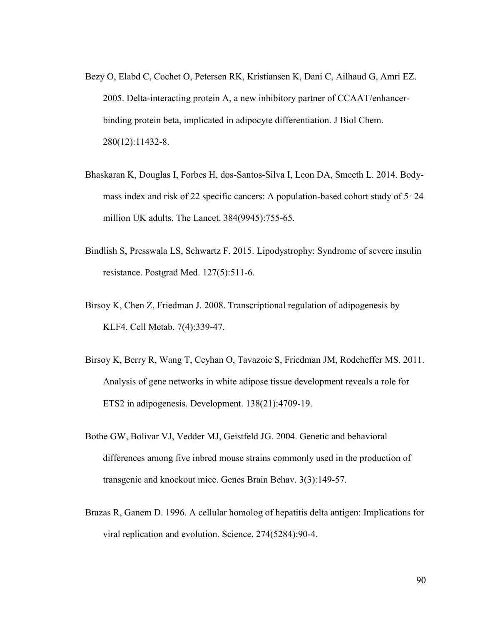- Bezy O, Elabd C, Cochet O, Petersen RK, Kristiansen K, Dani C, Ailhaud G, Amri EZ. 2005. Delta-interacting protein A, a new inhibitory partner of CCAAT/enhancerbinding protein beta, implicated in adipocyte differentiation. J Biol Chem. 280(12):11432-8.
- Bhaskaran K, Douglas I, Forbes H, dos-Santos-Silva I, Leon DA, Smeeth L. 2014. Bodymass index and risk of 22 specific cancers: A population-based cohort study of  $5 \cdot 24$ million UK adults. The Lancet. 384(9945):755-65.
- Bindlish S, Presswala LS, Schwartz F. 2015. Lipodystrophy: Syndrome of severe insulin resistance. Postgrad Med. 127(5):511-6.
- Birsoy K, Chen Z, Friedman J. 2008. Transcriptional regulation of adipogenesis by KLF4. Cell Metab. 7(4):339-47.
- Birsoy K, Berry R, Wang T, Ceyhan O, Tavazoie S, Friedman JM, Rodeheffer MS. 2011. Analysis of gene networks in white adipose tissue development reveals a role for ETS2 in adipogenesis. Development. 138(21):4709-19.
- Bothe GW, Bolivar VJ, Vedder MJ, Geistfeld JG. 2004. Genetic and behavioral differences among five inbred mouse strains commonly used in the production of transgenic and knockout mice. Genes Brain Behav. 3(3):149-57.
- Brazas R, Ganem D. 1996. A cellular homolog of hepatitis delta antigen: Implications for viral replication and evolution. Science. 274(5284):90-4.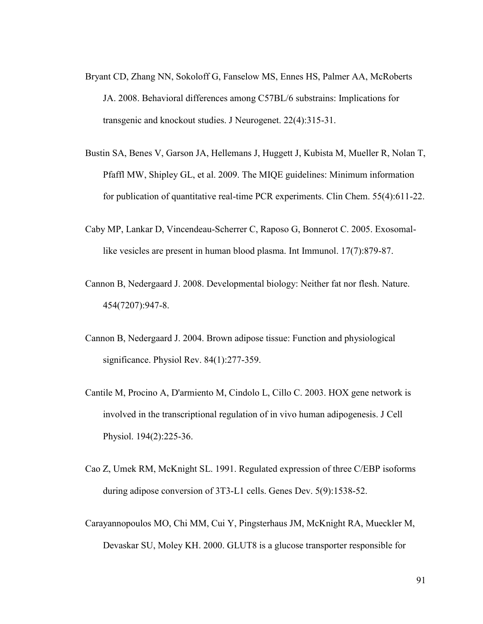- Bryant CD, Zhang NN, Sokoloff G, Fanselow MS, Ennes HS, Palmer AA, McRoberts JA. 2008. Behavioral differences among C57BL/6 substrains: Implications for transgenic and knockout studies. J Neurogenet. 22(4):315-31.
- Bustin SA, Benes V, Garson JA, Hellemans J, Huggett J, Kubista M, Mueller R, Nolan T, Pfaffl MW, Shipley GL, et al. 2009. The MIQE guidelines: Minimum information for publication of quantitative real-time PCR experiments. Clin Chem. 55(4):611-22.
- Caby MP, Lankar D, Vincendeau-Scherrer C, Raposo G, Bonnerot C. 2005. Exosomallike vesicles are present in human blood plasma. Int Immunol. 17(7):879-87.
- Cannon B, Nedergaard J. 2008. Developmental biology: Neither fat nor flesh. Nature. 454(7207):947-8.
- Cannon B, Nedergaard J. 2004. Brown adipose tissue: Function and physiological significance. Physiol Rev. 84(1):277-359.
- Cantile M, Procino A, D'armiento M, Cindolo L, Cillo C. 2003. HOX gene network is involved in the transcriptional regulation of in vivo human adipogenesis. J Cell Physiol. 194(2):225-36.
- Cao Z, Umek RM, McKnight SL. 1991. Regulated expression of three C/EBP isoforms during adipose conversion of 3T3-L1 cells. Genes Dev. 5(9):1538-52.
- Carayannopoulos MO, Chi MM, Cui Y, Pingsterhaus JM, McKnight RA, Mueckler M, Devaskar SU, Moley KH. 2000. GLUT8 is a glucose transporter responsible for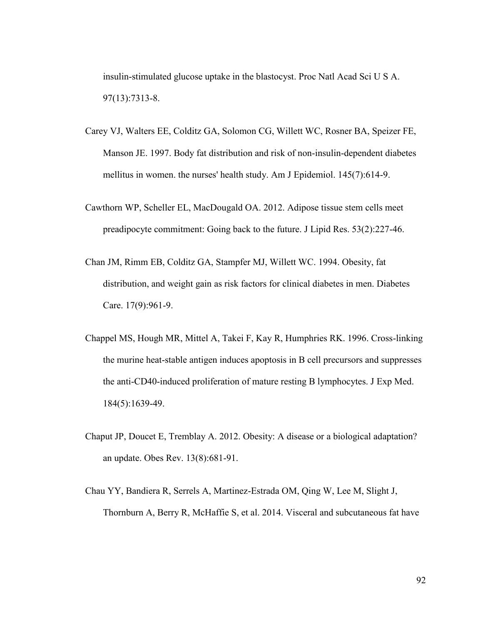insulin-stimulated glucose uptake in the blastocyst. Proc Natl Acad Sci U S A. 97(13):7313-8.

- Carey VJ, Walters EE, Colditz GA, Solomon CG, Willett WC, Rosner BA, Speizer FE, Manson JE. 1997. Body fat distribution and risk of non-insulin-dependent diabetes mellitus in women. the nurses' health study. Am J Epidemiol. 145(7):614-9.
- Cawthorn WP, Scheller EL, MacDougald OA. 2012. Adipose tissue stem cells meet preadipocyte commitment: Going back to the future. J Lipid Res. 53(2):227-46.
- Chan JM, Rimm EB, Colditz GA, Stampfer MJ, Willett WC. 1994. Obesity, fat distribution, and weight gain as risk factors for clinical diabetes in men. Diabetes Care. 17(9):961-9.
- Chappel MS, Hough MR, Mittel A, Takei F, Kay R, Humphries RK. 1996. Cross-linking the murine heat-stable antigen induces apoptosis in B cell precursors and suppresses the anti-CD40-induced proliferation of mature resting B lymphocytes. J Exp Med. 184(5):1639-49.
- Chaput JP, Doucet E, Tremblay A. 2012. Obesity: A disease or a biological adaptation? an update. Obes Rev. 13(8):681-91.
- Chau YY, Bandiera R, Serrels A, Martinez-Estrada OM, Qing W, Lee M, Slight J, Thornburn A, Berry R, McHaffie S, et al. 2014. Visceral and subcutaneous fat have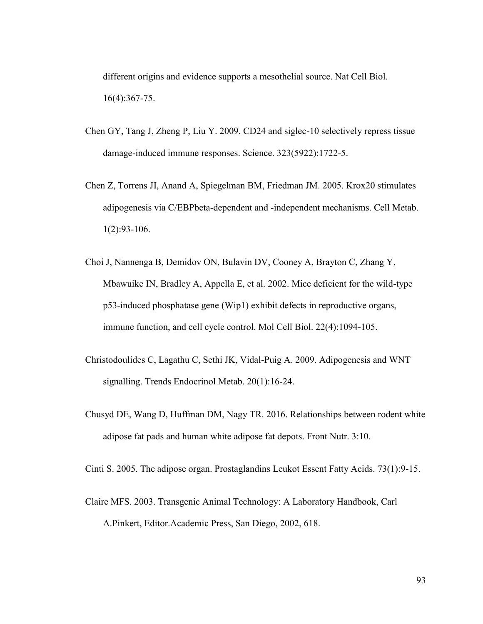different origins and evidence supports a mesothelial source. Nat Cell Biol. 16(4):367-75.

- Chen GY, Tang J, Zheng P, Liu Y. 2009. CD24 and siglec-10 selectively repress tissue damage-induced immune responses. Science. 323(5922):1722-5.
- Chen Z, Torrens JI, Anand A, Spiegelman BM, Friedman JM. 2005. Krox20 stimulates adipogenesis via C/EBPbeta-dependent and -independent mechanisms. Cell Metab. 1(2):93-106.
- Choi J, Nannenga B, Demidov ON, Bulavin DV, Cooney A, Brayton C, Zhang Y, Mbawuike IN, Bradley A, Appella E, et al. 2002. Mice deficient for the wild-type p53-induced phosphatase gene (Wip1) exhibit defects in reproductive organs, immune function, and cell cycle control. Mol Cell Biol. 22(4):1094-105.
- Christodoulides C, Lagathu C, Sethi JK, Vidal-Puig A. 2009. Adipogenesis and WNT signalling. Trends Endocrinol Metab. 20(1):16-24.
- Chusyd DE, Wang D, Huffman DM, Nagy TR. 2016. Relationships between rodent white adipose fat pads and human white adipose fat depots. Front Nutr. 3:10.

Cinti S. 2005. The adipose organ. Prostaglandins Leukot Essent Fatty Acids. 73(1):9-15.

Claire MFS. 2003. Transgenic Animal Technology: A Laboratory Handbook, Carl A.Pinkert, Editor.Academic Press, San Diego, 2002, 618.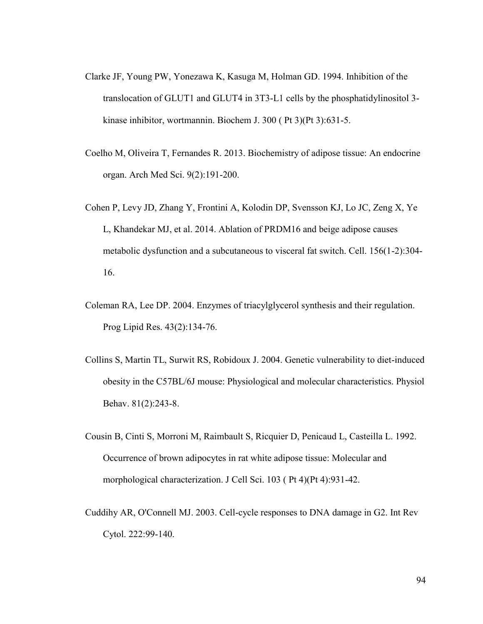- Clarke JF, Young PW, Yonezawa K, Kasuga M, Holman GD. 1994. Inhibition of the translocation of GLUT1 and GLUT4 in 3T3-L1 cells by the phosphatidylinositol 3 kinase inhibitor, wortmannin. Biochem J. 300 ( Pt 3)(Pt 3):631-5.
- Coelho M, Oliveira T, Fernandes R. 2013. Biochemistry of adipose tissue: An endocrine organ. Arch Med Sci. 9(2):191-200.
- Cohen P, Levy JD, Zhang Y, Frontini A, Kolodin DP, Svensson KJ, Lo JC, Zeng X, Ye L, Khandekar MJ, et al. 2014. Ablation of PRDM16 and beige adipose causes metabolic dysfunction and a subcutaneous to visceral fat switch. Cell. 156(1-2):304- 16.
- Coleman RA, Lee DP. 2004. Enzymes of triacylglycerol synthesis and their regulation. Prog Lipid Res. 43(2):134-76.
- Collins S, Martin TL, Surwit RS, Robidoux J. 2004. Genetic vulnerability to diet-induced obesity in the C57BL/6J mouse: Physiological and molecular characteristics. Physiol Behav. 81(2):243-8.
- Cousin B, Cinti S, Morroni M, Raimbault S, Ricquier D, Penicaud L, Casteilla L. 1992. Occurrence of brown adipocytes in rat white adipose tissue: Molecular and morphological characterization. J Cell Sci. 103 ( Pt 4)(Pt 4):931-42.
- Cuddihy AR, O'Connell MJ. 2003. Cell-cycle responses to DNA damage in G2. Int Rev Cytol. 222:99-140.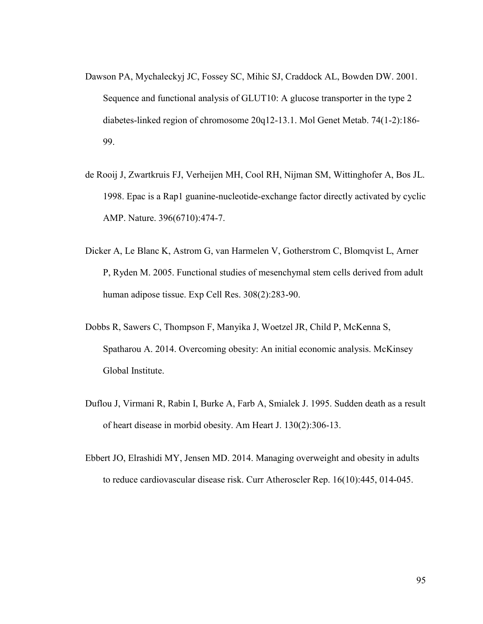- Dawson PA, Mychaleckyj JC, Fossey SC, Mihic SJ, Craddock AL, Bowden DW. 2001. Sequence and functional analysis of GLUT10: A glucose transporter in the type 2 diabetes-linked region of chromosome 20q12-13.1. Mol Genet Metab. 74(1-2):186- 99.
- de Rooij J, Zwartkruis FJ, Verheijen MH, Cool RH, Nijman SM, Wittinghofer A, Bos JL. 1998. Epac is a Rap1 guanine-nucleotide-exchange factor directly activated by cyclic AMP. Nature. 396(6710):474-7.
- Dicker A, Le Blanc K, Astrom G, van Harmelen V, Gotherstrom C, Blomqvist L, Arner P, Ryden M. 2005. Functional studies of mesenchymal stem cells derived from adult human adipose tissue. Exp Cell Res. 308(2):283-90.
- Dobbs R, Sawers C, Thompson F, Manyika J, Woetzel JR, Child P, McKenna S, Spatharou A. 2014. Overcoming obesity: An initial economic analysis. McKinsey Global Institute.
- Duflou J, Virmani R, Rabin I, Burke A, Farb A, Smialek J. 1995. Sudden death as a result of heart disease in morbid obesity. Am Heart J. 130(2):306-13.
- Ebbert JO, Elrashidi MY, Jensen MD. 2014. Managing overweight and obesity in adults to reduce cardiovascular disease risk. Curr Atheroscler Rep. 16(10):445, 014-045.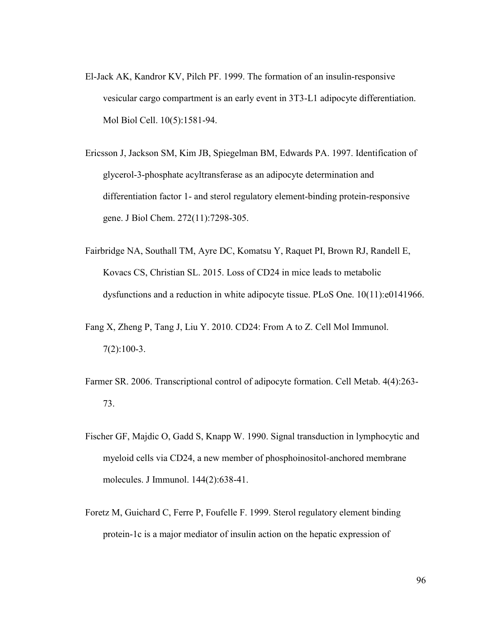- El-Jack AK, Kandror KV, Pilch PF. 1999. The formation of an insulin-responsive vesicular cargo compartment is an early event in 3T3-L1 adipocyte differentiation. Mol Biol Cell. 10(5):1581-94.
- Ericsson J, Jackson SM, Kim JB, Spiegelman BM, Edwards PA. 1997. Identification of glycerol-3-phosphate acyltransferase as an adipocyte determination and differentiation factor 1- and sterol regulatory element-binding protein-responsive gene. J Biol Chem. 272(11):7298-305.
- Fairbridge NA, Southall TM, Ayre DC, Komatsu Y, Raquet PI, Brown RJ, Randell E, Kovacs CS, Christian SL. 2015. Loss of CD24 in mice leads to metabolic dysfunctions and a reduction in white adipocyte tissue. PLoS One. 10(11):e0141966.
- Fang X, Zheng P, Tang J, Liu Y. 2010. CD24: From A to Z. Cell Mol Immunol. 7(2):100-3.
- Farmer SR. 2006. Transcriptional control of adipocyte formation. Cell Metab. 4(4):263- 73.
- Fischer GF, Majdic O, Gadd S, Knapp W. 1990. Signal transduction in lymphocytic and myeloid cells via CD24, a new member of phosphoinositol-anchored membrane molecules. J Immunol. 144(2):638-41.
- Foretz M, Guichard C, Ferre P, Foufelle F. 1999. Sterol regulatory element binding protein-1c is a major mediator of insulin action on the hepatic expression of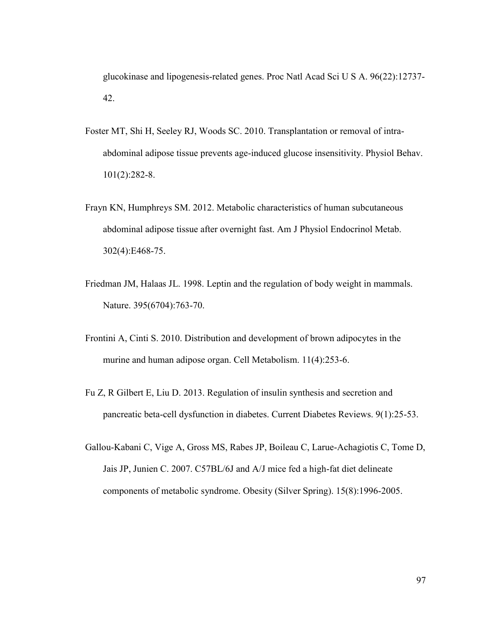glucokinase and lipogenesis-related genes. Proc Natl Acad Sci U S A. 96(22):12737- 42.

- Foster MT, Shi H, Seeley RJ, Woods SC. 2010. Transplantation or removal of intraabdominal adipose tissue prevents age-induced glucose insensitivity. Physiol Behav. 101(2):282-8.
- Frayn KN, Humphreys SM. 2012. Metabolic characteristics of human subcutaneous abdominal adipose tissue after overnight fast. Am J Physiol Endocrinol Metab. 302(4):E468-75.
- Friedman JM, Halaas JL. 1998. Leptin and the regulation of body weight in mammals. Nature. 395(6704):763-70.
- Frontini A, Cinti S. 2010. Distribution and development of brown adipocytes in the murine and human adipose organ. Cell Metabolism. 11(4):253-6.
- Fu Z, R Gilbert E, Liu D. 2013. Regulation of insulin synthesis and secretion and pancreatic beta-cell dysfunction in diabetes. Current Diabetes Reviews. 9(1):25-53.
- Gallou-Kabani C, Vige A, Gross MS, Rabes JP, Boileau C, Larue-Achagiotis C, Tome D, Jais JP, Junien C. 2007. C57BL/6J and A/J mice fed a high-fat diet delineate components of metabolic syndrome. Obesity (Silver Spring). 15(8):1996-2005.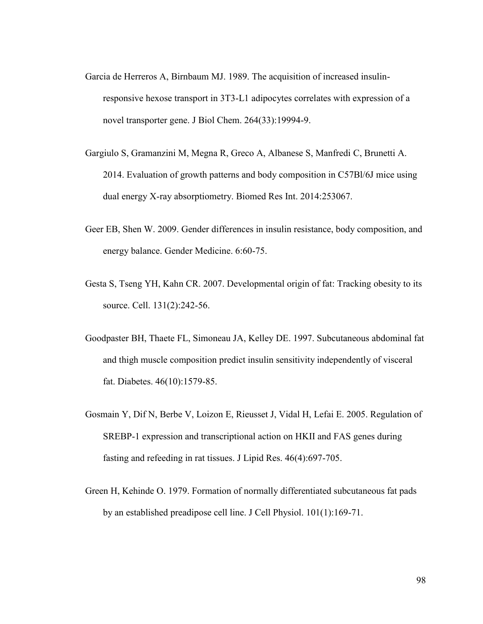- Garcia de Herreros A, Birnbaum MJ. 1989. The acquisition of increased insulinresponsive hexose transport in 3T3-L1 adipocytes correlates with expression of a novel transporter gene. J Biol Chem. 264(33):19994-9.
- Gargiulo S, Gramanzini M, Megna R, Greco A, Albanese S, Manfredi C, Brunetti A. 2014. Evaluation of growth patterns and body composition in C57Bl/6J mice using dual energy X-ray absorptiometry. Biomed Res Int. 2014:253067.
- Geer EB, Shen W. 2009. Gender differences in insulin resistance, body composition, and energy balance. Gender Medicine. 6:60-75.
- Gesta S, Tseng YH, Kahn CR. 2007. Developmental origin of fat: Tracking obesity to its source. Cell. 131(2):242-56.
- Goodpaster BH, Thaete FL, Simoneau JA, Kelley DE. 1997. Subcutaneous abdominal fat and thigh muscle composition predict insulin sensitivity independently of visceral fat. Diabetes. 46(10):1579-85.
- Gosmain Y, Dif N, Berbe V, Loizon E, Rieusset J, Vidal H, Lefai E. 2005. Regulation of SREBP-1 expression and transcriptional action on HKII and FAS genes during fasting and refeeding in rat tissues. J Lipid Res. 46(4):697-705.
- Green H, Kehinde O. 1979. Formation of normally differentiated subcutaneous fat pads by an established preadipose cell line. J Cell Physiol. 101(1):169-71.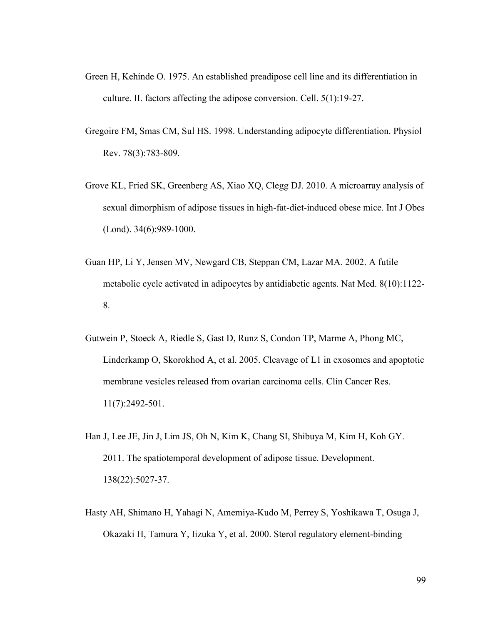- Green H, Kehinde O. 1975. An established preadipose cell line and its differentiation in culture. II. factors affecting the adipose conversion. Cell. 5(1):19-27.
- Gregoire FM, Smas CM, Sul HS. 1998. Understanding adipocyte differentiation. Physiol Rev. 78(3):783-809.
- Grove KL, Fried SK, Greenberg AS, Xiao XQ, Clegg DJ. 2010. A microarray analysis of sexual dimorphism of adipose tissues in high-fat-diet-induced obese mice. Int J Obes (Lond). 34(6):989-1000.
- Guan HP, Li Y, Jensen MV, Newgard CB, Steppan CM, Lazar MA. 2002. A futile metabolic cycle activated in adipocytes by antidiabetic agents. Nat Med. 8(10):1122- 8.
- Gutwein P, Stoeck A, Riedle S, Gast D, Runz S, Condon TP, Marme A, Phong MC, Linderkamp O, Skorokhod A, et al. 2005. Cleavage of L1 in exosomes and apoptotic membrane vesicles released from ovarian carcinoma cells. Clin Cancer Res. 11(7):2492-501.
- Han J, Lee JE, Jin J, Lim JS, Oh N, Kim K, Chang SI, Shibuya M, Kim H, Koh GY. 2011. The spatiotemporal development of adipose tissue. Development. 138(22):5027-37.
- Hasty AH, Shimano H, Yahagi N, Amemiya-Kudo M, Perrey S, Yoshikawa T, Osuga J, Okazaki H, Tamura Y, Iizuka Y, et al. 2000. Sterol regulatory element-binding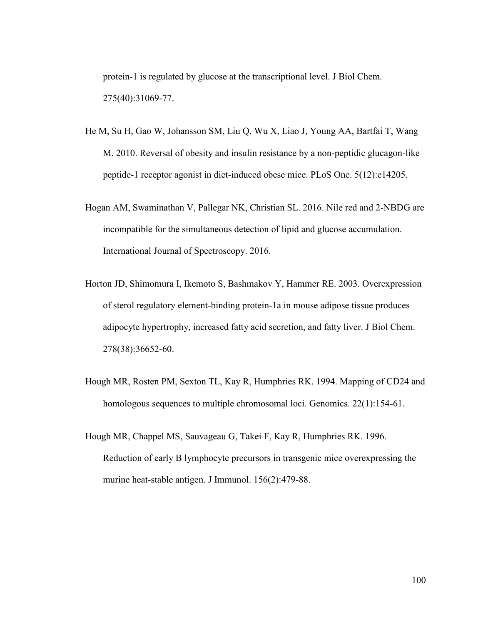protein-1 is regulated by glucose at the transcriptional level. J Biol Chem. 275(40):31069-77.

- He M, Su H, Gao W, Johansson SM, Liu Q, Wu X, Liao J, Young AA, Bartfai T, Wang M. 2010. Reversal of obesity and insulin resistance by a non-peptidic glucagon-like peptide-1 receptor agonist in diet-induced obese mice. PLoS One. 5(12):e14205.
- Hogan AM, Swaminathan V, Pallegar NK, Christian SL. 2016. Nile red and 2-NBDG are incompatible for the simultaneous detection of lipid and glucose accumulation. International Journal of Spectroscopy. 2016.
- Horton JD, Shimomura I, Ikemoto S, Bashmakov Y, Hammer RE. 2003. Overexpression of sterol regulatory element-binding protein-1a in mouse adipose tissue produces adipocyte hypertrophy, increased fatty acid secretion, and fatty liver. J Biol Chem. 278(38):36652-60.
- Hough MR, Rosten PM, Sexton TL, Kay R, Humphries RK. 1994. Mapping of CD24 and homologous sequences to multiple chromosomal loci. Genomics. 22(1):154-61.
- Hough MR, Chappel MS, Sauvageau G, Takei F, Kay R, Humphries RK. 1996. Reduction of early B lymphocyte precursors in transgenic mice overexpressing the murine heat-stable antigen. J Immunol. 156(2):479-88.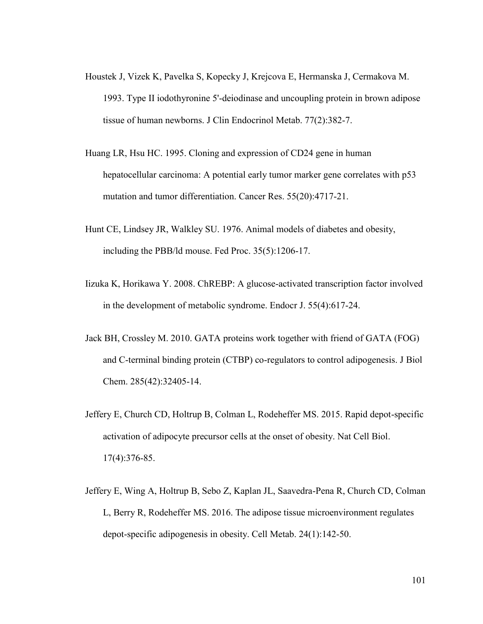- Houstek J, Vizek K, Pavelka S, Kopecky J, Krejcova E, Hermanska J, Cermakova M. 1993. Type II iodothyronine 5'-deiodinase and uncoupling protein in brown adipose tissue of human newborns. J Clin Endocrinol Metab. 77(2):382-7.
- Huang LR, Hsu HC. 1995. Cloning and expression of CD24 gene in human hepatocellular carcinoma: A potential early tumor marker gene correlates with p53 mutation and tumor differentiation. Cancer Res. 55(20):4717-21.
- Hunt CE, Lindsey JR, Walkley SU. 1976. Animal models of diabetes and obesity, including the PBB/ld mouse. Fed Proc. 35(5):1206-17.
- Iizuka K, Horikawa Y. 2008. ChREBP: A glucose-activated transcription factor involved in the development of metabolic syndrome. Endocr J. 55(4):617-24.
- Jack BH, Crossley M. 2010. GATA proteins work together with friend of GATA (FOG) and C-terminal binding protein (CTBP) co-regulators to control adipogenesis. J Biol Chem. 285(42):32405-14.
- Jeffery E, Church CD, Holtrup B, Colman L, Rodeheffer MS. 2015. Rapid depot-specific activation of adipocyte precursor cells at the onset of obesity. Nat Cell Biol. 17(4):376-85.
- Jeffery E, Wing A, Holtrup B, Sebo Z, Kaplan JL, Saavedra-Pena R, Church CD, Colman L, Berry R, Rodeheffer MS. 2016. The adipose tissue microenvironment regulates depot-specific adipogenesis in obesity. Cell Metab. 24(1):142-50.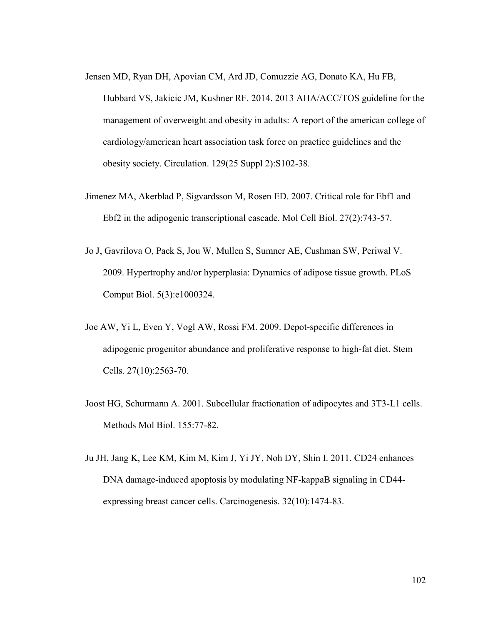- Jensen MD, Ryan DH, Apovian CM, Ard JD, Comuzzie AG, Donato KA, Hu FB, Hubbard VS, Jakicic JM, Kushner RF. 2014. 2013 AHA/ACC/TOS guideline for the management of overweight and obesity in adults: A report of the american college of cardiology/american heart association task force on practice guidelines and the obesity society. Circulation. 129(25 Suppl 2):S102-38.
- Jimenez MA, Akerblad P, Sigvardsson M, Rosen ED. 2007. Critical role for Ebf1 and Ebf2 in the adipogenic transcriptional cascade. Mol Cell Biol. 27(2):743-57.
- Jo J, Gavrilova O, Pack S, Jou W, Mullen S, Sumner AE, Cushman SW, Periwal V. 2009. Hypertrophy and/or hyperplasia: Dynamics of adipose tissue growth. PLoS Comput Biol. 5(3):e1000324.
- Joe AW, Yi L, Even Y, Vogl AW, Rossi FM. 2009. Depot-specific differences in adipogenic progenitor abundance and proliferative response to high-fat diet. Stem Cells. 27(10):2563-70.
- Joost HG, Schurmann A. 2001. Subcellular fractionation of adipocytes and 3T3-L1 cells. Methods Mol Biol. 155:77-82.
- Ju JH, Jang K, Lee KM, Kim M, Kim J, Yi JY, Noh DY, Shin I. 2011. CD24 enhances DNA damage-induced apoptosis by modulating NF-kappaB signaling in CD44 expressing breast cancer cells. Carcinogenesis. 32(10):1474-83.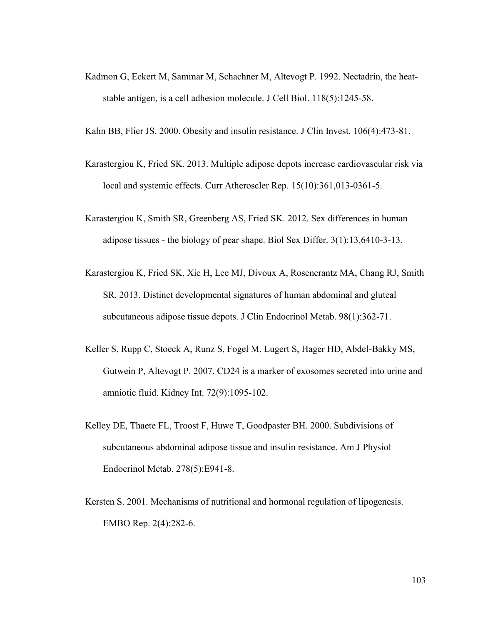- Kadmon G, Eckert M, Sammar M, Schachner M, Altevogt P. 1992. Nectadrin, the heatstable antigen, is a cell adhesion molecule. J Cell Biol. 118(5):1245-58.
- Kahn BB, Flier JS. 2000. Obesity and insulin resistance. J Clin Invest. 106(4):473-81.
- Karastergiou K, Fried SK. 2013. Multiple adipose depots increase cardiovascular risk via local and systemic effects. Curr Atheroscler Rep. 15(10):361,013-0361-5.
- Karastergiou K, Smith SR, Greenberg AS, Fried SK. 2012. Sex differences in human adipose tissues - the biology of pear shape. Biol Sex Differ. 3(1):13,6410-3-13.
- Karastergiou K, Fried SK, Xie H, Lee MJ, Divoux A, Rosencrantz MA, Chang RJ, Smith SR. 2013. Distinct developmental signatures of human abdominal and gluteal subcutaneous adipose tissue depots. J Clin Endocrinol Metab. 98(1):362-71.
- Keller S, Rupp C, Stoeck A, Runz S, Fogel M, Lugert S, Hager HD, Abdel-Bakky MS, Gutwein P, Altevogt P. 2007. CD24 is a marker of exosomes secreted into urine and amniotic fluid. Kidney Int. 72(9):1095-102.
- Kelley DE, Thaete FL, Troost F, Huwe T, Goodpaster BH. 2000. Subdivisions of subcutaneous abdominal adipose tissue and insulin resistance. Am J Physiol Endocrinol Metab. 278(5):E941-8.
- Kersten S. 2001. Mechanisms of nutritional and hormonal regulation of lipogenesis. EMBO Rep. 2(4):282-6.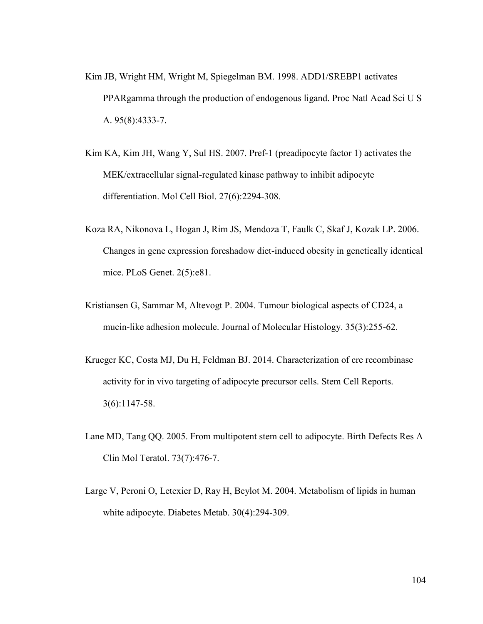- Kim JB, Wright HM, Wright M, Spiegelman BM. 1998. ADD1/SREBP1 activates PPARgamma through the production of endogenous ligand. Proc Natl Acad Sci U S A. 95(8):4333-7.
- Kim KA, Kim JH, Wang Y, Sul HS. 2007. Pref-1 (preadipocyte factor 1) activates the MEK/extracellular signal-regulated kinase pathway to inhibit adipocyte differentiation. Mol Cell Biol. 27(6):2294-308.
- Koza RA, Nikonova L, Hogan J, Rim JS, Mendoza T, Faulk C, Skaf J, Kozak LP. 2006. Changes in gene expression foreshadow diet-induced obesity in genetically identical mice. PLoS Genet. 2(5):e81.
- Kristiansen G, Sammar M, Altevogt P. 2004. Tumour biological aspects of CD24, a mucin-like adhesion molecule. Journal of Molecular Histology. 35(3):255-62.
- Krueger KC, Costa MJ, Du H, Feldman BJ. 2014. Characterization of cre recombinase activity for in vivo targeting of adipocyte precursor cells. Stem Cell Reports. 3(6):1147-58.
- Lane MD, Tang QQ. 2005. From multipotent stem cell to adipocyte. Birth Defects Res A Clin Mol Teratol. 73(7):476-7.
- Large V, Peroni O, Letexier D, Ray H, Beylot M. 2004. Metabolism of lipids in human white adipocyte. Diabetes Metab. 30(4):294-309.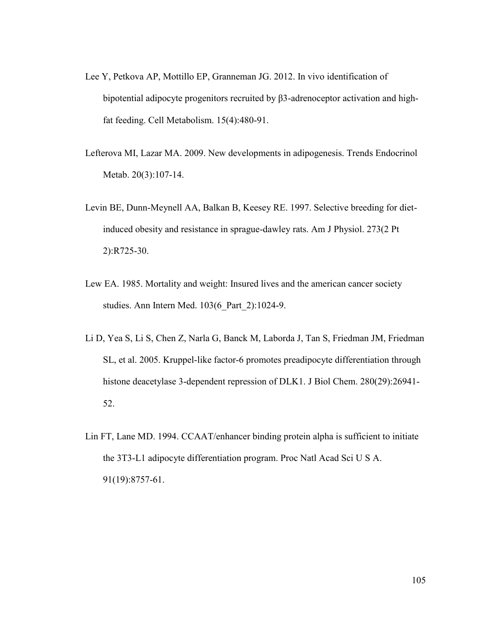- Lee Y, Petkova AP, Mottillo EP, Granneman JG. 2012. In vivo identification of bipotential adipocyte progenitors recruited by  $\beta$ 3-adrenoceptor activation and highfat feeding. Cell Metabolism. 15(4):480-91.
- Lefterova MI, Lazar MA. 2009. New developments in adipogenesis. Trends Endocrinol Metab. 20(3):107-14.
- Levin BE, Dunn-Meynell AA, Balkan B, Keesey RE. 1997. Selective breeding for dietinduced obesity and resistance in sprague-dawley rats. Am J Physiol. 273(2 Pt 2):R725-30.
- Lew EA. 1985. Mortality and weight: Insured lives and the american cancer society studies. Ann Intern Med. 103(6\_Part\_2):1024-9.
- Li D, Yea S, Li S, Chen Z, Narla G, Banck M, Laborda J, Tan S, Friedman JM, Friedman SL, et al. 2005. Kruppel-like factor-6 promotes preadipocyte differentiation through histone deacetylase 3-dependent repression of DLK1. J Biol Chem. 280(29):26941- 52.
- Lin FT, Lane MD. 1994. CCAAT/enhancer binding protein alpha is sufficient to initiate the 3T3-L1 adipocyte differentiation program. Proc Natl Acad Sci U S A. 91(19):8757-61.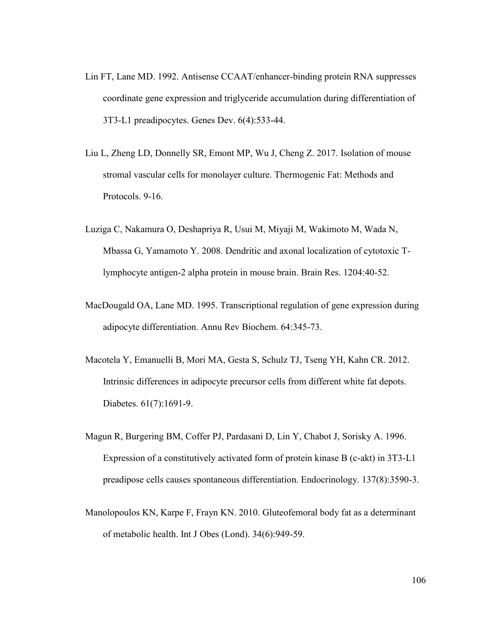- Lin FT, Lane MD. 1992. Antisense CCAAT/enhancer-binding protein RNA suppresses coordinate gene expression and triglyceride accumulation during differentiation of 3T3-L1 preadipocytes. Genes Dev. 6(4):533-44.
- Liu L, Zheng LD, Donnelly SR, Emont MP, Wu J, Cheng Z. 2017. Isolation of mouse stromal vascular cells for monolayer culture. Thermogenic Fat: Methods and Protocols. 9-16.
- Luziga C, Nakamura O, Deshapriya R, Usui M, Miyaji M, Wakimoto M, Wada N, Mbassa G, Yamamoto Y. 2008. Dendritic and axonal localization of cytotoxic Tlymphocyte antigen-2 alpha protein in mouse brain. Brain Res. 1204:40-52.
- MacDougald OA, Lane MD. 1995. Transcriptional regulation of gene expression during adipocyte differentiation. Annu Rev Biochem. 64:345-73.
- Macotela Y, Emanuelli B, Mori MA, Gesta S, Schulz TJ, Tseng YH, Kahn CR. 2012. Intrinsic differences in adipocyte precursor cells from different white fat depots. Diabetes. 61(7):1691-9.
- Magun R, Burgering BM, Coffer PJ, Pardasani D, Lin Y, Chabot J, Sorisky A. 1996. Expression of a constitutively activated form of protein kinase B (c-akt) in 3T3-L1 preadipose cells causes spontaneous differentiation. Endocrinology. 137(8):3590-3.
- Manolopoulos KN, Karpe F, Frayn KN. 2010. Gluteofemoral body fat as a determinant of metabolic health. Int J Obes (Lond). 34(6):949-59.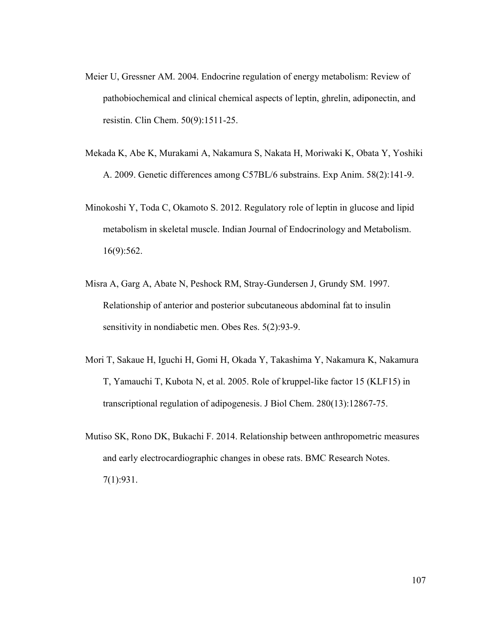- Meier U, Gressner AM. 2004. Endocrine regulation of energy metabolism: Review of pathobiochemical and clinical chemical aspects of leptin, ghrelin, adiponectin, and resistin. Clin Chem. 50(9):1511-25.
- Mekada K, Abe K, Murakami A, Nakamura S, Nakata H, Moriwaki K, Obata Y, Yoshiki A. 2009. Genetic differences among C57BL/6 substrains. Exp Anim. 58(2):141-9.
- Minokoshi Y, Toda C, Okamoto S. 2012. Regulatory role of leptin in glucose and lipid metabolism in skeletal muscle. Indian Journal of Endocrinology and Metabolism. 16(9):562.
- Misra A, Garg A, Abate N, Peshock RM, Stray-Gundersen J, Grundy SM. 1997. Relationship of anterior and posterior subcutaneous abdominal fat to insulin sensitivity in nondiabetic men. Obes Res. 5(2):93-9.
- Mori T, Sakaue H, Iguchi H, Gomi H, Okada Y, Takashima Y, Nakamura K, Nakamura T, Yamauchi T, Kubota N, et al. 2005. Role of kruppel-like factor 15 (KLF15) in transcriptional regulation of adipogenesis. J Biol Chem. 280(13):12867-75.
- Mutiso SK, Rono DK, Bukachi F. 2014. Relationship between anthropometric measures and early electrocardiographic changes in obese rats. BMC Research Notes. 7(1):931.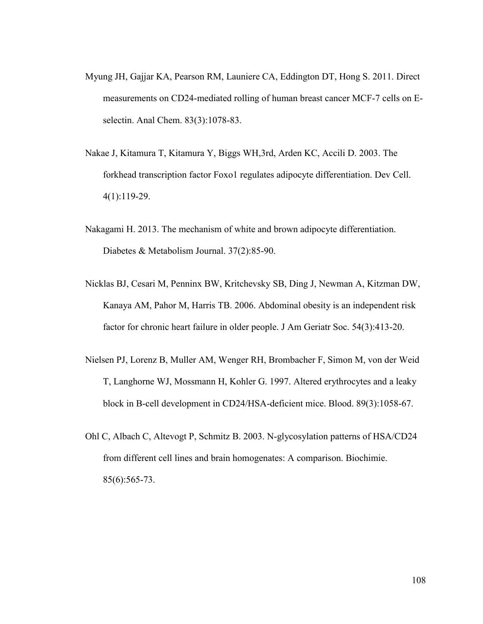- Myung JH, Gajjar KA, Pearson RM, Launiere CA, Eddington DT, Hong S. 2011. Direct measurements on CD24-mediated rolling of human breast cancer MCF-7 cells on Eselectin. Anal Chem. 83(3):1078-83.
- Nakae J, Kitamura T, Kitamura Y, Biggs WH,3rd, Arden KC, Accili D. 2003. The forkhead transcription factor Foxo1 regulates adipocyte differentiation. Dev Cell. 4(1):119-29.
- Nakagami H. 2013. The mechanism of white and brown adipocyte differentiation. Diabetes & Metabolism Journal. 37(2):85-90.
- Nicklas BJ, Cesari M, Penninx BW, Kritchevsky SB, Ding J, Newman A, Kitzman DW, Kanaya AM, Pahor M, Harris TB. 2006. Abdominal obesity is an independent risk factor for chronic heart failure in older people. J Am Geriatr Soc. 54(3):413-20.
- Nielsen PJ, Lorenz B, Muller AM, Wenger RH, Brombacher F, Simon M, von der Weid T, Langhorne WJ, Mossmann H, Kohler G. 1997. Altered erythrocytes and a leaky block in B-cell development in CD24/HSA-deficient mice. Blood. 89(3):1058-67.
- Ohl C, Albach C, Altevogt P, Schmitz B. 2003. N-glycosylation patterns of HSA/CD24 from different cell lines and brain homogenates: A comparison. Biochimie. 85(6):565-73.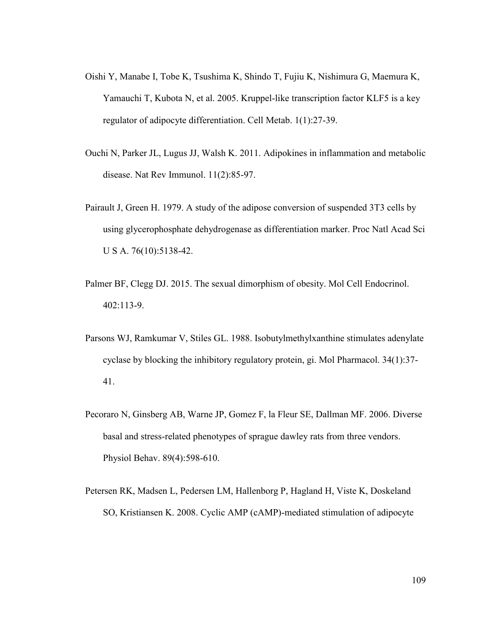- Oishi Y, Manabe I, Tobe K, Tsushima K, Shindo T, Fujiu K, Nishimura G, Maemura K, Yamauchi T, Kubota N, et al. 2005. Kruppel-like transcription factor KLF5 is a key regulator of adipocyte differentiation. Cell Metab. 1(1):27-39.
- Ouchi N, Parker JL, Lugus JJ, Walsh K. 2011. Adipokines in inflammation and metabolic disease. Nat Rev Immunol. 11(2):85-97.
- Pairault J, Green H. 1979. A study of the adipose conversion of suspended 3T3 cells by using glycerophosphate dehydrogenase as differentiation marker. Proc Natl Acad Sci U S A. 76(10):5138-42.
- Palmer BF, Clegg DJ. 2015. The sexual dimorphism of obesity. Mol Cell Endocrinol. 402:113-9.
- Parsons WJ, Ramkumar V, Stiles GL. 1988. Isobutylmethylxanthine stimulates adenylate cyclase by blocking the inhibitory regulatory protein, gi. Mol Pharmacol. 34(1):37- 41.
- Pecoraro N, Ginsberg AB, Warne JP, Gomez F, la Fleur SE, Dallman MF. 2006. Diverse basal and stress-related phenotypes of sprague dawley rats from three vendors. Physiol Behav. 89(4):598-610.
- Petersen RK, Madsen L, Pedersen LM, Hallenborg P, Hagland H, Viste K, Doskeland SO, Kristiansen K. 2008. Cyclic AMP (cAMP)-mediated stimulation of adipocyte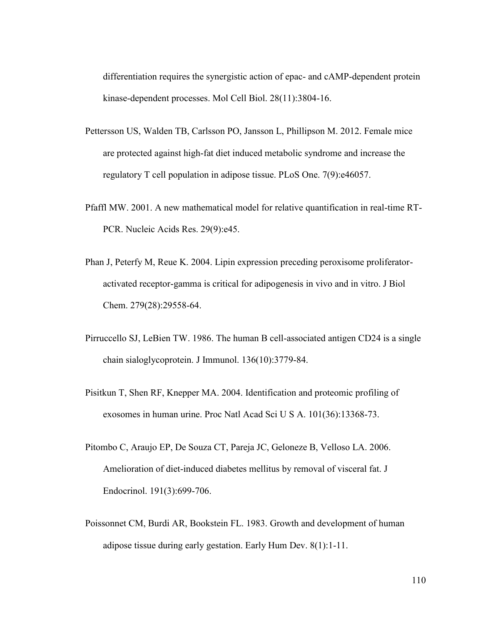differentiation requires the synergistic action of epac- and cAMP-dependent protein kinase-dependent processes. Mol Cell Biol. 28(11):3804-16.

- Pettersson US, Walden TB, Carlsson PO, Jansson L, Phillipson M. 2012. Female mice are protected against high-fat diet induced metabolic syndrome and increase the regulatory T cell population in adipose tissue. PLoS One. 7(9):e46057.
- Pfaffl MW. 2001. A new mathematical model for relative quantification in real-time RT-PCR. Nucleic Acids Res. 29(9):e45.
- Phan J, Peterfy M, Reue K. 2004. Lipin expression preceding peroxisome proliferatoractivated receptor-gamma is critical for adipogenesis in vivo and in vitro. J Biol Chem. 279(28):29558-64.
- Pirruccello SJ, LeBien TW. 1986. The human B cell-associated antigen CD24 is a single chain sialoglycoprotein. J Immunol. 136(10):3779-84.
- Pisitkun T, Shen RF, Knepper MA. 2004. Identification and proteomic profiling of exosomes in human urine. Proc Natl Acad Sci U S A. 101(36):13368-73.
- Pitombo C, Araujo EP, De Souza CT, Pareja JC, Geloneze B, Velloso LA. 2006. Amelioration of diet-induced diabetes mellitus by removal of visceral fat. J Endocrinol. 191(3):699-706.
- Poissonnet CM, Burdi AR, Bookstein FL. 1983. Growth and development of human adipose tissue during early gestation. Early Hum Dev. 8(1):1-11.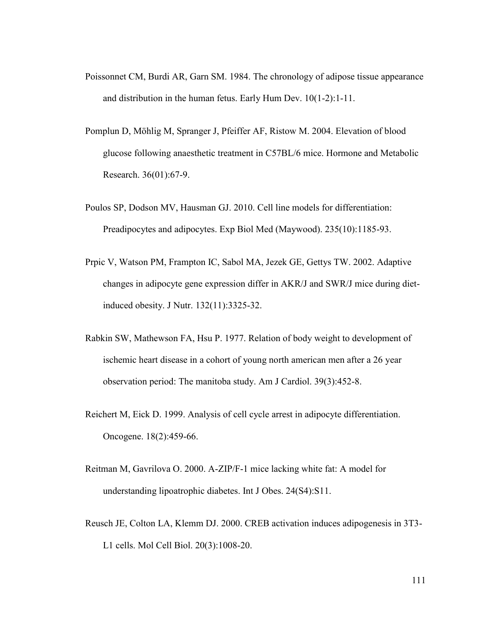- Poissonnet CM, Burdi AR, Garn SM. 1984. The chronology of adipose tissue appearance and distribution in the human fetus. Early Hum Dev. 10(1-2):1-11.
- Pomplun D, Möhlig M, Spranger J, Pfeiffer AF, Ristow M. 2004. Elevation of blood glucose following anaesthetic treatment in C57BL/6 mice. Hormone and Metabolic Research. 36(01):67-9.
- Poulos SP, Dodson MV, Hausman GJ. 2010. Cell line models for differentiation: Preadipocytes and adipocytes. Exp Biol Med (Maywood). 235(10):1185-93.
- Prpic V, Watson PM, Frampton IC, Sabol MA, Jezek GE, Gettys TW. 2002. Adaptive changes in adipocyte gene expression differ in AKR/J and SWR/J mice during dietinduced obesity. J Nutr. 132(11):3325-32.
- Rabkin SW, Mathewson FA, Hsu P. 1977. Relation of body weight to development of ischemic heart disease in a cohort of young north american men after a 26 year observation period: The manitoba study. Am J Cardiol. 39(3):452-8.
- Reichert M, Eick D. 1999. Analysis of cell cycle arrest in adipocyte differentiation. Oncogene. 18(2):459-66.
- Reitman M, Gavrilova O. 2000. A-ZIP/F-1 mice lacking white fat: A model for understanding lipoatrophic diabetes. Int J Obes. 24(S4):S11.
- Reusch JE, Colton LA, Klemm DJ. 2000. CREB activation induces adipogenesis in 3T3- L1 cells. Mol Cell Biol. 20(3):1008-20.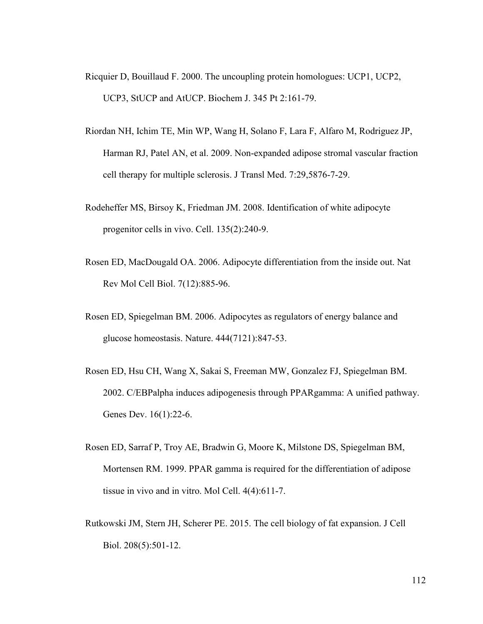- Ricquier D, Bouillaud F. 2000. The uncoupling protein homologues: UCP1, UCP2, UCP3, StUCP and AtUCP. Biochem J. 345 Pt 2:161-79.
- Riordan NH, Ichim TE, Min WP, Wang H, Solano F, Lara F, Alfaro M, Rodriguez JP, Harman RJ, Patel AN, et al. 2009. Non-expanded adipose stromal vascular fraction cell therapy for multiple sclerosis. J Transl Med. 7:29,5876-7-29.
- Rodeheffer MS, Birsoy K, Friedman JM. 2008. Identification of white adipocyte progenitor cells in vivo. Cell. 135(2):240-9.
- Rosen ED, MacDougald OA. 2006. Adipocyte differentiation from the inside out. Nat Rev Mol Cell Biol. 7(12):885-96.
- Rosen ED, Spiegelman BM. 2006. Adipocytes as regulators of energy balance and glucose homeostasis. Nature. 444(7121):847-53.
- Rosen ED, Hsu CH, Wang X, Sakai S, Freeman MW, Gonzalez FJ, Spiegelman BM. 2002. C/EBPalpha induces adipogenesis through PPARgamma: A unified pathway. Genes Dev. 16(1):22-6.
- Rosen ED, Sarraf P, Troy AE, Bradwin G, Moore K, Milstone DS, Spiegelman BM, Mortensen RM. 1999. PPAR gamma is required for the differentiation of adipose tissue in vivo and in vitro. Mol Cell. 4(4):611-7.
- Rutkowski JM, Stern JH, Scherer PE. 2015. The cell biology of fat expansion. J Cell Biol. 208(5):501-12.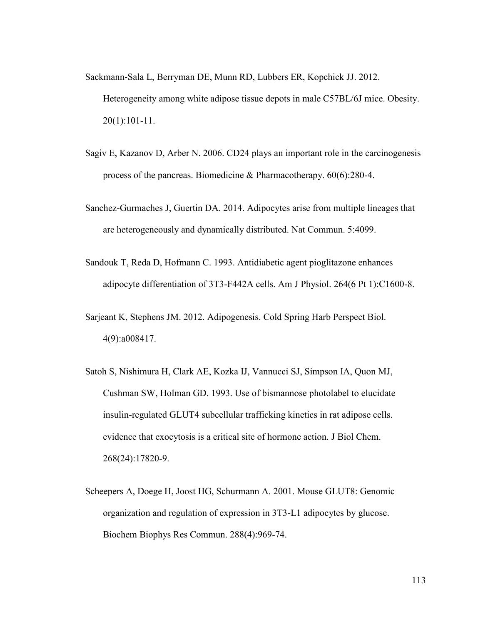Sackmann‐Sala L, Berryman DE, Munn RD, Lubbers ER, Kopchick JJ. 2012. Heterogeneity among white adipose tissue depots in male C57BL/6J mice. Obesity. 20(1):101-11.

- Sagiv E, Kazanov D, Arber N. 2006. CD24 plays an important role in the carcinogenesis process of the pancreas. Biomedicine & Pharmacotherapy. 60(6):280-4.
- Sanchez-Gurmaches J, Guertin DA. 2014. Adipocytes arise from multiple lineages that are heterogeneously and dynamically distributed. Nat Commun. 5:4099.
- Sandouk T, Reda D, Hofmann C. 1993. Antidiabetic agent pioglitazone enhances adipocyte differentiation of 3T3-F442A cells. Am J Physiol. 264(6 Pt 1):C1600-8.
- Sarjeant K, Stephens JM. 2012. Adipogenesis. Cold Spring Harb Perspect Biol. 4(9):a008417.
- Satoh S, Nishimura H, Clark AE, Kozka IJ, Vannucci SJ, Simpson IA, Quon MJ, Cushman SW, Holman GD. 1993. Use of bismannose photolabel to elucidate insulin-regulated GLUT4 subcellular trafficking kinetics in rat adipose cells. evidence that exocytosis is a critical site of hormone action. J Biol Chem. 268(24):17820-9.
- Scheepers A, Doege H, Joost HG, Schurmann A. 2001. Mouse GLUT8: Genomic organization and regulation of expression in 3T3-L1 adipocytes by glucose. Biochem Biophys Res Commun. 288(4):969-74.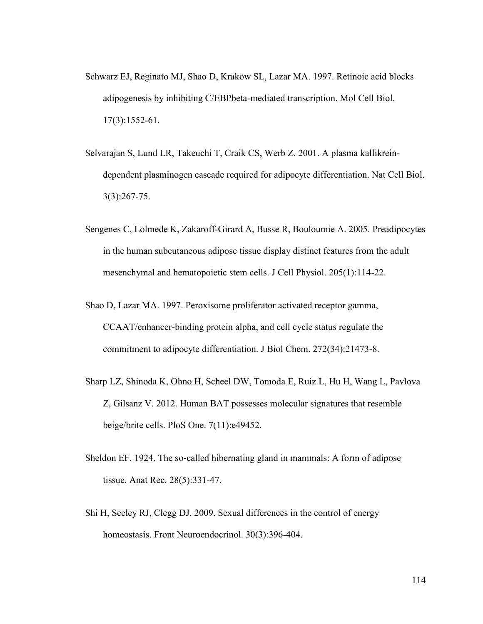- Schwarz EJ, Reginato MJ, Shao D, Krakow SL, Lazar MA. 1997. Retinoic acid blocks adipogenesis by inhibiting C/EBPbeta-mediated transcription. Mol Cell Biol. 17(3):1552-61.
- Selvarajan S, Lund LR, Takeuchi T, Craik CS, Werb Z. 2001. A plasma kallikreindependent plasminogen cascade required for adipocyte differentiation. Nat Cell Biol. 3(3):267-75.
- Sengenes C, Lolmede K, Zakaroff-Girard A, Busse R, Bouloumie A. 2005. Preadipocytes in the human subcutaneous adipose tissue display distinct features from the adult mesenchymal and hematopoietic stem cells. J Cell Physiol. 205(1):114-22.
- Shao D, Lazar MA. 1997. Peroxisome proliferator activated receptor gamma, CCAAT/enhancer-binding protein alpha, and cell cycle status regulate the commitment to adipocyte differentiation. J Biol Chem. 272(34):21473-8.
- Sharp LZ, Shinoda K, Ohno H, Scheel DW, Tomoda E, Ruiz L, Hu H, Wang L, Pavlova Z, Gilsanz V. 2012. Human BAT possesses molecular signatures that resemble beige/brite cells. PloS One. 7(11):e49452.
- Sheldon EF. 1924. The so-called hibernating gland in mammals: A form of adipose tissue. Anat Rec. 28(5):331-47.
- Shi H, Seeley RJ, Clegg DJ. 2009. Sexual differences in the control of energy homeostasis. Front Neuroendocrinol. 30(3):396-404.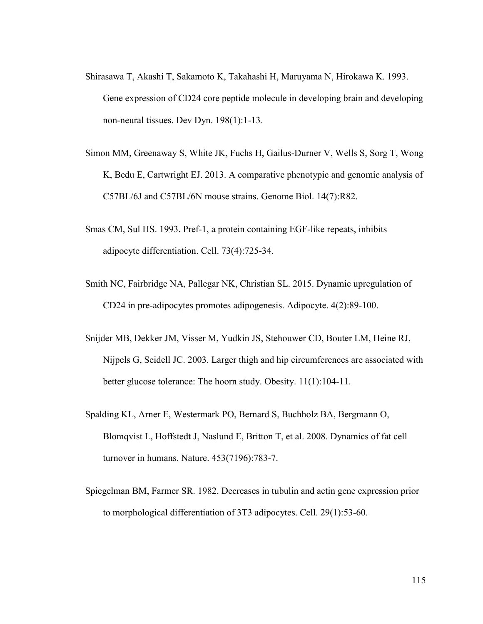- Shirasawa T, Akashi T, Sakamoto K, Takahashi H, Maruyama N, Hirokawa K. 1993. Gene expression of CD24 core peptide molecule in developing brain and developing non-neural tissues. Dev Dyn. 198(1):1-13.
- Simon MM, Greenaway S, White JK, Fuchs H, Gailus-Durner V, Wells S, Sorg T, Wong K, Bedu E, Cartwright EJ. 2013. A comparative phenotypic and genomic analysis of C57BL/6J and C57BL/6N mouse strains. Genome Biol. 14(7):R82.
- Smas CM, Sul HS. 1993. Pref-1, a protein containing EGF-like repeats, inhibits adipocyte differentiation. Cell. 73(4):725-34.
- Smith NC, Fairbridge NA, Pallegar NK, Christian SL. 2015. Dynamic upregulation of CD24 in pre-adipocytes promotes adipogenesis. Adipocyte. 4(2):89-100.
- Snijder MB, Dekker JM, Visser M, Yudkin JS, Stehouwer CD, Bouter LM, Heine RJ, Nijpels G, Seidell JC. 2003. Larger thigh and hip circumferences are associated with better glucose tolerance: The hoorn study. Obesity. 11(1):104-11.
- Spalding KL, Arner E, Westermark PO, Bernard S, Buchholz BA, Bergmann O, Blomqvist L, Hoffstedt J, Naslund E, Britton T, et al. 2008. Dynamics of fat cell turnover in humans. Nature. 453(7196):783-7.
- Spiegelman BM, Farmer SR. 1982. Decreases in tubulin and actin gene expression prior to morphological differentiation of 3T3 adipocytes. Cell. 29(1):53-60.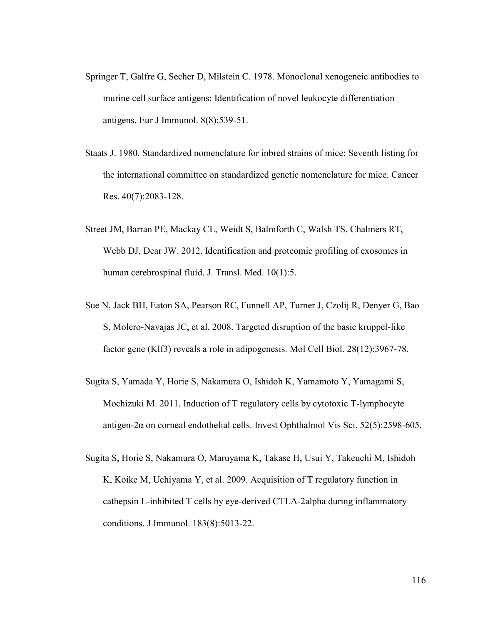- Springer T, Galfre G, Secher D, Milstein C. 1978. Monoclonal xenogeneic antibodies to murine cell surface antigens: Identification of novel leukocyte differentiation antigens. Eur J Immunol. 8(8):539-51.
- Staats J. 1980. Standardized nomenclature for inbred strains of mice: Seventh listing for the international committee on standardized genetic nomenclature for mice. Cancer Res. 40(7):2083-128.
- Street JM, Barran PE, Mackay CL, Weidt S, Balmforth C, Walsh TS, Chalmers RT, Webb DJ, Dear JW. 2012. Identification and proteomic profiling of exosomes in human cerebrospinal fluid. J. Transl. Med. 10(1):5.
- Sue N, Jack BH, Eaton SA, Pearson RC, Funnell AP, Turner J, Czolij R, Denyer G, Bao S, Molero-Navajas JC, et al. 2008. Targeted disruption of the basic kruppel-like factor gene (Klf3) reveals a role in adipogenesis. Mol Cell Biol. 28(12):3967-78.
- Sugita S, Yamada Y, Horie S, Nakamura O, Ishidoh K, Yamamoto Y, Yamagami S, Mochizuki M. 2011. Induction of T regulatory cells by cytotoxic T-lymphocyte antigen-2 $\alpha$  on corneal endothelial cells. Invest Ophthalmol Vis Sci. 52(5):2598-605.
- Sugita S, Horie S, Nakamura O, Maruyama K, Takase H, Usui Y, Takeuchi M, Ishidoh K, Koike M, Uchiyama Y, et al. 2009. Acquisition of T regulatory function in cathepsin L-inhibited T cells by eye-derived CTLA-2alpha during inflammatory conditions. J Immunol. 183(8):5013-22.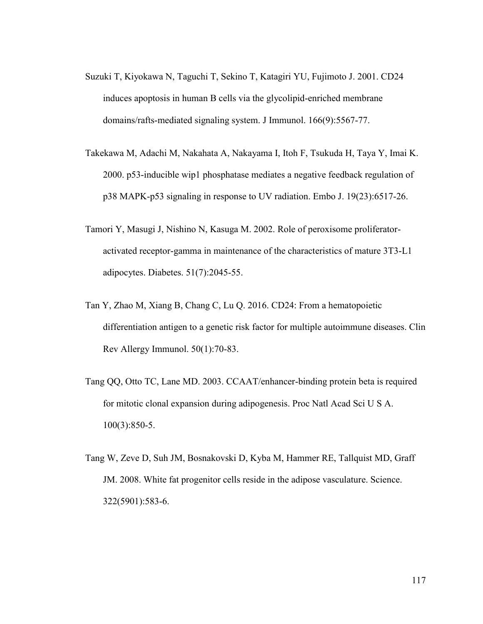- Suzuki T, Kiyokawa N, Taguchi T, Sekino T, Katagiri YU, Fujimoto J. 2001. CD24 induces apoptosis in human B cells via the glycolipid-enriched membrane domains/rafts-mediated signaling system. J Immunol. 166(9):5567-77.
- Takekawa M, Adachi M, Nakahata A, Nakayama I, Itoh F, Tsukuda H, Taya Y, Imai K. 2000. p53-inducible wip1 phosphatase mediates a negative feedback regulation of p38 MAPK-p53 signaling in response to UV radiation. Embo J. 19(23):6517-26.
- Tamori Y, Masugi J, Nishino N, Kasuga M. 2002. Role of peroxisome proliferatoractivated receptor-gamma in maintenance of the characteristics of mature 3T3-L1 adipocytes. Diabetes. 51(7):2045-55.
- Tan Y, Zhao M, Xiang B, Chang C, Lu Q. 2016. CD24: From a hematopoietic differentiation antigen to a genetic risk factor for multiple autoimmune diseases. Clin Rev Allergy Immunol. 50(1):70-83.
- Tang QQ, Otto TC, Lane MD. 2003. CCAAT/enhancer-binding protein beta is required for mitotic clonal expansion during adipogenesis. Proc Natl Acad Sci U S A. 100(3):850-5.
- Tang W, Zeve D, Suh JM, Bosnakovski D, Kyba M, Hammer RE, Tallquist MD, Graff JM. 2008. White fat progenitor cells reside in the adipose vasculature. Science. 322(5901):583-6.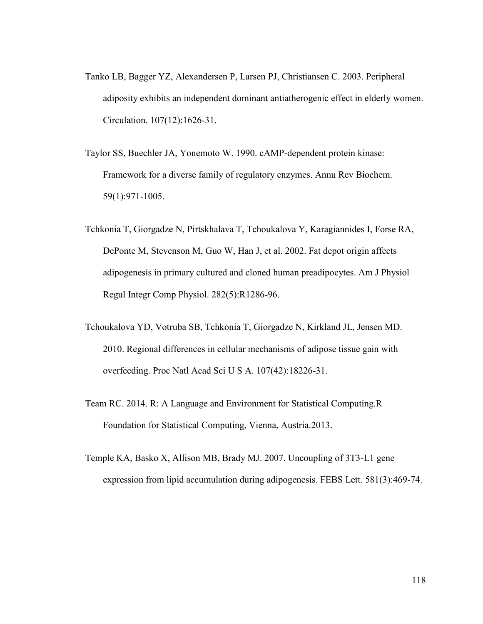- Tanko LB, Bagger YZ, Alexandersen P, Larsen PJ, Christiansen C. 2003. Peripheral adiposity exhibits an independent dominant antiatherogenic effect in elderly women. Circulation. 107(12):1626-31.
- Taylor SS, Buechler JA, Yonemoto W. 1990. cAMP-dependent protein kinase: Framework for a diverse family of regulatory enzymes. Annu Rev Biochem. 59(1):971-1005.
- Tchkonia T, Giorgadze N, Pirtskhalava T, Tchoukalova Y, Karagiannides I, Forse RA, DePonte M, Stevenson M, Guo W, Han J, et al. 2002. Fat depot origin affects adipogenesis in primary cultured and cloned human preadipocytes. Am J Physiol Regul Integr Comp Physiol. 282(5):R1286-96.
- Tchoukalova YD, Votruba SB, Tchkonia T, Giorgadze N, Kirkland JL, Jensen MD. 2010. Regional differences in cellular mechanisms of adipose tissue gain with overfeeding. Proc Natl Acad Sci U S A. 107(42):18226-31.
- Team RC. 2014. R: A Language and Environment for Statistical Computing.R Foundation for Statistical Computing, Vienna, Austria.2013.
- Temple KA, Basko X, Allison MB, Brady MJ. 2007. Uncoupling of 3T3-L1 gene expression from lipid accumulation during adipogenesis. FEBS Lett. 581(3):469-74.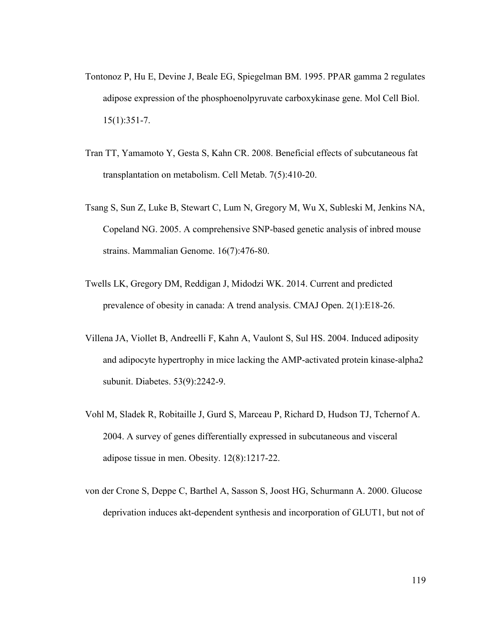- Tontonoz P, Hu E, Devine J, Beale EG, Spiegelman BM. 1995. PPAR gamma 2 regulates adipose expression of the phosphoenolpyruvate carboxykinase gene. Mol Cell Biol. 15(1):351-7.
- Tran TT, Yamamoto Y, Gesta S, Kahn CR. 2008. Beneficial effects of subcutaneous fat transplantation on metabolism. Cell Metab. 7(5):410-20.
- Tsang S, Sun Z, Luke B, Stewart C, Lum N, Gregory M, Wu X, Subleski M, Jenkins NA, Copeland NG. 2005. A comprehensive SNP-based genetic analysis of inbred mouse strains. Mammalian Genome. 16(7):476-80.
- Twells LK, Gregory DM, Reddigan J, Midodzi WK. 2014. Current and predicted prevalence of obesity in canada: A trend analysis. CMAJ Open. 2(1):E18-26.
- Villena JA, Viollet B, Andreelli F, Kahn A, Vaulont S, Sul HS. 2004. Induced adiposity and adipocyte hypertrophy in mice lacking the AMP-activated protein kinase-alpha2 subunit. Diabetes. 53(9):2242-9.
- Vohl M, Sladek R, Robitaille J, Gurd S, Marceau P, Richard D, Hudson TJ, Tchernof A. 2004. A survey of genes differentially expressed in subcutaneous and visceral adipose tissue in men. Obesity. 12(8):1217-22.
- von der Crone S, Deppe C, Barthel A, Sasson S, Joost HG, Schurmann A. 2000. Glucose deprivation induces akt-dependent synthesis and incorporation of GLUT1, but not of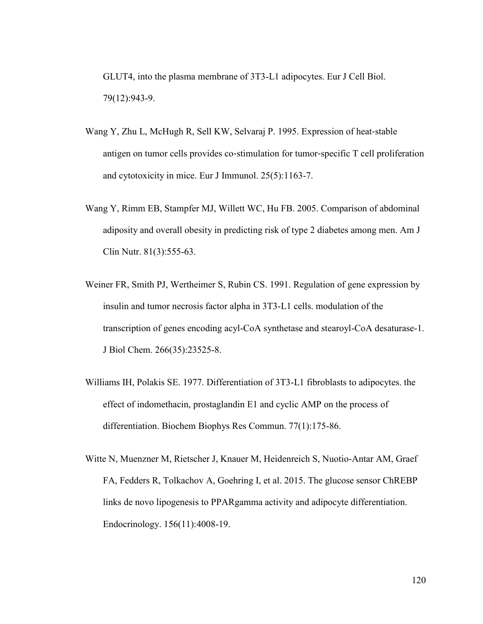GLUT4, into the plasma membrane of 3T3-L1 adipocytes. Eur J Cell Biol. 79(12):943-9.

- Wang Y, Zhu L, McHugh R, Sell KW, Selvaraj P. 1995. Expression of heat-stable antigen on tumor cells provides co‐stimulation for tumor‐specific T cell proliferation and cytotoxicity in mice. Eur J Immunol. 25(5):1163-7.
- Wang Y, Rimm EB, Stampfer MJ, Willett WC, Hu FB. 2005. Comparison of abdominal adiposity and overall obesity in predicting risk of type 2 diabetes among men. Am J Clin Nutr. 81(3):555-63.
- Weiner FR, Smith PJ, Wertheimer S, Rubin CS. 1991. Regulation of gene expression by insulin and tumor necrosis factor alpha in 3T3-L1 cells. modulation of the transcription of genes encoding acyl-CoA synthetase and stearoyl-CoA desaturase-1. J Biol Chem. 266(35):23525-8.
- Williams IH, Polakis SE. 1977. Differentiation of 3T3-L1 fibroblasts to adipocytes. the effect of indomethacin, prostaglandin E1 and cyclic AMP on the process of differentiation. Biochem Biophys Res Commun. 77(1):175-86.
- Witte N, Muenzner M, Rietscher J, Knauer M, Heidenreich S, Nuotio-Antar AM, Graef FA, Fedders R, Tolkachov A, Goehring I, et al. 2015. The glucose sensor ChREBP links de novo lipogenesis to PPARgamma activity and adipocyte differentiation. Endocrinology. 156(11):4008-19.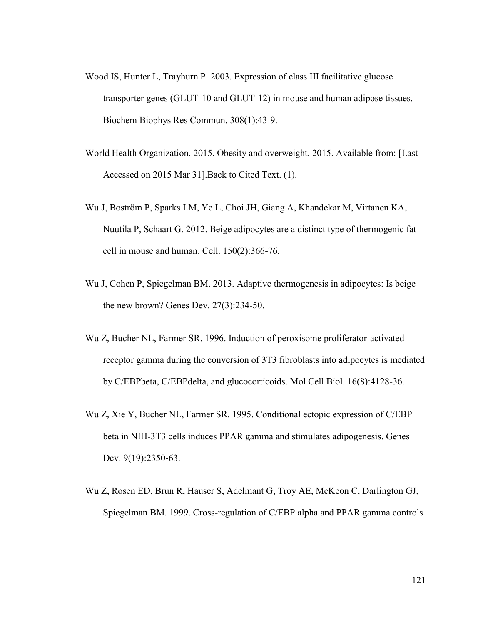- Wood IS, Hunter L, Trayhurn P. 2003. Expression of class III facilitative glucose transporter genes (GLUT-10 and GLUT-12) in mouse and human adipose tissues. Biochem Biophys Res Commun. 308(1):43-9.
- World Health Organization. 2015. Obesity and overweight. 2015. Available from: [Last Accessed on 2015 Mar 31].Back to Cited Text. (1).
- Wu J, Boström P, Sparks LM, Ye L, Choi JH, Giang A, Khandekar M, Virtanen KA, Nuutila P, Schaart G. 2012. Beige adipocytes are a distinct type of thermogenic fat cell in mouse and human. Cell. 150(2):366-76.
- Wu J, Cohen P, Spiegelman BM. 2013. Adaptive thermogenesis in adipocytes: Is beige the new brown? Genes Dev. 27(3):234-50.
- Wu Z, Bucher NL, Farmer SR. 1996. Induction of peroxisome proliferator-activated receptor gamma during the conversion of 3T3 fibroblasts into adipocytes is mediated by C/EBPbeta, C/EBPdelta, and glucocorticoids. Mol Cell Biol. 16(8):4128-36.
- Wu Z, Xie Y, Bucher NL, Farmer SR. 1995. Conditional ectopic expression of C/EBP beta in NIH-3T3 cells induces PPAR gamma and stimulates adipogenesis. Genes Dev. 9(19):2350-63.
- Wu Z, Rosen ED, Brun R, Hauser S, Adelmant G, Troy AE, McKeon C, Darlington GJ, Spiegelman BM. 1999. Cross-regulation of C/EBP alpha and PPAR gamma controls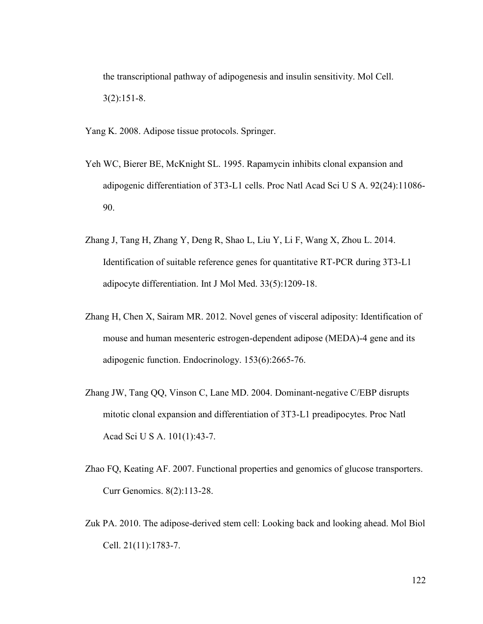the transcriptional pathway of adipogenesis and insulin sensitivity. Mol Cell. 3(2):151-8.

Yang K. 2008. Adipose tissue protocols. Springer.

- Yeh WC, Bierer BE, McKnight SL. 1995. Rapamycin inhibits clonal expansion and adipogenic differentiation of 3T3-L1 cells. Proc Natl Acad Sci U S A. 92(24):11086- 90.
- Zhang J, Tang H, Zhang Y, Deng R, Shao L, Liu Y, Li F, Wang X, Zhou L. 2014. Identification of suitable reference genes for quantitative RT-PCR during 3T3-L1 adipocyte differentiation. Int J Mol Med. 33(5):1209-18.
- Zhang H, Chen X, Sairam MR. 2012. Novel genes of visceral adiposity: Identification of mouse and human mesenteric estrogen-dependent adipose (MEDA)-4 gene and its adipogenic function. Endocrinology. 153(6):2665-76.
- Zhang JW, Tang QQ, Vinson C, Lane MD. 2004. Dominant-negative C/EBP disrupts mitotic clonal expansion and differentiation of 3T3-L1 preadipocytes. Proc Natl Acad Sci U S A. 101(1):43-7.
- Zhao FQ, Keating AF. 2007. Functional properties and genomics of glucose transporters. Curr Genomics. 8(2):113-28.
- Zuk PA. 2010. The adipose-derived stem cell: Looking back and looking ahead. Mol Biol Cell. 21(11):1783-7.